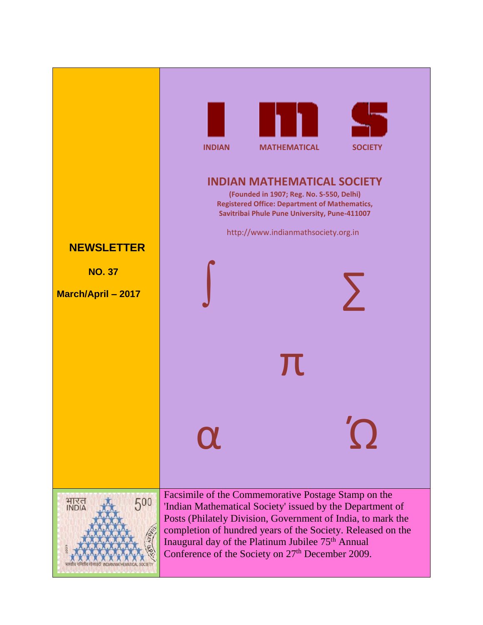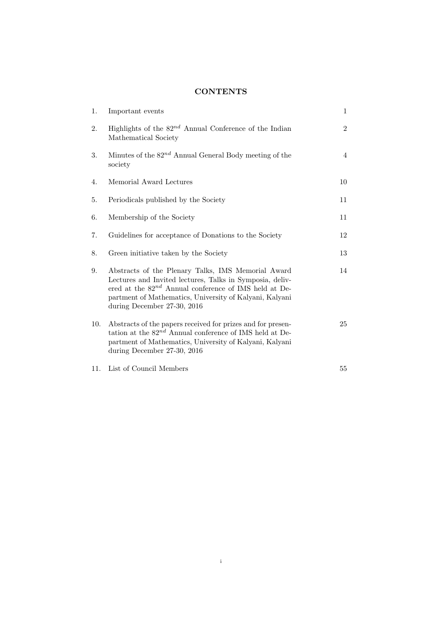## **CONTENTS**

| 1.  | Important events                                                                                                                                                                                                                                                       | $\mathbf{1}$   |
|-----|------------------------------------------------------------------------------------------------------------------------------------------------------------------------------------------------------------------------------------------------------------------------|----------------|
| 2.  | Highlights of the $82^{nd}$ Annual Conference of the Indian<br>Mathematical Society                                                                                                                                                                                    | $\overline{2}$ |
| 3.  | Minutes of the $82^{nd}$ Annual General Body meeting of the<br>society                                                                                                                                                                                                 | $\overline{4}$ |
| 4.  | Memorial Award Lectures                                                                                                                                                                                                                                                | 10             |
| 5.  | Periodicals published by the Society                                                                                                                                                                                                                                   | 11             |
| 6.  | Membership of the Society                                                                                                                                                                                                                                              | 11             |
| 7.  | Guidelines for acceptance of Donations to the Society                                                                                                                                                                                                                  | 12             |
| 8.  | Green initiative taken by the Society                                                                                                                                                                                                                                  | 13             |
| 9.  | Abstracts of the Plenary Talks, IMS Memorial Award<br>Lectures and Invited lectures, Talks in Symposia, deliv-<br>ered at the $82^{nd}$ Annual conference of IMS held at De-<br>partment of Mathematics, University of Kalyani, Kalyani<br>during December 27-30, 2016 | 14             |
| 10. | Abstracts of the papers received for prizes and for presen-<br>tation at the $82^{nd}$ Annual conference of IMS held at De-<br>partment of Mathematics, University of Kalyani, Kalyani<br>during December 27-30, 2016                                                  | 25             |
| 11. | List of Council Members                                                                                                                                                                                                                                                | 55             |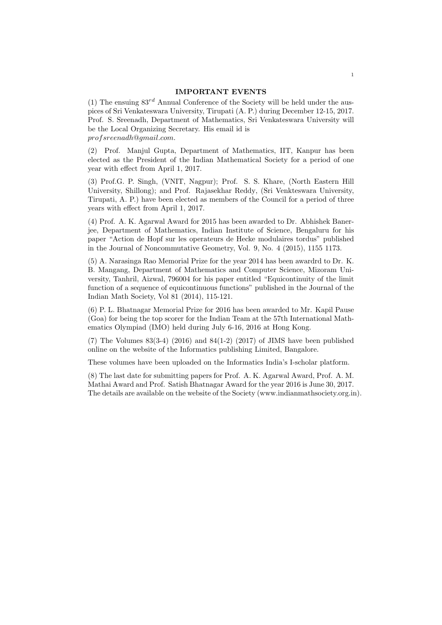#### IMPORTANT EVENTS

(1) The ensuing  $83^{rd}$  Annual Conference of the Society will be held under the auspices of Sri Venkateswara University, Tirupati (A. P.) during December 12-15, 2017. Prof. S. Sreenadh, Department of Mathematics, Sri Venkateswara University will be the Local Organizing Secretary. His email id is profsreenadh@gmail.com.

(2) Prof. Manjul Gupta, Department of Mathematics, IIT, Kanpur has been elected as the President of the Indian Mathematical Society for a period of one year with effect from April 1, 2017.

(3) Prof.G. P. Singh, (VNIT, Nagpur); Prof. S. S. Khare, (North Eastern Hill University, Shillong); and Prof. Rajasekhar Reddy, (Sri Venkteswara University, Tirupati, A. P.) have been elected as members of the Council for a period of three years with effect from April 1, 2017.

(4) Prof. A. K. Agarwal Award for 2015 has been awarded to Dr. Abhishek Banerjee, Department of Mathematics, Indian Institute of Science, Bengaluru for his paper "Action de Hopf sur les operateurs de Hecke modulaires tordus" published in the Journal of Noncommutative Geometry, Vol. 9, No. 4 (2015), 1155 1173.

(5) A. Narasinga Rao Memorial Prize for the year 2014 has been awardrd to Dr. K. B. Mangang, Department of Mathematics and Computer Science, Mizoram University, Tanhril, Aizwal, 796004 for his paper entitled "Equicontinuity of the limit function of a sequence of equicontinuous functions" published in the Journal of the Indian Math Society, Vol 81 (2014), 115-121.

(6) P. L. Bhatnagar Memorial Prize for 2016 has been awarded to Mr. Kapil Pause (Goa) for being the top scorer for the Indian Team at the 57th International Mathematics Olympiad (IMO) held during July 6-16, 2016 at Hong Kong.

 $(7)$  The Volumes  $83(3-4)$   $(2016)$  and  $84(1-2)$   $(2017)$  of JIMS have been published online on the website of the Informatics publishing Limited, Bangalore.

These volumes have been uploaded on the Informatics India's I-scholar platform.

(8) The last date for submitting papers for Prof. A. K. Agarwal Award, Prof. A. M. Mathai Award and Prof. Satish Bhatnagar Award for the year 2016 is June 30, 2017. The details are available on the website of the Society (www.indianmathsociety.org.in).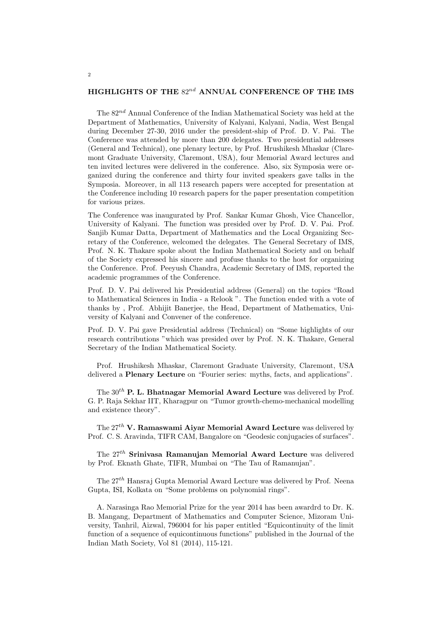## HIGHLIGHTS OF THE  $82^{nd}$  ANNUAL CONFERENCE OF THE IMS

The  $82^{nd}$  Annual Conference of the Indian Mathematical Society was held at the Department of Mathematics, University of Kalyani, Kalyani, Nadia, West Bengal during December 27-30, 2016 under the president-ship of Prof. D. V. Pai. The Conference was attended by more than 200 delegates. Two presidential addresses (General and Technical), one plenary lecture, by Prof. Hrushikesh Mhaskar (Claremont Graduate University, Claremont, USA), four Memorial Award lectures and ten invited lectures were delivered in the conference. Also, six Symposia were organized during the conference and thirty four invited speakers gave talks in the Symposia. Moreover, in all 113 research papers were accepted for presentation at the Conference including 10 research papers for the paper presentation competition for various prizes.

The Conference was inaugurated by Prof. Sankar Kumar Ghosh, Vice Chancellor, University of Kalyani. The function was presided over by Prof. D. V. Pai. Prof. Sanjib Kumar Datta, Department of Mathematics and the Local Organizing Secretary of the Conference, welcomed the delegates. The General Secretary of IMS, Prof. N. K. Thakare spoke about the Indian Mathematical Society and on behalf of the Society expressed his sincere and profuse thanks to the host for organizing the Conference. Prof. Peeyush Chandra, Academic Secretary of IMS, reported the academic programmes of the Conference.

Prof. D. V. Pai delivered his Presidential address (General) on the topics "Road to Mathematical Sciences in India - a Relook ". The function ended with a vote of thanks by , Prof. Abhijit Banerjee, the Head, Department of Mathematics, University of Kalyani and Convener of the conference.

Prof. D. V. Pai gave Presidential address (Technical) on "Some highlights of our research contributions "which was presided over by Prof. N. K. Thakare, General Secretary of the Indian Mathematical Society.

Prof. Hrushikesh Mhaskar, Claremont Graduate University, Claremont, USA delivered a Plenary Lecture on "Fourier series: myths, facts, and applications".

The  $30<sup>th</sup>$  **P. L. Bhatnagar Memorial Award Lecture** was delivered by Prof. G. P. Raja Sekhar IIT, Kharagpur on "Tumor growth-chemo-mechanical modelling and existence theory".

The  $27^{th}$  V. Ramaswami Aiyar Memorial Award Lecture was delivered by Prof. C. S. Aravinda, TIFR CAM, Bangalore on "Geodesic conjugacies of surfaces".

The 27th Srinivasa Ramanujan Memorial Award Lecture was delivered by Prof. Eknath Ghate, TIFR, Mumbai on "The Tau of Ramanujan".

The  $27<sup>th</sup>$  Hansraj Gupta Memorial Award Lecture was delivered by Prof. Neena Gupta, ISI, Kolkata on "Some problems on polynomial rings".

A. Narasinga Rao Memorial Prize for the year 2014 has been awardrd to Dr. K. B. Mangang, Department of Mathematics and Computer Science, Mizoram University, Tanhril, Aizwal, 796004 for his paper entitled "Equicontinuity of the limit function of a sequence of equicontinuous functions" published in the Journal of the Indian Math Society, Vol 81 (2014), 115-121.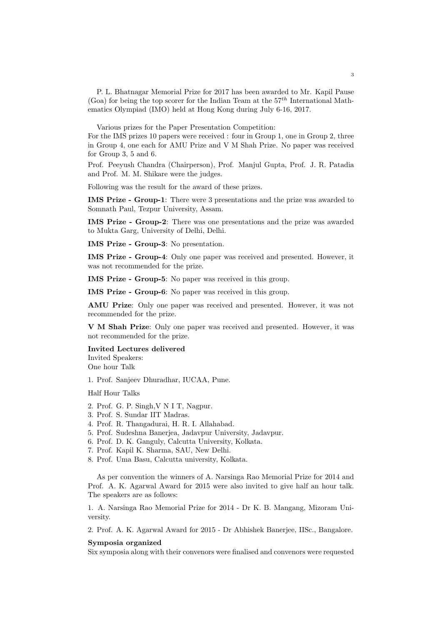P. L. Bhatnagar Memorial Prize for 2017 has been awarded to Mr. Kapil Pause (Goa) for being the top scorer for the Indian Team at the  $57^{th}$  International Mathematics Olympiad (IMO) held at Hong Kong during July 6-16, 2017.

Various prizes for the Paper Presentation Competition:

For the IMS prizes 10 papers were received : four in Group 1, one in Group 2, three in Group 4, one each for AMU Prize and V M Shah Prize. No paper was received for Group 3, 5 and 6.

Prof. Peeyush Chandra (Chairperson), Prof. Manjul Gupta, Prof. J. R. Patadia and Prof. M. M. Shikare were the judges.

Following was the result for the award of these prizes.

IMS Prize - Group-1: There were 3 presentations and the prize was awarded to Somnath Paul, Tezpur University, Assam.

IMS Prize - Group-2: There was one presentations and the prize was awarded to Mukta Garg, University of Delhi, Delhi.

IMS Prize - Group-3: No presentation.

IMS Prize - Group-4: Only one paper was received and presented. However, it was not recommended for the prize.

IMS Prize - Group-5: No paper was received in this group.

IMS Prize - Group-6: No paper was received in this group.

AMU Prize: Only one paper was received and presented. However, it was not recommended for the prize.

V M Shah Prize: Only one paper was received and presented. However, it was not recommended for the prize.

Invited Lectures delivered Invited Speakers: One hour Talk

1. Prof. Sanjeev Dhuradhar, IUCAA, Pune.

Half Hour Talks

- 2. Prof. G. P. Singh,V N I T, Nagpur.
- 3. Prof. S. Sundar IIT Madras.
- 4. Prof. R. Thangadurai, H. R. I. Allahabad.
- 5. Prof. Sudeshna Banerjea, Jadavpur University, Jadavpur.
- 6. Prof. D. K. Ganguly, Calcutta University, Kolkata.
- 7. Prof. Kapil K. Sharma, SAU, New Delhi.
- 8. Prof. Uma Basu, Calcutta university, Kolkata.

As per convention the winners of A. Narsinga Rao Memorial Prize for 2014 and Prof. A. K. Agarwal Award for 2015 were also invited to give half an hour talk. The speakers are as follows:

1. A. Narsinga Rao Memorial Prize for 2014 - Dr K. B. Mangang, Mizoram University.

2. Prof. A. K. Agarwal Award for 2015 - Dr Abhishek Banerjee, IISc., Bangalore.

#### Symposia organized

Six symposia along with their convenors were finalised and convenors were requested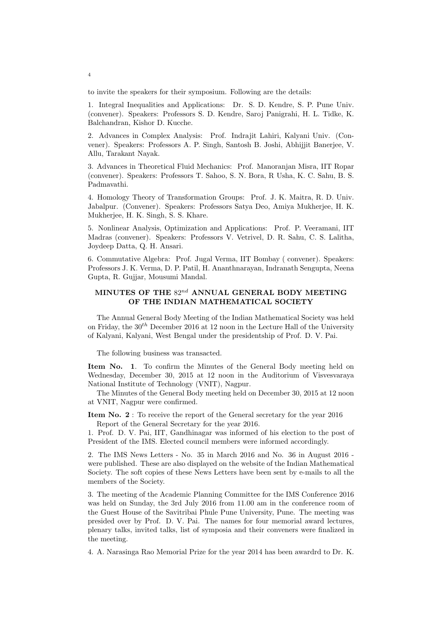to invite the speakers for their symposium. Following are the details:

1. Integral Inequalities and Applications: Dr. S. D. Kendre, S. P. Pune Univ. (convener). Speakers: Professors S. D. Kendre, Saroj Panigrahi, H. L. Tidke, K. Balchandran, Kishor D. Kucche.

2. Advances in Complex Analysis: Prof. Indrajit Lahiri, Kalyani Univ. (Convener). Speakers: Professors A. P. Singh, Santosh B. Joshi, Abhijjit Banerjee, V. Allu, Tarakant Nayak.

3. Advances in Theoretical Fluid Mechanics: Prof. Manoranjan Misra, IIT Ropar (convener). Speakers: Professors T. Sahoo, S. N. Bora, R Usha, K. C. Sahu, B. S. Padmavathi.

4. Homology Theory of Transformation Groups: Prof. J. K. Maitra, R. D. Univ. Jabalpur. (Convener). Speakers: Professors Satya Deo, Amiya Mukherjee, H. K. Mukherjee, H. K. Singh, S. S. Khare.

5. Nonlinear Analysis, Optimization and Applications: Prof. P. Veeramani, IIT Madras (convener). Speakers: Professors V. Vetrivel, D. R. Sahu, C. S. Lalitha, Joydeep Datta, Q. H. Ansari.

6. Commutative Algebra: Prof. Jugal Verma, IIT Bombay ( convener). Speakers: Professors J. K. Verma, D. P. Patil, H. Ananthnarayan, Indranath Sengupta, Neena Gupta, R. Gujjar, Mousumi Mandal.

## MINUTES OF THE  $82^{nd}$  ANNUAL GENERAL BODY MEETING OF THE INDIAN MATHEMATICAL SOCIETY

The Annual General Body Meeting of the Indian Mathematical Society was held on Friday, the  $30<sup>th</sup>$  December 2016 at 12 noon in the Lecture Hall of the University of Kalyani, Kalyani, West Bengal under the presidentship of Prof. D. V. Pai.

The following business was transacted.

Item No. 1. To confirm the Minutes of the General Body meeting held on Wednesday, December 30, 2015 at 12 noon in the Auditorium of Visvesvaraya National Institute of Technology (VNIT), Nagpur.

The Minutes of the General Body meeting held on December 30, 2015 at 12 noon at VNIT, Nagpur were confirmed.

Item No. 2 : To receive the report of the General secretary for the year 2016 Report of the General Secretary for the year 2016.

1. Prof. D. V. Pai, IIT, Gandhinagar was informed of his election to the post of President of the IMS. Elected council members were informed accordingly.

2. The IMS News Letters - No. 35 in March 2016 and No. 36 in August 2016 were published. These are also displayed on the website of the Indian Mathematical Society. The soft copies of these News Letters have been sent by e-mails to all the members of the Society.

3. The meeting of the Academic Planning Committee for the IMS Conference 2016 was held on Sunday, the 3rd July 2016 from 11.00 am in the conference room of the Guest House of the Savitribai Phule Pune University, Pune. The meeting was presided over by Prof. D. V. Pai. The names for four memorial award lectures, plenary talks, invited talks, list of symposia and their conveners were finalized in the meeting.

4. A. Narasinga Rao Memorial Prize for the year 2014 has been awardrd to Dr. K.

4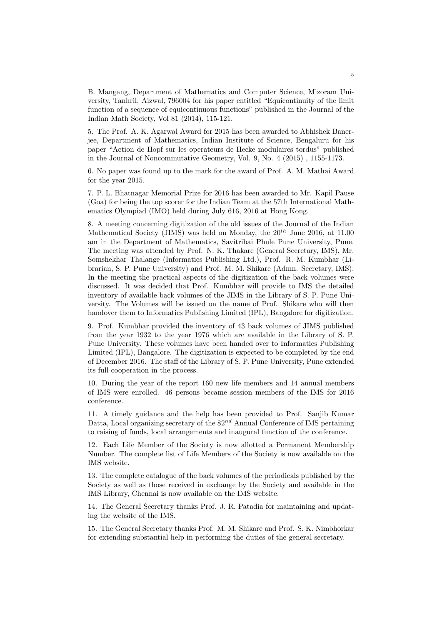B. Mangang, Department of Mathematics and Computer Science, Mizoram University, Tanhril, Aizwal, 796004 for his paper entitled "Equicontinuity of the limit function of a sequence of equicontinuous functions" published in the Journal of the Indian Math Society, Vol 81 (2014), 115-121.

5. The Prof. A. K. Agarwal Award for 2015 has been awarded to Abhishek Banerjee, Department of Mathematics, Indian Institute of Science, Bengaluru for his paper "Action de Hopf sur les operateurs de Hecke modulaires tordus" published in the Journal of Noncommutative Geometry, Vol. 9, No. 4 (2015) , 1155-1173.

6. No paper was found up to the mark for the award of Prof. A. M. Mathai Award for the year 2015.

7. P. L. Bhatnagar Memorial Prize for 2016 has been awarded to Mr. Kapil Pause (Goa) for being the top scorer for the Indian Team at the 57th International Mathematics Olympiad (IMO) held during July 616, 2016 at Hong Kong.

8. A meeting concerning digitization of the old issues of the Journal of the Indian Mathematical Society (JIMS) was held on Monday, the  $20^{th}$  June 2016, at 11.00 am in the Department of Mathematics, Savitribai Phule Pune University, Pune. The meeting was attended by Prof. N. K. Thakare (General Secretary, IMS), Mr. Somshekhar Thalange (Informatics Publishing Ltd.), Prof. R. M. Kumbhar (Librarian, S. P. Pune University) and Prof. M. M. Shikare (Admn. Secretary, IMS). In the meeting the practical aspects of the digitization of the back volumes were discussed. It was decided that Prof. Kumbhar will provide to IMS the detailed inventory of available back volumes of the JIMS in the Library of S. P. Pune University. The Volumes will be issued on the name of Prof. Shikare who will then handover them to Informatics Publishing Limited (IPL), Bangalore for digitization.

9. Prof. Kumbhar provided the inventory of 43 back volumes of JIMS published from the year 1932 to the year 1976 which are available in the Library of S. P. Pune University. These volumes have been handed over to Informatics Publishing Limited (IPL), Bangalore. The digitization is expected to be completed by the end of December 2016. The staff of the Library of S. P. Pune University, Pune extended its full cooperation in the process.

10. During the year of the report 160 new life members and 14 annual members of IMS were enrolled. 46 persons became session members of the IMS for 2016 conference.

11. A timely guidance and the help has been provided to Prof. Sanjib Kumar Datta, Local organizing secretary of the  $82^{nd}$  Annual Conference of IMS pertaining to raising of funds, local arrangements and inaugural function of the conference.

12. Each Life Member of the Society is now allotted a Permanent Membership Number. The complete list of Life Members of the Society is now available on the IMS website.

13. The complete catalogue of the back volumes of the periodicals published by the Society as well as those received in exchange by the Society and available in the IMS Library, Chennai is now available on the IMS website.

14. The General Secretary thanks Prof. J. R. Patadia for maintaining and updating the website of the IMS.

15. The General Secretary thanks Prof. M. M. Shikare and Prof. S. K. Nimbhorkar for extending substantial help in performing the duties of the general secretary.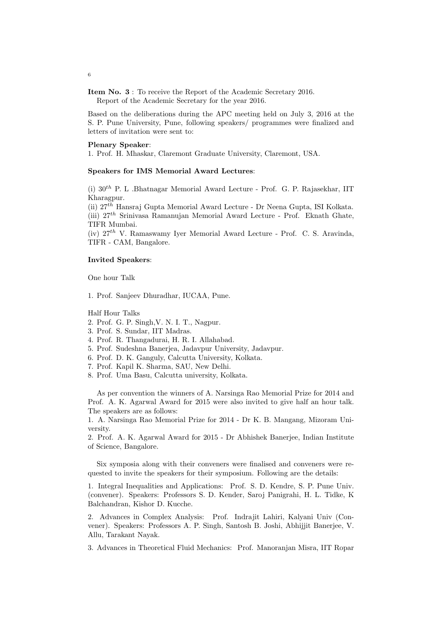Item No. 3 : To receive the Report of the Academic Secretary 2016. Report of the Academic Secretary for the year 2016.

Based on the deliberations during the APC meeting held on July 3, 2016 at the S. P. Pune University, Pune, following speakers/ programmes were finalized and letters of invitation were sent to:

## Plenary Speaker:

1. Prof. H. Mhaskar, Claremont Graduate University, Claremont, USA.

#### Speakers for IMS Memorial Award Lectures:

(i)  $30<sup>th</sup>$  P. L .Bhatnagar Memorial Award Lecture - Prof. G. P. Rajasekhar, IIT Kharagpur.

(ii) 27th Hansraj Gupta Memorial Award Lecture - Dr Neena Gupta, ISI Kolkata. (iii)  $27<sup>th</sup>$  Srinivasa Ramanujan Memorial Award Lecture - Prof. Eknath Ghate, TIFR Mumbai.

(iv)  $27<sup>th</sup>$  V. Ramaswamy Iver Memorial Award Lecture - Prof. C. S. Aravinda, TIFR - CAM, Bangalore.

#### Invited Speakers:

One hour Talk

1. Prof. Sanjeev Dhuradhar, IUCAA, Pune.

Half Hour Talks

- 2. Prof. G. P. Singh,V. N. I. T., Nagpur.
- 3. Prof. S. Sundar, IIT Madras.
- 4. Prof. R. Thangadurai, H. R. I. Allahabad.
- 5. Prof. Sudeshna Banerjea, Jadavpur University, Jadavpur.
- 6. Prof. D. K. Ganguly, Calcutta University, Kolkata.
- 7. Prof. Kapil K. Sharma, SAU, New Delhi.
- 8. Prof. Uma Basu, Calcutta university, Kolkata.

As per convention the winners of A. Narsinga Rao Memorial Prize for 2014 and Prof. A. K. Agarwal Award for 2015 were also invited to give half an hour talk. The speakers are as follows:

1. A. Narsinga Rao Memorial Prize for 2014 - Dr K. B. Mangang, Mizoram University.

2. Prof. A. K. Agarwal Award for 2015 - Dr Abhishek Banerjee, Indian Institute of Science, Bangalore.

Six symposia along with their conveners were finalised and conveners were requested to invite the speakers for their symposium. Following are the details:

1. Integral Inequalities and Applications: Prof. S. D. Kendre, S. P. Pune Univ. (convener). Speakers: Professors S. D. Kender, Saroj Panigrahi, H. L. Tidke, K Balchandran, Kishor D. Kucche.

2. Advances in Complex Analysis: Prof. Indrajit Lahiri, Kalyani Univ (Convener). Speakers: Professors A. P. Singh, Santosh B. Joshi, Abhijjit Banerjee, V. Allu, Tarakant Nayak.

3. Advances in Theoretical Fluid Mechanics: Prof. Manoranjan Misra, IIT Ropar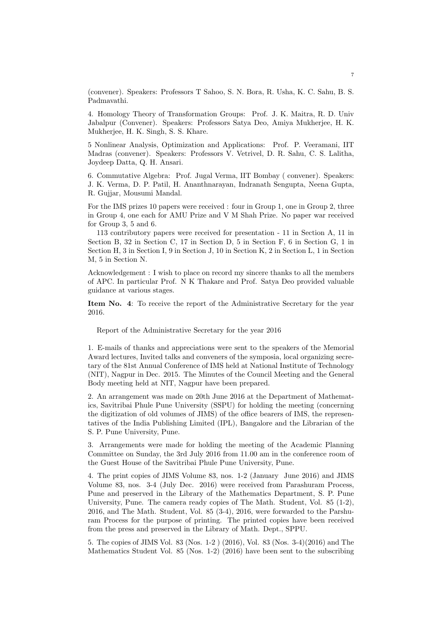(convener). Speakers: Professors T Sahoo, S. N. Bora, R. Usha, K. C. Sahu, B. S. Padmavathi.

4. Homology Theory of Transformation Groups: Prof. J. K. Maitra, R. D. Univ Jabalpur (Convener). Speakers: Professors Satya Deo, Amiya Mukherjee, H. K. Mukherjee, H. K. Singh, S. S. Khare.

5 Nonlinear Analysis, Optimization and Applications: Prof. P. Veeramani, IIT Madras (convener). Speakers: Professors V. Vetrivel, D. R. Sahu, C. S. Lalitha, Joydeep Datta, Q. H. Ansari.

6. Commutative Algebra: Prof. Jugal Verma, IIT Bombay ( convener). Speakers: J. K. Verma, D. P. Patil, H. Ananthnarayan, Indranath Sengupta, Neena Gupta, R. Gujjar, Mousumi Mandal.

For the IMS prizes 10 papers were received : four in Group 1, one in Group 2, three in Group 4, one each for AMU Prize and V M Shah Prize. No paper war received for Group 3, 5 and 6.

113 contributory papers were received for presentation - 11 in Section A, 11 in Section B, 32 in Section C, 17 in Section D, 5 in Section F, 6 in Section G, 1 in Section H, 3 in Section I, 9 in Section J, 10 in Section K, 2 in Section L, 1 in Section M, 5 in Section N.

Acknowledgement : I wish to place on record my sincere thanks to all the members of APC. In particular Prof. N K Thakare and Prof. Satya Deo provided valuable guidance at various stages.

Item No. 4: To receive the report of the Administrative Secretary for the year 2016.

Report of the Administrative Secretary for the year 2016

1. E-mails of thanks and appreciations were sent to the speakers of the Memorial Award lectures, Invited talks and conveners of the symposia, local organizing secretary of the 81st Annual Conference of IMS held at National Institute of Technology (NIT), Nagpur in Dec. 2015. The Minutes of the Council Meeting and the General Body meeting held at NIT, Nagpur have been prepared.

2. An arrangement was made on 20th June 2016 at the Department of Mathematics, Savitribai Phule Pune University (SSPU) for holding the meeting (concerning the digitization of old volumes of JIMS) of the office bearers of IMS, the representatives of the India Publishing Limited (IPL), Bangalore and the Librarian of the S. P. Pune University, Pune.

3. Arrangements were made for holding the meeting of the Academic Planning Committee on Sunday, the 3rd July 2016 from 11.00 am in the conference room of the Guest House of the Savitribai Phule Pune University, Pune.

4. The print copies of JIMS Volume 83, nos. 1-2 (January June 2016) and JIMS Volume 83, nos. 3-4 (July Dec. 2016) were received from Parashuram Process, Pune and preserved in the Library of the Mathematics Department, S. P. Pune University, Pune. The camera ready copies of The Math. Student, Vol. 85 (1-2), 2016, and The Math. Student, Vol. 85 (3-4), 2016, were forwarded to the Parshuram Process for the purpose of printing. The printed copies have been received from the press and preserved in the Library of Math. Dept., SPPU.

5. The copies of JIMS Vol. 83 (Nos. 1-2 ) (2016), Vol. 83 (Nos. 3-4)(2016) and The Mathematics Student Vol. 85 (Nos. 1-2) (2016) have been sent to the subscribing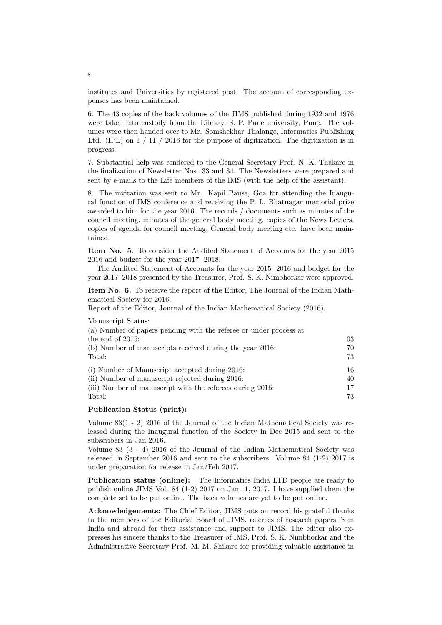institutes and Universities by registered post. The account of corresponding expenses has been maintained.

6. The 43 copies of the back volumes of the JIMS published during 1932 and 1976 were taken into custody from the Library, S. P. Pune university, Pune. The volumes were then handed over to Mr. Somshekhar Thalange, Informatics Publishing Ltd. (IPL) on 1 / 11 / 2016 for the purpose of digitization. The digitization is in progress.

7. Substantial help was rendered to the General Secretary Prof. N. K. Thakare in the finalization of Newsletter Nos. 33 and 34. The Newsletters were prepared and sent by e-mails to the Life members of the IMS (with the help of the assistant).

8. The invitation was sent to Mr. Kapil Pause, Goa for attending the Inaugural function of IMS conference and receiving the P. L. Bhatnagar memorial prize awarded to him for the year 2016. The records / documents such as minutes of the council meeting, minutes of the general body meeting, copies of the News Letters, copies of agenda for council meeting, General body meeting etc. have been maintained.

Item No. 5: To consider the Audited Statement of Accounts for the year 2015 2016 and budget for the year 2017 2018.

The Audited Statement of Accounts for the year 2015 2016 and budget for the year 2017 2018 presented by the Treasurer, Prof. S. K. Nimbhorkar were approved.

Item No. 6. To receive the report of the Editor, The Journal of the Indian Mathematical Society for 2016.

Report of the Editor, Journal of the Indian Mathematical Society (2016).

Manuscript Status:

| 03 |
|----|
| 70 |
| 73 |
| 16 |
| 40 |
| 17 |
| 73 |
|    |

### Publication Status (print):

Volume 83(1 - 2) 2016 of the Journal of the Indian Mathematical Society was released during the Inaugural function of the Society in Dec 2015 and sent to the subscribers in Jan 2016.

Volume 83 (3 - 4) 2016 of the Journal of the Indian Mathematical Society was released in September 2016 and sent to the subscribers. Volume 84 (1-2) 2017 is under preparation for release in Jan/Feb 2017.

Publication status (online): The Informatics India LTD people are ready to publish online JIMS Vol. 84 (1-2) 2017 on Jan. 1, 2017. I have supplied them the complete set to be put online. The back volumes are yet to be put online.

Acknowledgements: The Chief Editor, JIMS puts on record his grateful thanks to the members of the Editorial Board of JIMS, referees of research papers from India and abroad for their assistance and support to JIMS. The editor also expresses his sincere thanks to the Treasurer of IMS, Prof. S. K. Nimbhorkar and the Administrative Secretary Prof. M. M. Shikare for providing valuable assistance in

8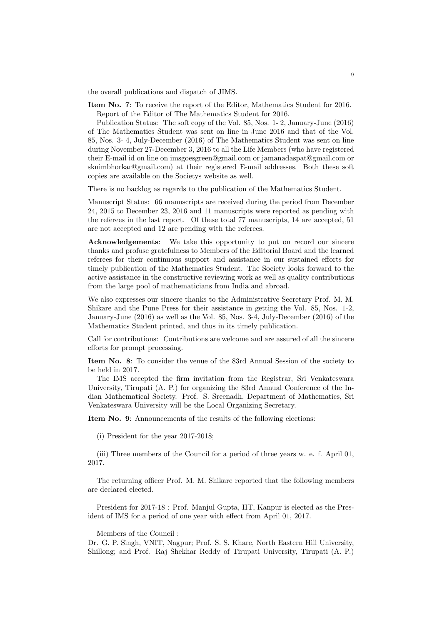the overall publications and dispatch of JIMS.

Item No. 7: To receive the report of the Editor, Mathematics Student for 2016. Report of the Editor of The Mathematics Student for 2016.

Publication Status: The soft copy of the Vol. 85, Nos. 1- 2, January-June (2016) of The Mathematics Student was sent on line in June 2016 and that of the Vol. 85, Nos. 3- 4, July-December (2016) of The Mathematics Student was sent on line during November 27-December 3, 2016 to all the Life Members (who have registered their E-mail id on line on imsgoesgreen@gmail.com or jamanadaspat@gmail.com or sknimbhorkar@gmail.com) at their registered E-mail addresses. Both these soft copies are available on the Societys website as well.

There is no backlog as regards to the publication of the Mathematics Student.

Manuscript Status: 66 manuscripts are received during the period from December 24, 2015 to December 23, 2016 and 11 manuscripts were reported as pending with the referees in the last report. Of these total 77 manuscripts, 14 are accepted, 51 are not accepted and 12 are pending with the referees.

Acknowledgements: We take this opportunity to put on record our sincere thanks and profuse gratefulness to Members of the Editorial Board and the learned referees for their continuous support and assistance in our sustained efforts for timely publication of the Mathematics Student. The Society looks forward to the active assistance in the constructive reviewing work as well as quality contributions from the large pool of mathematicians from India and abroad.

We also expresses our sincere thanks to the Administrative Secretary Prof. M. M. Shikare and the Pune Press for their assistance in getting the Vol. 85, Nos. 1-2, January-June (2016) as well as the Vol. 85, Nos. 3-4, July-December (2016) of the Mathematics Student printed, and thus in its timely publication.

Call for contributions: Contributions are welcome and are assured of all the sincere efforts for prompt processing.

Item No. 8: To consider the venue of the 83rd Annual Session of the society to be held in 2017.

The IMS accepted the firm invitation from the Registrar, Sri Venkateswara University, Tirupati (A. P.) for organizing the 83rd Annual Conference of the Indian Mathematical Society. Prof. S. Sreenadh, Department of Mathematics, Sri Venkateswara University will be the Local Organizing Secretary.

Item No. 9: Announcements of the results of the following elections:

(i) President for the year 2017-2018;

(iii) Three members of the Council for a period of three years w. e. f. April 01, 2017.

The returning officer Prof. M. M. Shikare reported that the following members are declared elected.

President for 2017-18 : Prof. Manjul Gupta, IIT, Kanpur is elected as the President of IMS for a period of one year with effect from April 01, 2017.

Members of the Council :

Dr. G. P. Singh, VNIT, Nagpur; Prof. S. S. Khare, North Eastern Hill University, Shillong; and Prof. Raj Shekhar Reddy of Tirupati University, Tirupati (A. P.)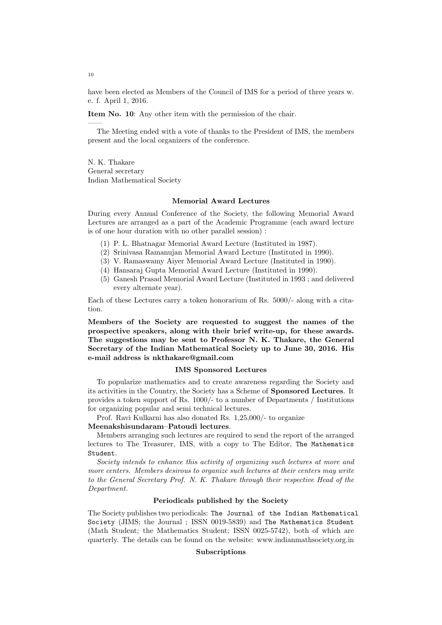have been elected as Members of the Council of IMS for a period of three years w. e. f. April 1, 2016.

Item No. 10: Any other item with the permission of the chair.

The Meeting ended with a vote of thanks to the President of IMS, the members present and the local organizers of the conference.

N. K. Thakare General secretary Indian Mathematical Society

#### Memorial Award Lectures

During every Annual Conference of the Society, the following Memorial Award Lectures are arranged as a part of the Academic Programme (each award lecture is of one hour duration with no other parallel session) :

- (1) P. L. Bhatnagar Memorial Award Lecture (Instituted in 1987).
- (2) Srinivasa Ramanujan Memorial Award Lecture (Instituted in 1990).
- (3) V. Ramaswamy Aiyer Memorial Award Lecture (Instituted in 1990).
- (4) Hansaraj Gupta Memorial Award Lecture (Instituted in 1990).
- (5) Ganesh Prasad Memorial Award Lecture (Instituted in 1993 ; and delivered every alternate year).

Each of these Lectures carry a token honorarium of Rs. 5000/- along with a citation.

Members of the Society are requested to suggest the names of the prospective speakers, along with their brief write-up, for these awards. The suggestions may be sent to Professor N. K. Thakare, the General Secretary of the Indian Mathematical Society up to June 30, 2016. His e-mail address is nkthakare@gmail.com

#### IMS Sponsored Lectures

To popularize mathematics and to create awareness regarding the Society and its activities in the Country, the Society has a Scheme of Sponsored Lectures. It provides a token support of Rs. 1000/- to a number of Departments / Institutions for organizing popular and semi technical lectures.

Prof. Ravi Kulkarni has also donated Rs. 1,25,000/- to organize

#### Meenakshisundaram–Patoudi lectures.

Members arranging such lectures are required to send the report of the arranged lectures to The Treasurer, IMS, with a copy to The Editor, The Mathematics Student.

Society intends to enhance this activity of organizing such lectures at more and more centers. Members desirous to organize such lectures at their centers may write to the General Secretary Prof. N. K. Thakare through their respective Head of the Department.

### Periodicals published by the Society

The Society publishes two periodicals: The Journal of the Indian Mathematical Society (JIMS; the Journal ; ISSN 0019-5839) and The Mathematics Student (Math Student; the Mathematics Student; ISSN 0025-5742), both of which are quarterly. The details can be found on the website: www.indianmathsociety.org.in

### Subscriptions

10

——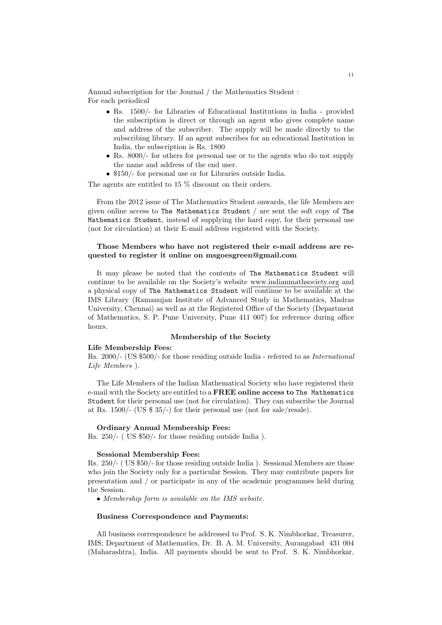Annual subscription for the Journal / the Mathematics Student : For each periodical

- Rs. 1500/- for Libraries of Educational Institutions in India provided the subscription is direct or through an agent who gives complete name and address of the subscriber. The supply will be made directly to the subscribing library. If an agent subscribes for an educational Institution in India, the subscription is Rs. 1800
- Rs. 8000/- for others for personal use or to the agents who do not supply the name and address of the end user.
- \$150/- for personal use or for Libraries outside India.

The agents are entitled to 15 % discount on their orders.

From the 2012 issue of The Mathematics Student onwards, the life Members are given online access to The Mathematics Student  $/$  are sent the soft copy of The Mathematics Student, instead of supplying the hard copy, for their personal use (not for circulation) at their E-mail address registered with the Society.

## Those Members who have not registered their e-mail address are requested to register it online on msgoesgreen@gmail.com

It may please be noted that the contents of The Mathematics Student will continue to be available on the Society's website www.indianmathsociety.org and a physical copy of The Mathematics Student will continue to be available at the IMS Library (Ramanujan Institute of Advanced Study in Mathematics, Madras University, Chennai) as well as at the Registered Office of the Society (Department of Mathematics, S. P. Pune University, Pune 411 007) for reference during office hours.

#### Membership of the Society

#### Life Membership Fees:

Rs. 2000/- (US \$500/- for those residing outside India - referred to as International Life Members ).

The Life Members of the Indian Mathematical Society who have registered their e-mail with the Society are entitled to a FREE online access to The Mathematics Student for their personal use (not for circulation). They can subscribe the Journal at Rs. 1500/- (US \$ 35/-) for their personal use (not for sale/resale).

#### Ordinary Annual Membership Fees:

Rs. 250/- ( US \$50/- for those residing outside India ).

#### Sessional Membership Fees:

Rs. 250/- ( US \$50/- for those residing outside India ). Sessional Members are those who join the Society only for a particular Session. They may contribute papers for presentation and / or participate in any of the academic programmes held during the Session.

• Membership form is available on the IMS website.

#### Business Correspondence and Payments:

All business correspondence be addressed to Prof. S. K. Nimbhorkar, Treasurer, IMS; Department of Mathematics, Dr. B. A. M. University, Aurangabad 431 004 (Maharashtra), India. All payments should be sent to Prof. S. K. Nimbhorkar,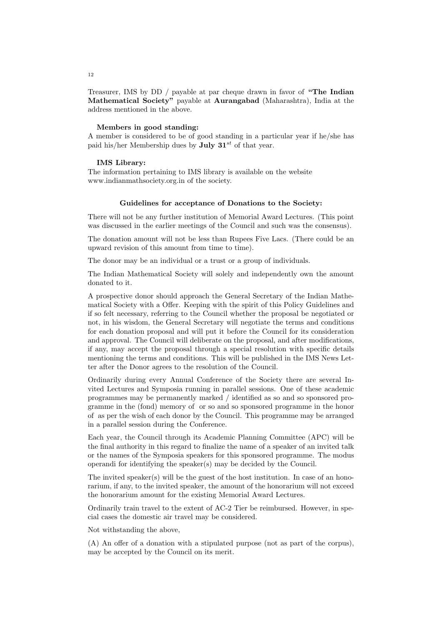Treasurer, IMS by DD / payable at par cheque drawn in favor of "The Indian Mathematical Society" payable at Aurangabad (Maharashtra), India at the address mentioned in the above.

#### Members in good standing:

A member is considered to be of good standing in a particular year if he/she has paid his/her Membership dues by **July 31**<sup>st</sup> of that year.

#### IMS Library:

The information pertaining to IMS library is available on the website www.indianmathsociety.org.in of the society.

#### Guidelines for acceptance of Donations to the Society:

There will not be any further institution of Memorial Award Lectures. (This point was discussed in the earlier meetings of the Council and such was the consensus).

The donation amount will not be less than Rupees Five Lacs. (There could be an upward revision of this amount from time to time).

The donor may be an individual or a trust or a group of individuals.

The Indian Mathematical Society will solely and independently own the amount donated to it.

A prospective donor should approach the General Secretary of the Indian Mathematical Society with a Offer. Keeping with the spirit of this Policy Guidelines and if so felt necessary, referring to the Council whether the proposal be negotiated or not, in his wisdom, the General Secretary will negotiate the terms and conditions for each donation proposal and will put it before the Council for its consideration and approval. The Council will deliberate on the proposal, and after modifications, if any, may accept the proposal through a special resolution with specific details mentioning the terms and conditions. This will be published in the IMS News Letter after the Donor agrees to the resolution of the Council.

Ordinarily during every Annual Conference of the Society there are several Invited Lectures and Symposia running in parallel sessions. One of these academic programmes may be permanently marked / identified as so and so sponsored programme in the (fond) memory of or so and so sponsored programme in the honor of as per the wish of each donor by the Council. This programme may be arranged in a parallel session during the Conference.

Each year, the Council through its Academic Planning Committee (APC) will be the final authority in this regard to finalize the name of a speaker of an invited talk or the names of the Symposia speakers for this sponsored programme. The modus operandi for identifying the speaker(s) may be decided by the Council.

The invited speaker(s) will be the guest of the host institution. In case of an honorarium, if any, to the invited speaker, the amount of the honorarium will not exceed the honorarium amount for the existing Memorial Award Lectures.

Ordinarily train travel to the extent of AC-2 Tier be reimbursed. However, in special cases the domestic air travel may be considered.

Not withstanding the above,

(A) An offer of a donation with a stipulated purpose (not as part of the corpus), may be accepted by the Council on its merit.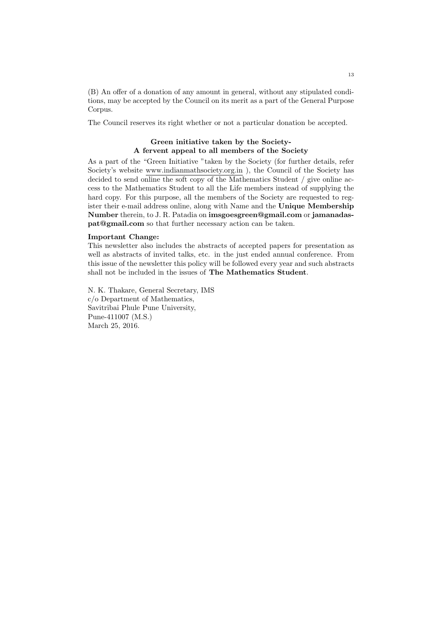(B) An offer of a donation of any amount in general, without any stipulated conditions, may be accepted by the Council on its merit as a part of the General Purpose Corpus.

The Council reserves its right whether or not a particular donation be accepted.

## Green initiative taken by the Society-A fervent appeal to all members of the Society

As a part of the "Green Initiative "taken by the Society (for further details, refer Society's website www.indianmathsociety.org.in ), the Council of the Society has decided to send online the soft copy of the Mathematics Student / give online access to the Mathematics Student to all the Life members instead of supplying the hard copy. For this purpose, all the members of the Society are requested to register their e-mail address online, along with Name and the Unique Membership Number therein, to J. R. Patadia on imsgoesgreen@gmail.com or jamanadaspat@gmail.com so that further necessary action can be taken.

#### Important Change:

This newsletter also includes the abstracts of accepted papers for presentation as well as abstracts of invited talks, etc. in the just ended annual conference. From this issue of the newsletter this policy will be followed every year and such abstracts shall not be included in the issues of The Mathematics Student.

N. K. Thakare, General Secretary, IMS c/o Department of Mathematics, Savitribai Phule Pune University, Pune-411007 (M.S.) March 25, 2016.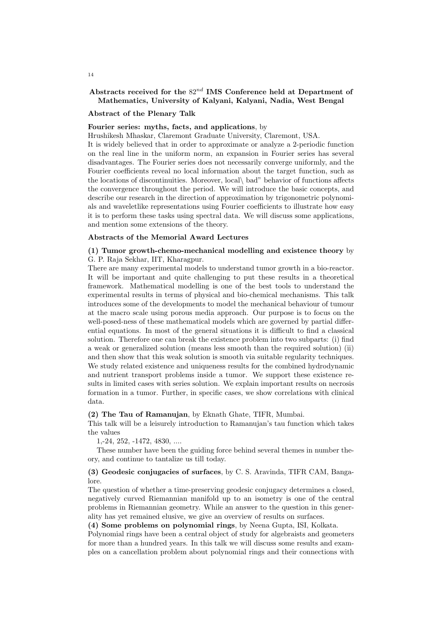## Abstracts received for the  $82^{nd}$  IMS Conference held at Department of Mathematics, University of Kalyani, Kalyani, Nadia, West Bengal

#### Abstract of the Plenary Talk

### Fourier series: myths, facts, and applications, by

Hrushikesh Mhaskar, Claremont Graduate University, Claremont, USA.

It is widely believed that in order to approximate or analyze a 2-periodic function on the real line in the uniform norm, an expansion in Fourier series has several disadvantages. The Fourier series does not necessarily converge uniformly, and the Fourier coefficients reveal no local information about the target function, such as the locations of discontinuities. Moreover, local\ bad" behavior of functions affects the convergence throughout the period. We will introduce the basic concepts, and describe our research in the direction of approximation by trigonometric polynomials and waveletlike representations using Fourier coefficients to illustrate how easy it is to perform these tasks using spectral data. We will discuss some applications, and mention some extensions of the theory.

### Abstracts of the Memorial Award Lectures

## (1) Tumor growth-chemo-mechanical modelling and existence theory by G. P. Raja Sekhar, IIT, Kharagpur.

There are many experimental models to understand tumor growth in a bio-reactor. It will be important and quite challenging to put these results in a theoretical framework. Mathematical modelling is one of the best tools to understand the experimental results in terms of physical and bio-chemical mechanisms. This talk introduces some of the developments to model the mechanical behaviour of tumour at the macro scale using porous media approach. Our purpose is to focus on the well-posed-ness of these mathematical models which are governed by partial differential equations. In most of the general situations it is difficult to find a classical solution. Therefore one can break the existence problem into two subparts: (i) find a weak or generalized solution (means less smooth than the required solution) (ii) and then show that this weak solution is smooth via suitable regularity techniques. We study related existence and uniqueness results for the combined hydrodynamic and nutrient transport problems inside a tumor. We support these existence results in limited cases with series solution. We explain important results on necrosis formation in a tumor. Further, in specific cases, we show correlations with clinical data.

#### (2) The Tau of Ramanujan, by Eknath Ghate, TIFR, Mumbai.

This talk will be a leisurely introduction to Ramanujan's tau function which takes the values

1,-24, 252, -1472, 4830, ....

These number have been the guiding force behind several themes in number theory, and continue to tantalize us till today.

## (3) Geodesic conjugacies of surfaces, by C. S. Aravinda, TIFR CAM, Bangalore.

The question of whether a time-preserving geodesic conjugacy determines a closed, negatively curved Riemannian manifold up to an isometry is one of the central problems in Riemannian geometry. While an answer to the question in this generality has yet remained elusive, we give an overview of results on surfaces.

(4) Some problems on polynomial rings, by Neena Gupta, ISI, Kolkata.

Polynomial rings have been a central object of study for algebraists and geometers for more than a hundred years. In this talk we will discuss some results and examples on a cancellation problem about polynomial rings and their connections with

14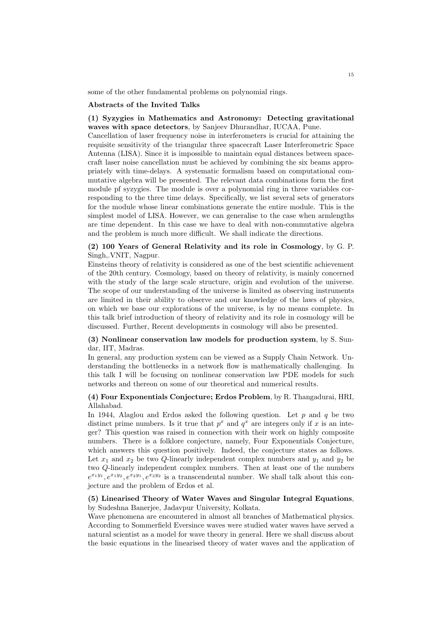some of the other fundamental problems on polynomial rings.

#### Abstracts of the Invited Talks

## (1) Syzygies in Mathematics and Astronomy: Detecting gravitational waves with space detectors, by Sanjeev Dhurandhar, IUCAA, Pune.

Cancellation of laser frequency noise in interferometers is crucial for attaining the requisite sensitivity of the triangular three spacecraft Laser Interferometric Space Antenna (LISA). Since it is impossible to maintain equal distances between spacecraft laser noise cancellation must be achieved by combining the six beams appropriately with time-delays. A systematic formalism based on computational commutative algebra will be presented. The relevant data combinations form the first module pf syzygies. The module is over a polynomial ring in three variables corresponding to the three time delays. Specifically, we list several sets of generators for the module whose linear combinations generate the entire module. This is the simplest model of LISA. However, we can generalise to the case when armlengths are time dependent. In this case we have to deal with non-commutative algebra and the problem is much more difficult. We shall indicate the directions.

## (2) 100 Years of General Relativity and its role in Cosmology, by G. P. Singh,.VNIT, Nagpur.

Einsteins theory of relativity is considered as one of the best scientific achievement of the 20th century. Cosmology, based on theory of relativity, is mainly concerned with the study of the large scale structure, origin and evolution of the universe. The scope of our understanding of the universe is limited as observing instruments are limited in their ability to observe and our knowledge of the laws of physics, on which we base our explorations of the universe, is by no means complete. In this talk brief introduction of theory of relativity and its role in cosmology will be discussed. Further, Recent developments in cosmology will also be presented.

## (3) Nonlinear conservation law models for production system, by S. Sundar, IIT, Madras.

In general, any production system can be viewed as a Supply Chain Network. Understanding the bottlenecks in a network flow is mathematically challenging. In this talk I will be focusing on nonlinear conservation law PDE models for such networks and thereon on some of our theoretical and numerical results.

## (4) Four Exponentials Conjecture; Erdos Problem, by R. Thangadurai, HRI, Allahabad.

In 1944, Alaglou and Erdos asked the following question. Let p and q be two distinct prime numbers. Is it true that  $p^x$  and  $q^x$  are integers only if x is an integer? This question was raised in connection with their work on highly composite numbers. There is a folklore conjecture, namely, Four Exponentials Conjecture, which answers this question positively. Indeed, the conjecture states as follows. Let  $x_1$  and  $x_2$  be two Q-linearly independent complex numbers and  $y_1$  and  $y_2$  be two Q-linearly independent complex numbers. Then at least one of the numbers  $e^{x_1y_1}, e^{x_1y_2}, e^{x_2y_1}, e^{x_2y_2}$  is a transcendental number. We shall talk about this conjecture and the problem of Erdos et al.

## (5) Linearised Theory of Water Waves and Singular Integral Equations, by Sudeshna Banerjee, Jadavpur University, Kolkata.

Wave phenomena are encountered in almost all branches of Mathematical physics. According to Sommerfield Eversince waves were studied water waves have served a natural scientist as a model for wave theory in general. Here we shall discuss about the basic equations in the linearised theory of water waves and the application of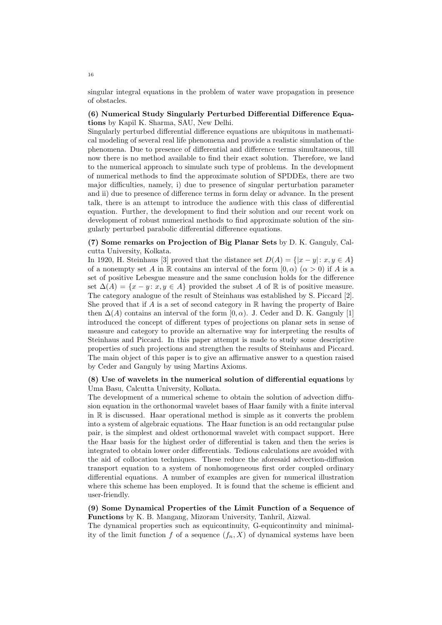singular integral equations in the problem of water wave propagation in presence of obstacles.

## (6) Numerical Study Singularly Perturbed Differential Difference Equations by Kapil K. Sharma, SAU, New Delhi.

Singularly perturbed differential difference equations are ubiquitous in mathematical modeling of several real life phenomena and provide a realistic simulation of the phenomena. Due to presence of differential and difference terms simultaneous, till now there is no method available to find their exact solution. Therefore, we land to the numerical approach to simulate such type of problems. In the development of numerical methods to find the approximate solution of SPDDEs, there are two major difficulties, namely, i) due to presence of singular perturbation parameter and ii) due to presence of difference terms in form delay or advance. In the present talk, there is an attempt to introduce the audience with this class of differential equation. Further, the development to find their solution and our recent work on development of robust numerical methods to find approximate solution of the singularly perturbed parabolic differential difference equations.

## (7) Some remarks on Projection of Big Planar Sets by D. K. Ganguly, Calcutta University, Kolkata.

In 1920, H. Steinhaus [3] proved that the distance set  $D(A) = \{ |x - y| : x, y \in A \}$ of a nonempty set A in R contains an interval of the form  $[0, \alpha)$   $(\alpha > 0)$  if A is a set of positive Lebesgue measure and the same conclusion holds for the difference set  $\Delta(A) = \{x - y : x, y \in A\}$  provided the subset A of R is of positive measure. The category analogue of the result of Steinhaus was established by S. Piccard [2]. She proved that if  $A$  is a set of second category in  $\mathbb R$  having the property of Baire then  $\Delta(A)$  contains an interval of the form [0,  $\alpha$ ). J. Ceder and D. K. Ganguly [1] introduced the concept of different types of projections on planar sets in sense of measure and category to provide an alternative way for interpreting the results of Steinhaus and Piccard. In this paper attempt is made to study some descriptive properties of such projections and strengthen the results of Steinhaus and Piccard. The main object of this paper is to give an affirmative answer to a question raised by Ceder and Ganguly by using Martins Axioms.

## (8) Use of wavelets in the numerical solution of differential equations by Uma Basu, Calcutta University, Kolkata.

The development of a numerical scheme to obtain the solution of advection diffusion equation in the orthonormal wavelet bases of Haar family with a finite interval in R is discussed. Haar operational method is simple as it converts the problem into a system of algebraic equations. The Haar function is an odd rectangular pulse pair, is the simplest and oldest orthonormal wavelet with compact support. Here the Haar basis for the highest order of differential is taken and then the series is integrated to obtain lower order differentials. Tedious calculations are avoided with the aid of collocation techniques. These reduce the aforesaid advection-diffusion transport equation to a system of nonhomogeneous first order coupled ordinary differential equations. A number of examples are given for numerical illustration where this scheme has been employed. It is found that the scheme is efficient and user-friendly.

## (9) Some Dynamical Properties of the Limit Function of a Sequence of Functions by K. B. Mangang, Mizoram University, Tanhril, Aizwal.

The dynamical properties such as equicontinuity, G-equicontinuity and minimality of the limit function f of a sequence  $(f_n, X)$  of dynamical systems have been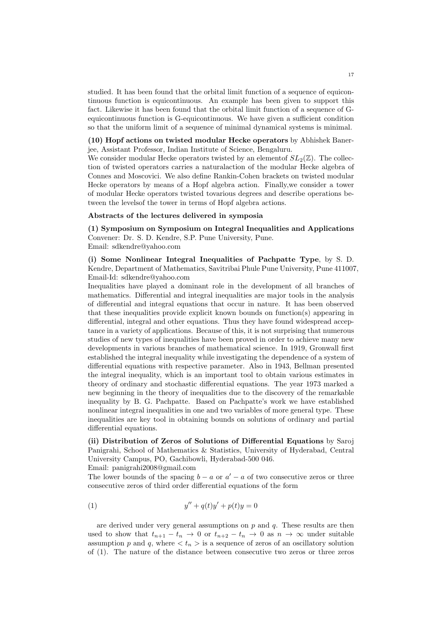studied. It has been found that the orbital limit function of a sequence of equicontinuous function is equicontinuous. An example has been given to support this fact. Likewise it has been found that the orbital limit function of a sequence of Gequicontinuous function is G-equicontinuous. We have given a sufficient condition so that the uniform limit of a sequence of minimal dynamical systems is minimal.

## (10) Hopf actions on twisted modular Hecke operators by Abhishek Banerjee, Assistant Professor, Indian Institute of Science, Bengaluru.

We consider modular Hecke operators twisted by an elementof  $SL_2(\mathbb{Z})$ . The collection of twisted operators carries a naturalaction of the modular Hecke algebra of Connes and Moscovici. We also define Rankin-Cohen brackets on twisted modular Hecke operators by means of a Hopf algebra action. Finally,we consider a tower of modular Hecke operators twisted tovarious degrees and describe operations between the levelsof the tower in terms of Hopf algebra actions.

#### Abstracts of the lectures delivered in symposia

(1) Symposium on Symposium on Integral Inequalities and Applications Convener: Dr. S. D. Kendre, S.P. Pune University, Pune. Email: sdkendre@yahoo.com

(i) Some Nonlinear Integral Inequalities of Pachpatte Type, by S. D. Kendre, Department of Mathematics, Savitribai Phule Pune University, Pune 411007, Email-Id: sdkendre@yahoo.com

Inequalities have played a dominant role in the development of all branches of mathematics. Differential and integral inequalities are major tools in the analysis of differential and integral equations that occur in nature. It has been observed that these inequalities provide explicit known bounds on function(s) appearing in differential, integral and other equations. Thus they have found widespread acceptance in a variety of applications. Because of this, it is not surprising that numerous studies of new types of inequalities have been proved in order to achieve many new developments in various branches of mathematical science. In 1919, Gronwall first established the integral inequality while investigating the dependence of a system of differential equations with respective parameter. Also in 1943, Bellman presented the integral inequality, which is an important tool to obtain various estimates in theory of ordinary and stochastic differential equations. The year 1973 marked a new beginning in the theory of inequalities due to the discovery of the remarkable inequality by B. G. Pachpatte. Based on Pachpatte's work we have established nonlinear integral inequalities in one and two variables of more general type. These inequalities are key tool in obtaining bounds on solutions of ordinary and partial differential equations.

(ii) Distribution of Zeros of Solutions of Differential Equations by Saroj Panigrahi, School of Mathematics & Statistics, University of Hyderabad, Central University Campus, PO, Gachibowli, Hyderabad-500 046.

Email: panigrahi2008@gmail.com

The lower bounds of the spacing  $b - a$  or  $a' - a$  of two consecutive zeros or three consecutive zeros of third order differential equations of the form

(1) 
$$
y'' + q(t)y' + p(t)y = 0
$$

are derived under very general assumptions on  $p$  and  $q$ . These results are then used to show that  $t_{n+1} - t_n \to 0$  or  $t_{n+2} - t_n \to 0$  as  $n \to \infty$  under suitable assumption p and q, where  $\langle t_n \rangle$  is a sequence of zeros of an oscillatory solution of (1). The nature of the distance between consecutive two zeros or three zeros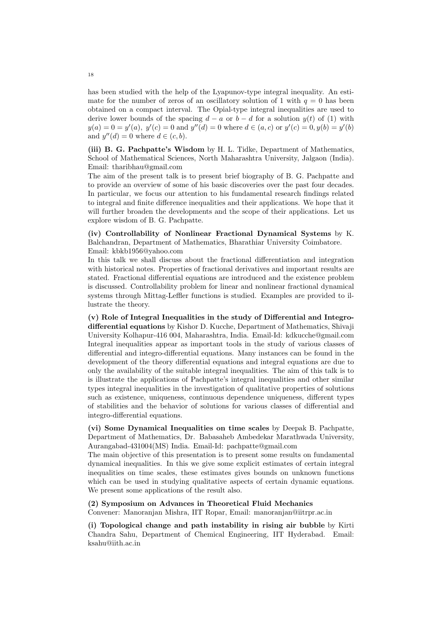has been studied with the help of the Lyapunov-type integral inequality. An estimate for the number of zeros of an oscillatory solution of 1 with  $q = 0$  has been obtained on a compact interval. The Opial-type integral inequalities are used to derive lower bounds of the spacing  $d - a$  or  $b - d$  for a solution  $y(t)$  of (1) with  $y(a) = 0 = y'(a), y'(c) = 0$  and  $y''(d) = 0$  where  $d \in (a, c)$  or  $y'(c) = 0, y(b) = y'(b)$ and  $y''(d) = 0$  where  $d \in (c, b)$ .

(iii) B. G. Pachpatte's Wisdom by H. L. Tidke, Department of Mathematics, School of Mathematical Sciences, North Maharashtra University, Jalgaon (India). Email: tharibhau@gmail.com

The aim of the present talk is to present brief biography of B. G. Pachpatte and to provide an overview of some of his basic discoveries over the past four decades. In particular, we focus our attention to his fundamental research findings related to integral and finite difference inequalities and their applications. We hope that it will further broaden the developments and the scope of their applications. Let us explore wisdom of B. G. Pachpatte.

(iv) Controllability of Nonlinear Fractional Dynamical Systems by K. Balchandran, Department of Mathematics, Bharathiar University Coimbatore. Email: kbkb1956@yahoo.com

In this talk we shall discuss about the fractional differentiation and integration with historical notes. Properties of fractional derivatives and important results are stated. Fractional differential equations are introduced and the existence problem is discussed. Controllability problem for linear and nonlinear fractional dynamical systems through Mittag-Leffler functions is studied. Examples are provided to illustrate the theory.

(v) Role of Integral Inequalities in the study of Differential and Integrodifferential equations by Kishor D. Kucche, Department of Mathematics, Shivaji University Kolhapur-416 004, Maharashtra, India. Email-Id: kdkucche@gmail.com Integral inequalities appear as important tools in the study of various classes of differential and integro-differential equations. Many instances can be found in the development of the theory differential equations and integral equations are due to only the availability of the suitable integral inequalities. The aim of this talk is to is illustrate the applications of Pachpatte's integral inequalities and other similar types integral inequalities in the investigation of qualitative properties of solutions such as existence, uniqueness, continuous dependence uniqueness, different types of stabilities and the behavior of solutions for various classes of differential and integro-differential equations.

## (vi) Some Dynamical Inequalities on time scales by Deepak B. Pachpatte, Department of Mathematics, Dr. Babasaheb Ambedekar Marathwada University, Aurangabad-431004(MS) India. Email-Id: pachpatte@gmail.com

The main objective of this presentation is to present some results on fundamental dynamical inequalities. In this we give some explicit estimates of certain integral inequalities on time scales, these estimates gives bounds on unknown functions which can be used in studying qualitative aspects of certain dynamic equations. We present some applications of the result also.

#### (2) Symposium on Advances in Theoretical Fluid Mechanics

Convener: Manoranjan Mishra, IIT Ropar, Email: manoranjan@iitrpr.ac.in

(i) Topological change and path instability in rising air bubble by Kirti Chandra Sahu, Department of Chemical Engineering, IIT Hyderabad. Email: ksahu@iith.ac.in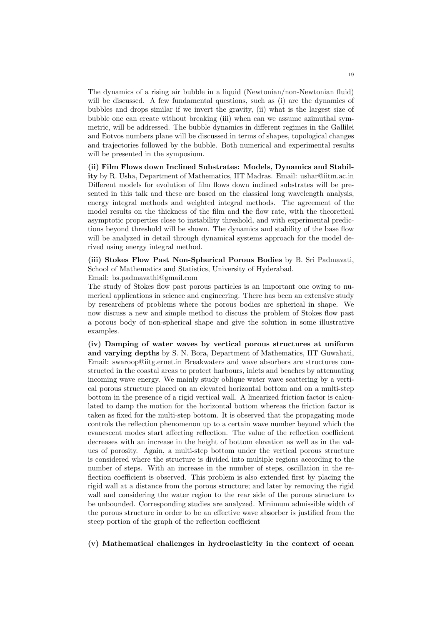The dynamics of a rising air bubble in a liquid (Newtonian/non-Newtonian fluid) will be discussed. A few fundamental questions, such as (i) are the dynamics of bubbles and drops similar if we invert the gravity, (ii) what is the largest size of bubble one can create without breaking (iii) when can we assume azimuthal symmetric, will be addressed. The bubble dynamics in different regimes in the Gallilei and Eotvos numbers plane will be discussed in terms of shapes, topological changes and trajectories followed by the bubble. Both numerical and experimental results will be presented in the symposium.

(ii) Film Flows down Inclined Substrates: Models, Dynamics and Stability by R. Usha, Department of Mathematics, IIT Madras. Email: ushar@iitm.ac.in Different models for evolution of film flows down inclined substrates will be presented in this talk and these are based on the classical long wavelength analysis, energy integral methods and weighted integral methods. The agreement of the model results on the thickness of the film and the flow rate, with the theoretical asymptotic properties close to instability threshold, and with experimental predictions beyond threshold will be shown. The dynamics and stability of the base flow will be analyzed in detail through dynamical systems approach for the model derived using energy integral method.

(iii) Stokes Flow Past Non-Spherical Porous Bodies by B. Sri Padmavati, School of Mathematics and Statistics, University of Hyderabad.

Email: bs.padmavathi@gmail.com

The study of Stokes flow past porous particles is an important one owing to numerical applications in science and engineering. There has been an extensive study by researchers of problems where the porous bodies are spherical in shape. We now discuss a new and simple method to discuss the problem of Stokes flow past a porous body of non-spherical shape and give the solution in some illustrative examples.

(iv) Damping of water waves by vertical porous structures at uniform and varying depths by S. N. Bora, Department of Mathematics, IIT Guwahati, Email: swaroop@iitg.ernet.in Breakwaters and wave absorbers are structures constructed in the coastal areas to protect harbours, inlets and beaches by attenuating incoming wave energy. We mainly study oblique water wave scattering by a vertical porous structure placed on an elevated horizontal bottom and on a multi-step bottom in the presence of a rigid vertical wall. A linearized friction factor is calculated to damp the motion for the horizontal bottom whereas the friction factor is taken as fixed for the multi-step bottom. It is observed that the propagating mode controls the reflection phenomenon up to a certain wave number beyond which the evanescent modes start affecting reflection. The value of the reflection coefficient decreases with an increase in the height of bottom elevation as well as in the values of porosity. Again, a multi-step bottom under the vertical porous structure is considered where the structure is divided into multiple regions according to the number of steps. With an increase in the number of steps, oscillation in the reflection coefficient is observed. This problem is also extended first by placing the rigid wall at a distance from the porous structure; and later by removing the rigid wall and considering the water region to the rear side of the porous structure to be unbounded. Corresponding studies are analyzed. Minimum admissible width of the porous structure in order to be an effective wave absorber is justified from the steep portion of the graph of the reflection coefficient

(v) Mathematical challenges in hydroelasticity in the context of ocean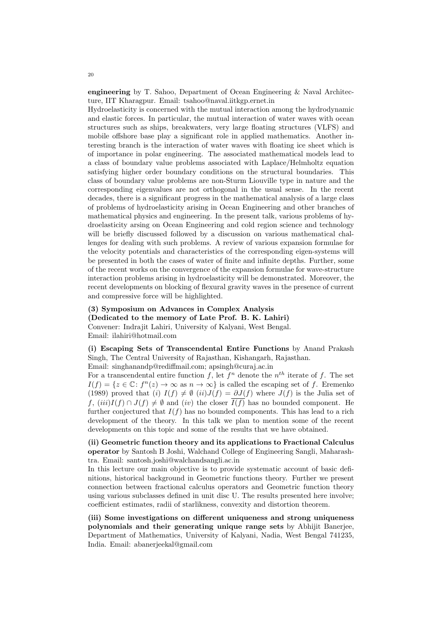engineering by T. Sahoo, Department of Ocean Engineering & Naval Architecture, IIT Kharagpur. Email: tsahoo@naval.iitkgp.ernet.in

Hydroelasticity is concerned with the mutual interaction among the hydrodynamic and elastic forces. In particular, the mutual interaction of water waves with ocean structures such as ships, breakwaters, very large floating structures (VLFS) and mobile offshore base play a significant role in applied mathematics. Another interesting branch is the interaction of water waves with floating ice sheet which is of importance in polar engineering. The associated mathematical models lead to a class of boundary value problems associated with Laplace/Helmholtz equation satisfying higher order boundary conditions on the structural boundaries. This class of boundary value problems are non-Sturm Liouville type in nature and the corresponding eigenvalues are not orthogonal in the usual sense. In the recent decades, there is a significant progress in the mathematical analysis of a large class of problems of hydroelasticity arising in Ocean Engineering and other branches of mathematical physics and engineering. In the present talk, various problems of hydroelasticity arsing on Ocean Engineering and cold region science and technology will be briefly discussed followed by a discussion on various mathematical challenges for dealing with such problems. A review of various expansion formulae for the velocity potentials and characteristics of the corresponding eigen-systems will be presented in both the cases of water of finite and infinite depths. Further, some of the recent works on the convergence of the expansion formulae for wave-structure interaction problems arising in hydroelasticity will be demonstrated. Moreover, the recent developments on blocking of flexural gravity waves in the presence of current and compressive force will be highlighted.

## (3) Symposium on Advances in Complex Analysis

(Dedicated to the memory of Late Prof. B. K. Lahiri)

Convener: Indrajit Lahiri, University of Kalyani, West Bengal. Email: ilahiri@hotmail.com

(i) Escaping Sets of Transcendental Entire Functions by Anand Prakash Singh, The Central University of Rajasthan, Kishangarh, Rajasthan.

Email: singhanandp@rediffmail.com; apsingh@curaj.ac.in

For a transcendental entire function f, let  $f^n$  denote the  $n^{th}$  iterate of f. The set  $I(f) = \{z \in \mathbb{C} : f^n(z) \to \infty \text{ as } n \to \infty\}$  is called the escaping set of f. Eremenko (1989) proved that (i)  $I(f) \neq \emptyset$  (ii) $J(f) = \partial J(f)$  where  $J(f)$  is the Julia set of f,  $(iii)I(f) \cap J(f) \neq \emptyset$  and  $(iv)$  the closer  $\overline{I(f)}$  has no bounded component. He further conjectured that  $I(f)$  has no bounded components. This has lead to a rich development of the theory. In this talk we plan to mention some of the recent developments on this topic and some of the results that we have obtained.

(ii) Geometric function theory and its applications to Fractional Calculus operator by Santosh B Joshi, Walchand College of Engineering Sangli, Maharashtra. Email: santosh.joshi@walchandsangli.ac.in

In this lecture our main objective is to provide systematic account of basic definitions, historical background in Geometric functions theory. Further we present connection between fractional calculus operators and Geometric function theory using various subclasses defined in unit disc U. The results presented here involve; coefficient estimates, radii of starlikness, convexity and distortion theorem.

(iii) Some investigations on different uniqueness and strong uniqueness polynomials and their generating unique range sets by Abhijit Banerjee, Department of Mathematics, University of Kalyani, Nadia, West Bengal 741235, India. Email: abanerjeekal@gmail.com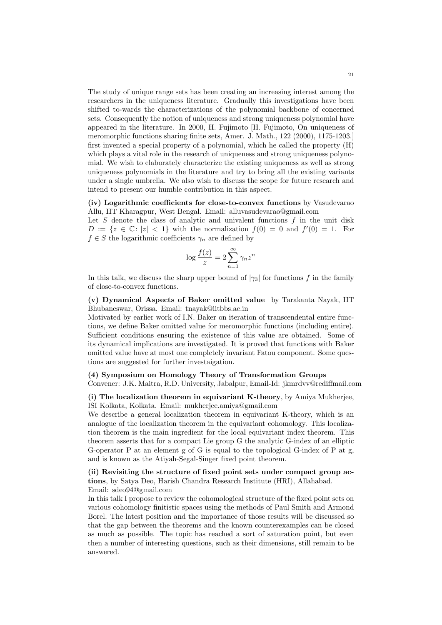The study of unique range sets has been creating an increasing interest among the researchers in the uniqueness literature. Gradually this investigations have been shifted to-wards the characterizations of the polynomial backbone of concerned sets. Consequently the notion of uniqueness and strong uniqueness polynomial have appeared in the literature. In 2000, H. Fujimoto [H. Fujimoto, On uniqueness of meromorphic functions sharing finite sets, Amer. J. Math., 122 (2000), 1175-1203.] first invented a special property of a polynomial, which he called the property (H) which plays a vital role in the research of uniqueness and strong uniqueness polynomial. We wish to elaborately characterize the existing uniqueness as well as strong uniqueness polynomials in the literature and try to bring all the existing variants under a single umbrella. We also wish to discuss the scope for future research and intend to present our humble contribution in this aspect.

(iv) Logarithmic coefficients for close-to-convex functions by Vasudevarao Allu, IIT Kharagpur, West Bengal. Email: alluvasudevarao@gmail.com

Let  $S$  denote the class of analytic and univalent functions  $f$  in the unit disk  $D := \{z \in \mathbb{C} : |z| < 1\}$  with the normalization  $f(0) = 0$  and  $f'(0) = 1$ . For  $f \in S$  the logarithmic coefficients  $\gamma_n$  are defined by

$$
\log \frac{f(z)}{z} = 2 \sum_{n=1}^{\infty} \gamma_n z^n
$$

In this talk, we discuss the sharp upper bound of  $|\gamma_3|$  for functions f in the family of close-to-convex functions.

(v) Dynamical Aspects of Baker omitted value by Tarakanta Nayak, IIT Bhubaneswar, Orissa. Email: tnayak@iitbbs.ac.in

Motivated by earlier work of I.N. Baker on iteration of transcendental entire functions, we define Baker omitted value for meromorphic functions (including entire). Sufficient conditions ensuring the existence of this value are obtained. Some of its dynamical implications are investigated. It is proved that functions with Baker omitted value have at most one completely invariant Fatou component. Some questions are suggested for further investaigation.

### (4) Symposium on Homology Theory of Transformation Groups

Convener: J.K. Maitra, R.D. University, Jabalpur, Email-Id: jkmrdvv@rediffmail.com

(i) The localization theorem in equivariant K-theory, by Amiya Mukherjee, ISI Kolkata, Kolkata. Email: mukherjee.amiya@gmail.com

We describe a general localization theorem in equivariant K-theory, which is an analogue of the localization theorem in the equivariant cohomology. This localization theorem is the main ingredient for the local equivariant index theorem. This theorem asserts that for a compact Lie group G the analytic G-index of an elliptic G-operator P at an element g of G is equal to the topological G-index of P at g, and is known as the Atiyah-Segal-Singer fixed point theorem.

## (ii) Revisiting the structure of fixed point sets under compact group actions, by Satya Deo, Harish Chandra Research Institute (HRI), Allahabad. Email: sdeo94@gmail.com

In this talk I propose to review the cohomological structure of the fixed point sets on various cohomology finitistic spaces using the methods of Paul Smith and Armond Borel. The latest position and the importance of those results will be discussed so that the gap between the theorems and the known counterexamples can be closed as much as possible. The topic has reached a sort of saturation point, but even then a number of interesting questions, such as their dimensions, still remain to be answered.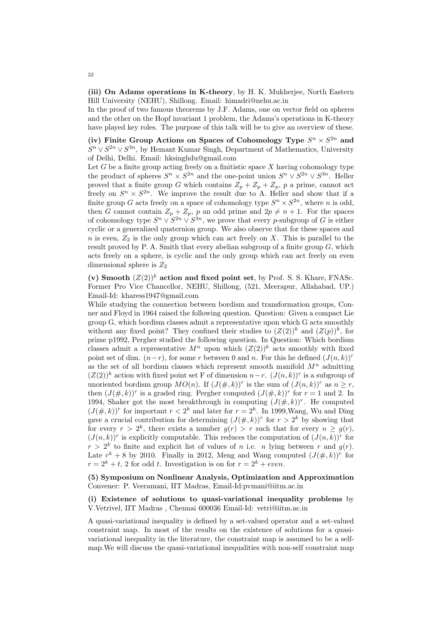(iii) On Adams operations in K-theory, by H. K. Mukherjee, North Eastern Hill University (NEHU), Shillong. Email: himadri@nehu.ac.in

In the proof of two famous theorems by J.F. Adams, one on vector field on spheres and the other on the Hopf invariant 1 problem, the Adams's operations in K-theory have played key roles. The purpose of this talk will be to give an overview of these.

(iv) Finite Group Actions on Spaces of Cohomology Type  $S^n \times S^{2n}$  and  $S<sup>n</sup> \vee S<sup>2n</sup> \vee S<sup>3n</sup>$ , by Hemant Kumar Singh, Department of Mathematics, University of Delhi, Delhi. Email: hksinghdu@gmail.com

Let  $G$  be a finite group acting freely on a finitistic space  $X$  having cohomology type the product of spheres  $S^n \times S^{2n}$  and the one-point union  $S^n \vee S^{2n} \vee S^{3n}$ . Heller proved that a finite group G which contains  $Z_p + Z_p + Z_p$ , p a prime, cannot act freely on  $S^n \times S^{2n}$ . We improve the result due to A. Heller and show that if a finite group G acts freely on a space of cohomology type  $S^n \times S^{2n}$ , where n is odd, then G cannot contain  $Z_p + Z_p$ , p an odd prime and  $2p \neq n + 1$ . For the spaces of cohomology type  $S^n \vee S^{2n} \vee S^{3n}$ , we prove that every p-subgroup of G is either cyclic or a generalized quaternion group. We also observe that for these spaces and  $n$  is even,  $Z_2$  is the only group which can act freely on  $X$ . This is parallel to the result proved by P. A. Smith that every abelian subgroup of a finite group  $G$ , which acts freely on a sphere, is cyclic and the only group which can act freely on even dimensional sphere is  $Z_2$ 

(v) Smooth  $(Z(2))^k$  action and fixed point set, by Prof. S. S. Khare, FNASc. Former Pro Vice Chancellor, NEHU, Shillong, (521, Meerapur, Allahabad, UP.) Email-Id: kharess1947@gmail.com

While studying the connection between bordism and transformation groups, Conner and Floyd in 1964 raised the following question. Question: Given a compact Lie group G, which bordism classes admit a representative upon which G acts smoothly without any fixed point? They confined their studies to  $(Z(2))^k$  and  $(Z(p))^k$ , for prime p1992, Pergher studied the following question. In Question: Which bordism classes admit a representative  $M^n$  upon which  $(Z(2))^k$  acts smoothly with fixed point set of dim.  $(n-r)$ , for some r between 0 and n. For this he defined  $(J(n, k))^r$ as the set of all bordism classes which represent smooth manifold  $M<sup>n</sup>$  admitting  $(Z(2))^k$  action with fixed point set F of dimension  $n-r$ .  $(J(n, k))^r$  is a subgroup of unoriented bordism group  $MO(n)$ . If  $(J(\#, k))^r$  is the sum of  $(J(n, k))^r$  as  $n \geq r$ , then  $(J(\#,k))^r$  is a graded ring. Pergher computed  $(J(\#,k))^r$  for  $r=1$  and 2. In 1994, Shaker got the most breakthrough in computing  $(J(\#, k))^r$ . He computed  $(J(\#, k))^r$  for important  $r < 2^k$  and later for  $r = 2^k$ . In 1999, Wang, Wu and Ding gave a crucial contribution for determining  $(J(\#, k))^r$  for  $r > 2^k$  by showing that for every  $r > 2^k$ , there exists a number  $g(r) > r$  such that for every  $n \geq g(r)$ ,  $(J(n,k))^r$  is explicitly computable. This reduces the computation of  $(J(n,k))^r$  for  $r > 2<sup>k</sup>$  to finite and explicit list of values of n i.e. n lying between r and  $g(r)$ . Late  $r^k + 8$  by 2010. Finally in 2012, Meng and Wang computed  $(J(\#, k))^r$  for  $r = 2<sup>k</sup> + t$ , 2 for odd t. Investigation is on for  $r = 2<sup>k</sup> + even$ .

(5) Symposium on Nonlinear Analysis, Optimization and Approximation Convener: P. Veeramani, IIT Madras, Email-Id:pvmani@iitm.ac.in

## (i) Existence of solutions to quasi-variational inequality problems by V.Vetrivel, IIT Madras , Chennai 600036 Email-Id: vetri@iitm.ac.in

A quasi-variational inequality is defined by a set-valued operator and a set-valued constraint map. In most of the results on the existence of solutions for a quasivariational inequality in the literature, the constraint map is assumed to be a selfmap.We will discuss the quasi-variational inequalities with non-self constraint map

22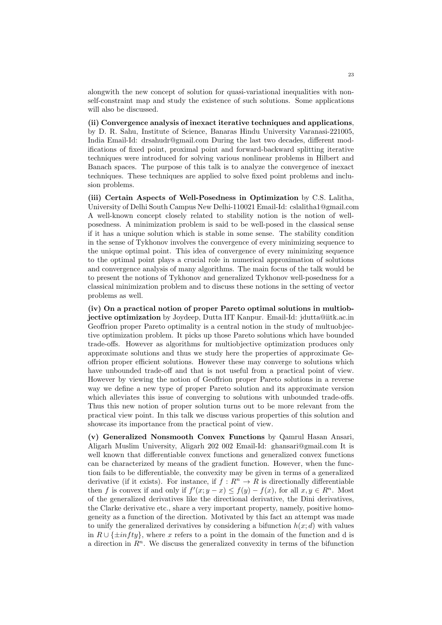alongwith the new concept of solution for quasi-variational inequalities with nonself-constraint map and study the existence of such solutions. Some applications will also be discussed.

(ii) Convergence analysis of inexact iterative techniques and applications, by D. R. Sahu, Institute of Science, Banaras Hindu University Varanasi-221005, India Email-Id: drsahudr@gmail.com During the last two decades, different modifications of fixed point, proximal point and forward-backward splitting iterative techniques were introduced for solving various nonlinear problems in Hilbert and Banach spaces. The purpose of this talk is to analyze the convergence of inexact techniques. These techniques are applied to solve fixed point problems and inclusion problems.

(iii) Certain Aspects of Well-Posedness in Optimization by C.S. Lalitha, University of Delhi South Campus New Delhi-110021 Email-Id: cslalitha1@gmail.com A well-known concept closely related to stability notion is the notion of wellposedness. A minimization problem is said to be well-posed in the classical sense if it has a unique solution which is stable in some sense. The stability condition in the sense of Tykhonov involves the convergence of every minimizing sequence to the unique optimal point. This idea of convergence of every minimizing sequence to the optimal point plays a crucial role in numerical approximation of solutions and convergence analysis of many algorithms. The main focus of the talk would be to present the notions of Tykhonov and generalized Tykhonov well-posedness for a classical minimization problem and to discuss these notions in the setting of vector problems as well.

(iv) On a practical notion of proper Pareto optimal solutions in multiobjective optimization by Joydeep, Dutta IIT Kanpur. Email-Id: jdutta@iitk.ac.in Geoffrion proper Pareto optimality is a central notion in the study of multuobjective optimization problem. It picks up those Pareto solutions which have bounded trade-offs. However as algorithms for multiobjective optimization produces only approximate solutions and thus we study here the properties of approximate Geoffrion proper efficient solutions. However these may converge to solutions which have unbounded trade-off and that is not useful from a practical point of view. However by viewing the notion of Geoffrion proper Pareto solutions in a reverse way we define a new type of proper Pareto solution and its approximate version which alleviates this issue of converging to solutions with unbounded trade-offs. Thus this new notion of proper solution turns out to be more relevant from the practical view point. In this talk we discuss various properties of this solution and showcase its importance from the practical point of view.

(v) Generalized Nonsmooth Convex Functions by Qamrul Hasan Ansari, Aligarh Muslim University, Aligarh 202 002 Email-Id: ghansari@gmail.com It is well known that differentiable convex functions and generalized convex functions can be characterized by means of the gradient function. However, when the function fails to be differentiable, the convexity may be given in terms of a generalized derivative (if it exists). For instance, if  $f: \mathbb{R}^n \to \mathbb{R}$  is directionally differentiable then f is convex if and only if  $f'(x; y - x) \leq f(y) - f(x)$ , for all  $x, y \in \mathbb{R}^n$ . Most of the generalized derivatives like the directional derivative, the Dini derivatives, the Clarke derivative etc., share a very important property, namely, positive homogeneity as a function of the direction. Motivated by this fact an attempt was made to unify the generalized derivatives by considering a bifunction  $h(x; d)$  with values in  $R \cup {\{\pm infty\}}$ , where x refers to a point in the domain of the function and d is a direction in  $R<sup>n</sup>$ . We discuss the generalized convexity in terms of the bifunction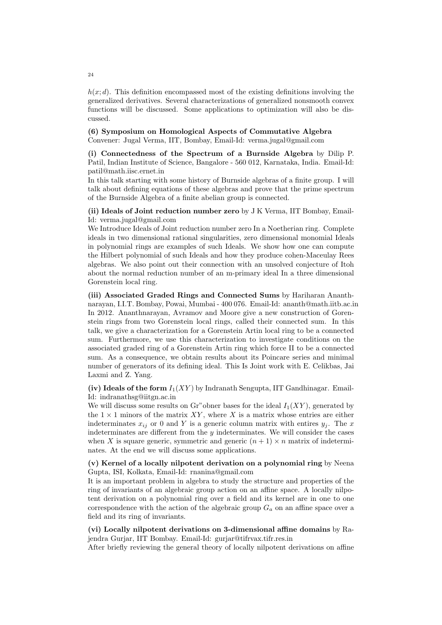$h(x; d)$ . This definition encompassed most of the existing definitions involving the generalized derivatives. Several characterizations of generalized nonsmooth convex functions will be discussed. Some applications to optimization will also be discussed.

## (6) Symposium on Homological Aspects of Commutative Algebra Convener: Jugal Verma, IIT, Bombay, Email-Id: verma.jugal@gmail.com

(i) Connectedness of the Spectrum of a Burnside Algebra by Dilip P. Patil, Indian Institute of Science, Bangalore - 560 012, Karnataka, India. Email-Id: patil@math.iisc.ernet.in

In this talk starting with some history of Burnside algebras of a finite group. I will talk about defining equations of these algebras and prove that the prime spectrum of the Burnside Algebra of a finite abelian group is connected.

## (ii) Ideals of Joint reduction number zero by J K Verma, IIT Bombay, Email-Id: verma.jugal@gmail.com

We Introduce Ideals of Joint reduction number zero In a Noetherian ring. Complete ideals in two dimensional rational singularities, zero dimensional monomial Ideals in polynomial rings are examples of such Ideals. We show how one can compute the Hilbert polynomial of such Ideals and how they produce cohen-Maceulay Rees algebras. We also point out their connection with an unsolved conjecture of Itoh about the normal reduction number of an m-primary ideal In a three dimensional Gorenstein local ring.

(iii) Associated Graded Rings and Connected Sums by Hariharan Ananthnarayan, I.I.T. Bombay, Powai, Mumbai - 400 076. Email-Id: ananth@math.iitb.ac.in In 2012. Ananthnarayan, Avramov and Moore give a new construction of Gorenstein rings from two Gorenstein local rings, called their connected sum. In this talk, we give a characterization for a Gorenstein Artin local ring to be a connected sum. Furthermore, we use this characterization to investigate conditions on the associated graded ring of a Gorenstein Artin ring which force II to be a connected sum. As a consequence, we obtain results about its Poincare series and minimal number of generators of its defining ideal. This Is Joint work with E. Celikbas, Jai Laxmi and Z. Yang.

(iv) Ideals of the form  $I_1(XY)$  by Indranath Sengupta, IIT Gandhinagar. Email-Id: indranathsg@iitgn.ac.in

We will discuss some results on Gr"obner bases for the ideal  $I_1(XY)$ , generated by the  $1 \times 1$  minors of the matrix XY, where X is a matrix whose entries are either indeterminates  $x_{ij}$  or 0 and Y is a generic column matrix with entires  $y_j$ . The x indeterminates are different from the  $y$  indeterminates. We will consider the cases when X is square generic, symmetric and generic  $(n + 1) \times n$  matrix of indeterminates. At the end we will discuss some applications.

## (v) Kernel of a locally nilpotent derivation on a polynomial ring by Neena Gupta, ISI, Kolkata, Email-Id: rnanina@gmail.com

It is an important problem in algebra to study the structure and properties of the ring of invariants of an algebraic group action on an affine space. A locally nilpotent derivation on a polynomial ring over a field and its kernel are in one to one correspondence with the action of the algebraic group  $G_a$  on an affine space over a field and its ring of invariants.

(vi) Locally nilpotent derivations on 3-dimensional affine domains by Rajendra Gurjar, IIT Bombay. Email-Id: gurjar@tifrvax.tifr.res.in

After briefly reviewing the general theory of locally nilpotent derivations on affine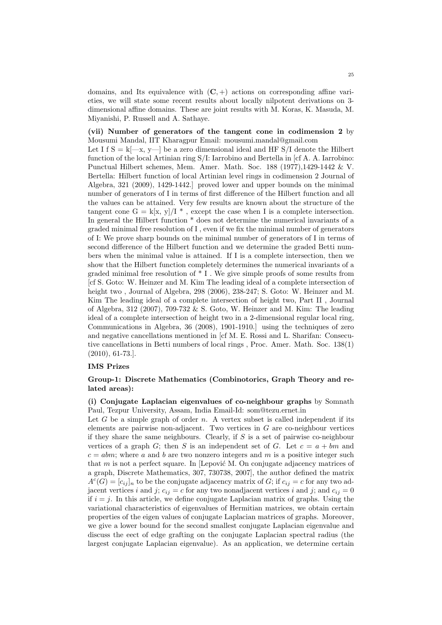domains, and Its equivalence with  $(C, +)$  actions on corresponding affine varieties, we will state some recent results about locally nilpotent derivations on 3 dimensional affine domains. These are joint results with M. Koras, K. Masuda, M. Miyanishi, P. Russell and A. Sathaye.

(vii) Number of generators of the tangent cone in codimension 2 by Mousumi Mandal, IIT Kharagpur Email: mousumi.mandal@gmail.com Let I f  $S = k[-x, y]$  be a zero dimensional ideal and HF S/I denote the Hilbert function of the local Artinian ring S/I: Iarrobino and Bertella in [cf A. A. Iarrobino: Punctual Hilbert schemes, Mem. Amer. Math. Soc. 188 (1977),1429-1442 & V. Bertella: Hilbert function of local Artinian level rings in codimension 2 Journal of Algebra, 321 (2009), 1429-1442.] proved lower and upper bounds on the minimal number of generators of I in terms of first difference of the Hilbert function and all the values can be attained. Very few results are known about the structure of the tangent cone G = k[x, y]/I  $*$ , except the case when I is a complete intersection. In general the Hilbert function \* does not determine the numerical invariants of a graded minimal free resolution of I , even if we fix the minimal number of generators of I: We prove sharp bounds on the minimal number of generators of I in terms of second difference of the Hilbert function and we determine the graded Betti numbers when the minimal value is attained. If I is a complete intersection, then we show that the Hilbert function completely determines the numerical invariants of a graded minimal free resolution of \* I . We give simple proofs of some results from [cf S. Goto: W. Heinzer and M. Kim The leading ideal of a complete intersection of height two , Journal of Algebra, 298 (2006), 238-247; S. Goto: W. Heinzer and M. Kim The leading ideal of a complete intersection of height two, Part II , Journal of Algebra, 312 (2007), 709-732 & S. Goto, W. Heinzer and M. Kim: The leading ideal of a complete intersection of height two in a 2-dimensional regular local ring, Communications in Algebra, 36 (2008), 1901-1910.] using the techniques of zero and negative cancellations mentioned in [cf M. E. Rossi and L. Sharifan: Consecutive cancellations in Betti numbers of local rings , Proc. Amer. Math. Soc. 138(1) (2010), 61-73.].

#### IMS Prizes

## Group-1: Discrete Mathematics (Combinotorics, Graph Theory and related areas):

(i) Conjugate Laplacian eigenvalues of co-neighbour graphs by Somnath Paul, Tezpur University, Assam, India Email-Id: som@tezu.ernet.in

Let  $G$  be a simple graph of order  $n$ . A vertex subset is called independent if its elements are pairwise non-adjacent. Two vertices in  $G$  are co-neighbour vertices if they share the same neighbours. Clearly, if  $S$  is a set of pairwise co-neighbour vertices of a graph G; then S is an independent set of G. Let  $c = a + bm$  and  $c = abm$ ; where a and b are two nonzero integers and m is a positive integer such that  $m$  is not a perfect square. In [Lepović M. On conjugate adjacency matrices of a graph, Discrete Mathematics, 307, 730738, 2007], the author defined the matrix  $A<sup>c</sup>(G) = [c_{ij}]<sub>n</sub>$  to be the conjugate adjacency matrix of G; if  $c_{ij} = c$  for any two adjacent vertices i and j;  $c_{ij} = c$  for any two nonadjacent vertices i and j; and  $c_{ij} = 0$ if  $i = j$ . In this article, we define conjugate Laplacian matrix of graphs. Using the variational characteristics of eigenvalues of Hermitian matrices, we obtain certain properties of the eigen values of conjugate Laplacian matrices of graphs. Moreover, we give a lower bound for the second smallest conjugate Laplacian eigenvalue and discuss the eect of edge grafting on the conjugate Laplacian spectral radius (the largest conjugate Laplacian eigenvalue). As an application, we determine certain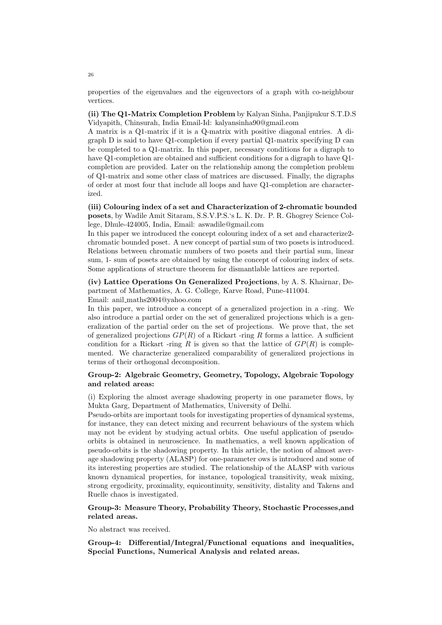properties of the eigenvalues and the eigenvectors of a graph with co-neighbour vertices.

(ii) The Q1-Matrix Completion Problem by Kalyan Sinha, Panjipukur S.T.D.S Vidyapith, Chinsurah, India Email-Id: kalyansinha90@gmail.com

A matrix is a Q1-matrix if it is a Q-matrix with positive diagonal entries. A digraph D is said to have Q1-completion if every partial Q1-matrix specifying D can be completed to a Q1-matrix. In this paper, necessary conditions for a digraph to have Q1-completion are obtained and sufficient conditions for a digraph to have Q1 completion are provided. Later on the relationship among the completion problem of Q1-matrix and some other class of matrices are discussed. Finally, the digraphs of order at most four that include all loops and have Q1-completion are characterized.

(iii) Colouring index of a set and Characterization of 2-chromatic bounded posets, by Wadile Amit Sitaram, S.S.V.P.S.'s L. K. Dr. P. R. Ghogrey Science College, Dhule-424005, India, Email: aswadile@gmail.com

In this paper we introduced the concept colouring index of a set and characterize2 chromatic bounded poset. A new concept of partial sum of two posets is introduced. Relations between chromatic numbers of two posets and their partial sum, linear sum, 1- sum of posets are obtained by using the concept of colouring index of sets. Some applications of structure theorem for dismantlable lattices are reported.

(iv) Lattice Operations On Generalized Projections, by A. S. Khairnar, Department of Mathematics, A. G. College, Karve Road, Pune-411004. Email: anil maths2004@yahoo.com

In this paper, we introduce a concept of a generalized projection in a -ring. We also introduce a partial order on the set of generalized projections which is a generalization of the partial order on the set of projections. We prove that, the set of generalized projections  $GP(R)$  of a Rickart -ring R forms a lattice. A sufficient condition for a Rickart -ring R is given so that the lattice of  $\mathbb{CP}(R)$  is complemented. We characterize generalized comparability of generalized projections in terms of their orthogonal decomposition.

## Group-2: Algebraic Geometry, Geometry, Topology, Algebraic Topology and related areas:

(i) Exploring the almost average shadowing property in one parameter flows, by Mukta Garg, Department of Mathematics, University of Delhi.

Pseudo-orbits are important tools for investigating properties of dynamical systems, for instance, they can detect mixing and recurrent behaviours of the system which may not be evident by studying actual orbits. One useful application of pseudoorbits is obtained in neuroscience. In mathematics, a well known application of pseudo-orbits is the shadowing property. In this article, the notion of almost average shadowing property (ALASP) for one-parameter ows is introduced and some of its interesting properties are studied. The relationship of the ALASP with various known dynamical properties, for instance, topological transitivity, weak mixing, strong ergodicity, proximality, equicontinuity, sensitivity, distality and Takens and Ruelle chaos is investigated.

## Group-3: Measure Theory, Probability Theory, Stochastic Processes,and related areas.

No abstract was received.

Group-4: Differential/Integral/Functional equations and inequalities, Special Functions, Numerical Analysis and related areas.

26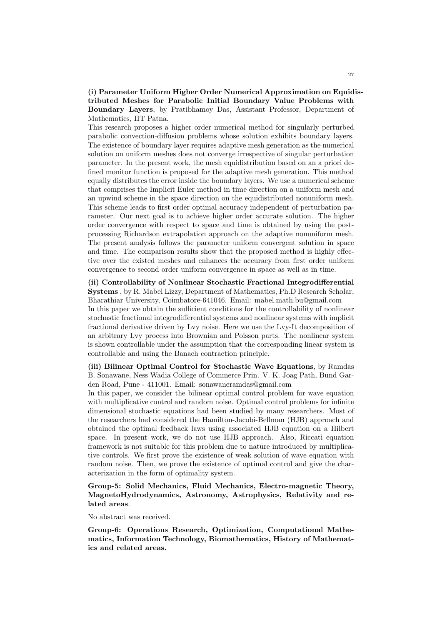(i) Parameter Uniform Higher Order Numerical Approximation on Equidistributed Meshes for Parabolic Initial Boundary Value Problems with Boundary Layers, by Pratibhamoy Das, Assistant Professor, Department of Mathematics, IIT Patna.

This research proposes a higher order numerical method for singularly perturbed parabolic convection-diffusion problems whose solution exhibits boundary layers. The existence of boundary layer requires adaptive mesh generation as the numerical solution on uniform meshes does not converge irrespective of singular perturbation parameter. In the present work, the mesh equidistribution based on an a priori defined monitor function is proposed for the adaptive mesh generation. This method equally distributes the error inside the boundary layers. We use a numerical scheme that comprises the Implicit Euler method in time direction on a uniform mesh and an upwind scheme in the space direction on the equidistributed nonuniform mesh. This scheme leads to first order optimal accuracy independent of perturbation parameter. Our next goal is to achieve higher order accurate solution. The higher order convergence with respect to space and time is obtained by using the postprocessing Richardson extrapolation approach on the adaptive nonuniform mesh. The present analysis follows the parameter uniform convergent solution in space and time. The comparison results show that the proposed method is highly effective over the existed meshes and enhances the accuracy from first order uniform convergence to second order uniform convergence in space as well as in time.

(ii) Controllability of Nonlinear Stochastic Fractional Integrodifferential Systems , by R. Mabel Lizzy, Department of Mathematics, Ph.D Research Scholar, Bharathiar University, Coimbatore-641046. Email: mabel.math.bu@gmail.com In this paper we obtain the sufficient conditions for the controllability of nonlinear stochastic fractional integrodifferential systems and nonlinear systems with implicit fractional derivative driven by Lvy noise. Here we use the Lvy-It decomposition of an arbitrary Lvy process into Brownian and Poisson parts. The nonlinear system is shown controllable under the assumption that the corresponding linear system is controllable and using the Banach contraction principle.

(iii) Bilinear Optimal Control for Stochastic Wave Equations, by Ramdas B. Sonawane, Ness Wadia College of Commerce Prin. V. K. Joag Path, Bund Garden Road, Pune - 411001. Email: sonawaneramdas@gmail.com

In this paper, we consider the bilinear optimal control problem for wave equation with multiplicative control and random noise. Optimal control problems for infinite dimensional stochastic equations had been studied by many researchers. Most of the researchers had considered the Hamilton-Jacobi-Bellman (HJB) approach and obtained the optimal feedback laws using associated HJB equation on a Hilbert space. In present work, we do not use HJB approach. Also, Riccati equation framework is not suitable for this problem due to nature introduced by multiplicative controls. We first prove the existence of weak solution of wave equation with random noise. Then, we prove the existence of optimal control and give the characterization in the form of optimality system.

Group-5: Solid Mechanics, Fluid Mechanics, Electro-magnetic Theory, MagnetoHydrodynamics, Astronomy, Astrophysics, Relativity and related areas.

No abstract was received.

Group-6: Operations Research, Optimization, Computational Mathematics, Information Technology, Biomathematics, History of Mathematics and related areas.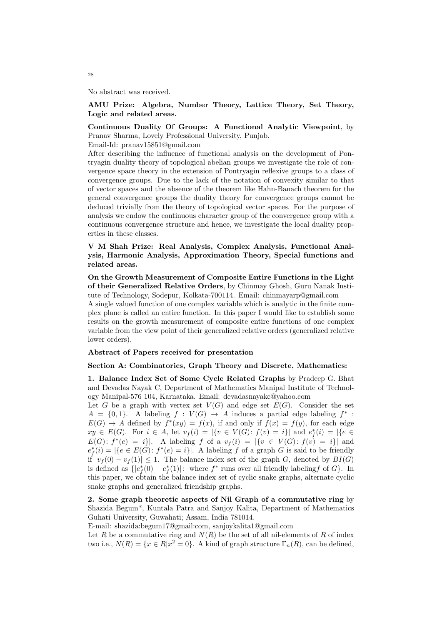No abstract was received.

## AMU Prize: Algebra, Number Theory, Lattice Theory, Set Theory, Logic and related areas.

## Continuous Duality Of Groups: A Functional Analytic Viewpoint, by Pranav Sharma, Lovely Professional University, Punjab.

Email-Id: pranav15851@gmail.com

After describing the influence of functional analysis on the development of Pontryagin duality theory of topological abelian groups we investigate the role of convergence space theory in the extension of Pontryagin reflexive groups to a class of convergence groups. Due to the lack of the notation of convexity similar to that of vector spaces and the absence of the theorem like Hahn-Banach theorem for the general convergence groups the duality theory for convergence groups cannot be deduced trivially from the theory of topological vector spaces. For the purpose of analysis we endow the continuous character group of the convergence group with a continuous convergence structure and hence, we investigate the local duality properties in these classes.

V M Shah Prize: Real Analysis, Complex Analysis, Functional Analysis, Harmonic Analysis, Approximation Theory, Special functions and related areas.

On the Growth Measurement of Composite Entire Functions in the Light of their Generalized Relative Orders, by Chinmay Ghosh, Guru Nanak Institute of Technology, Sodepur, Kolkata-700114. Email: chinmayarp@gmail.com

A single valued function of one complex variable which is analytic in the finite complex plane is called an entire function. In this paper I would like to establish some results on the growth measurement of composite entire functions of one complex variable from the view point of their generalized relative orders (generalized relative lower orders).

## Abstract of Papers received for presentation

### Section A: Combinatorics, Graph Theory and Discrete, Mathematics:

1. Balance Index Set of Some Cycle Related Graphs by Pradeep G. Bhat and Devadas Nayak C, Department of Mathematics Manipal Institute of Technology Manipal-576 104, Karnataka. Email: devadasnayakc@yahoo.com

Let G be a graph with vertex set  $V(G)$  and edge set  $E(G)$ . Consider the set  $A = \{0,1\}$ . A labeling  $f : V(G) \to A$  induces a partial edge labeling  $f^*$ :  $E(G) \rightarrow A$  defined by  $f^*(xy) = f(x)$ , if and only if  $f(x) = f(y)$ , for each edge  $xy \in E(G)$ . For  $i \in A$ , let  $v_f(i) = |\{v \in V(G) : f(v) = i\}|$  and  $e_f^*(i) = |\{e \in A\}|$  $E(G): f^{*}(e) = i$ . A labeling f of a  $v_{f}(i) = |\{v \in V(G): f(v) = i\}|$  and  $e_f^*(i) = |\{e \in E(G) : f^*(e) = i\}|.$  A labeling f of a graph G is said to be friendly if  $|v_f(0) - v_f(1)| \leq 1$ . The balance index set of the graph G, denoted by  $BI(G)$ is defined as  $\{|e_f^*(0) - e_f^*(1)|:$  where  $f^*$  runs over all friendly labeling for  $G$ . In this paper, we obtain the balance index set of cyclic snake graphs, alternate cyclic snake graphs and generalized friendship graphs.

2. Some graph theoretic aspects of Nil Graph of a commutative ring by Shazida Begum\*, Kuntala Patra and Sanjoy Kalita, Department of Mathematics Guhati University, Guwahati; Assam, India 781014.

E-mail: shazida:begum17@gmail:com, sanjoykalita1@gmail.com

Let R be a commutative ring and  $N(R)$  be the set of all nil-elements of R of index two i.e.,  $N(R) = \{x \in R | x^2 = 0\}$ . A kind of graph structure  $\Gamma_n(R)$ , can be defined,

28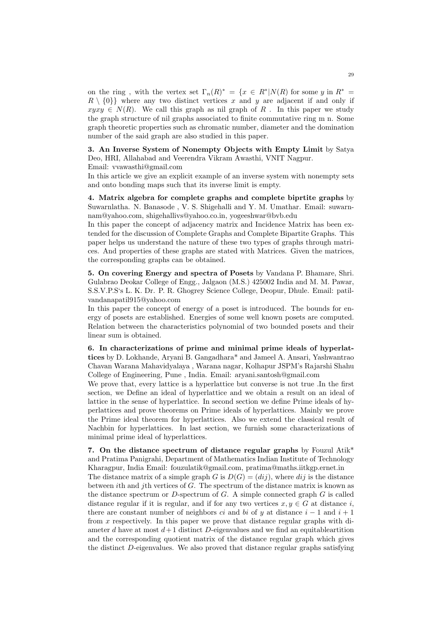on the ring, with the vertex set  $\Gamma_n(R)^* = \{x \in R^* | N(R) \text{ for some } y \text{ in } R^* =$  $R \setminus \{0\}$  where any two distinct vertices x and y are adjacent if and only if  $xyxy \in N(R)$ . We call this graph as nil graph of R. In this paper we study the graph structure of nil graphs associated to finite commutative ring m n. Some graph theoretic properties such as chromatic number, diameter and the domination number of the said graph are also studied in this paper.

3. An Inverse System of Nonempty Objects with Empty Limit by Satya Deo, HRI, Allahabad and Veerendra Vikram Awasthi, VNIT Nagpur. Email: vvawasthi@gmail.com

In this article we give an explicit example of an inverse system with nonempty sets and onto bonding maps such that its inverse limit is empty.

4. Matrix algebra for complete graphs and complete biprtite graphs by Suwarnlatha. N. Banasode , V. S. Shigehalli and Y. M. Umathar. Email: suwarnnam@yahoo.com, shigehallivs@yahoo.co.in, yogeeshwar@bvb.edu

In this paper the concept of adjacency matrix and Incidence Matrix has been extended for the discussion of Complete Graphs and Complete Bipartite Graphs. This paper helps us understand the nature of these two types of graphs through matrices. And properties of these graphs are stated with Matrices. Given the matrices, the corresponding graphs can be obtained.

5. On covering Energy and spectra of Posets by Vandana P. Bhamare, Shri. Gulabrao Deokar College of Engg., Jalgaon (M.S.) 425002 India and M. M. Pawar, S.S.V.P.S's L. K. Dr. P. R. Ghogrey Science College, Deopur, Dhule. Email: patilvandanapatil915@yahoo.com

In this paper the concept of energy of a poset is introduced. The bounds for energy of posets are established. Energies of some well known posets are computed. Relation between the characteristics polynomial of two bounded posets and their linear sum is obtained.

6. In characterizations of prime and minimal prime ideals of hyperlattices by D. Lokhande, Aryani B. Gangadhara\* and Jameel A. Ansari, Yashwantrao Chavan Warana Mahavidyalaya , Warana nagar, Kolhapur JSPM's Rajarshi Shahu College of Engineering, Pune , India. Email: aryani.santosh@gmail.com

We prove that, every lattice is a hyperlattice but converse is not true .In the first section, we Define an ideal of hyperlattice and we obtain a result on an ideal of lattice in the sense of hyperlattice. In second section we define Prime ideals of hyperlattices and prove theorems on Prime ideals of hyperlattices. Mainly we prove the Prime ideal theorem for hyperlattices. Also we extend the classical result of Nachbin for hyperlattices. In last section, we furnish some characterizations of minimal prime ideal of hyperlattices.

7. On the distance spectrum of distance regular graphs by Fouzul Atik\* and Pratima Panigrahi, Department of Mathematics Indian Institute of Technology Kharagpur, India Email: fouzulatik@gmail.com, pratima@maths.iitkgp.ernet.in

The distance matrix of a simple graph G is  $D(G) = (di)$ , where  $dij$  is the distance between ith and jth vertices of G. The spectrum of the distance matrix is known as the distance spectrum or  $D$ -spectrum of  $G$ . A simple connected graph  $G$  is called distance regular if it is regular, and if for any two vertices  $x, y \in G$  at distance i, there are constant number of neighbors *ci* and bi of y at distance  $i - 1$  and  $i + 1$ from x respectively. In this paper we prove that distance regular graphs with diameter d have at most  $d+1$  distinct D-eigenvalues and we find an equitableartition and the corresponding quotient matrix of the distance regular graph which gives the distinct D-eigenvalues. We also proved that distance regular graphs satisfying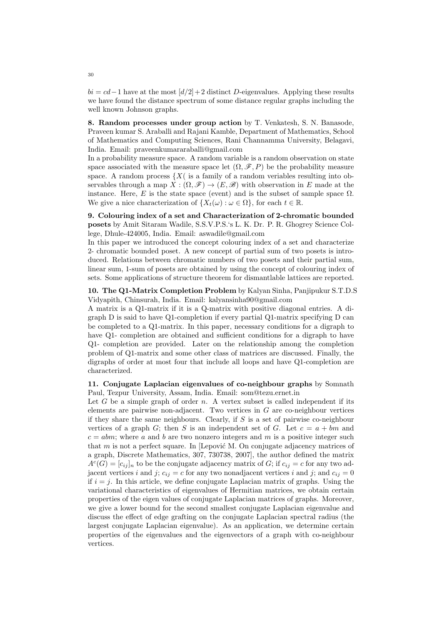$bi = cd - 1$  have at the most  $\lbrack d/2 \rbrack + 2$  distinct D-eigenvalues. Applying these results we have found the distance spectrum of some distance regular graphs including the well known Johnson graphs.

8. Random processes under group action by T. Venkatesh, S. N. Banasode, Praveen kumar S. Araballi and Rajani Kamble, Department of Mathematics, School of Mathematics and Computing Sciences, Rani Channamma University, Belagavi, India. Email: praveenkumararaballi@gmail.com

In a probability measure space. A random variable is a random observation on state space associated with the measure space let  $(\Omega, \mathscr{F}, P)$  be the probability measure space. A random process  $\{X(\)$  is a family of a random veriables resulting into observables through a map  $X : (\Omega, \mathscr{F}) \to (E, \mathscr{B})$  with observation in E made at the instance. Here, E is the state space (event) and is the subset of sample space  $\Omega$ . We give a nice characterization of  $\{X_t(\omega): \omega \in \Omega\}$ , for each  $t \in \mathbb{R}$ .

9. Colouring index of a set and Characterization of 2-chromatic bounded posets by Amit Sitaram Wadile, S.S.V.P.S.'s L. K. Dr. P. R. Ghogrey Science College, Dhule-424005, India. Email: aswadile@gmail.com

In this paper we introduced the concept colouring index of a set and characterize 2- chromatic bounded poset. A new concept of partial sum of two posets is introduced. Relations between chromatic numbers of two posets and their partial sum, linear sum, 1-sum of posets are obtained by using the concept of colouring index of sets. Some applications of structure theorem for dismantlable lattices are reported.

10. The Q1-Matrix Completion Problem by Kalyan Sinha, Panjipukur S.T.D.S Vidyapith, Chinsurah, India. Email: kalyansinha90@gmail.com

A matrix is a Q1-matrix if it is a Q-matrix with positive diagonal entries. A digraph D is said to have Q1-completion if every partial Q1-matrix specifying D can be completed to a Q1-matrix. In this paper, necessary conditions for a digraph to have Q1- completion are obtained and sufficient conditions for a digraph to have Q1- completion are provided. Later on the relationship among the completion problem of Q1-matrix and some other class of matrices are discussed. Finally, the digraphs of order at most four that include all loops and have Q1-completion are characterized.

11. Conjugate Laplacian eigenvalues of co-neighbour graphs by Somnath Paul, Tezpur University, Assam, India. Email: som@tezu.ernet.in

Let  $G$  be a simple graph of order  $n$ . A vertex subset is called independent if its elements are pairwise non-adjacent. Two vertices in  $G$  are co-neighbour vertices if they share the same neighbours. Clearly, if  $S$  is a set of pairwise co-neighbour vertices of a graph G; then S is an independent set of G. Let  $c = a + bm$  and  $c = abm$ ; where a and b are two nonzero integers and m is a positive integer such that  $m$  is not a perfect square. In [Lepović M. On conjugate adjacency matrices of a graph, Discrete Mathematics, 307, 730738, 2007], the author defined the matrix  $A<sup>c</sup>(G) = [c_{ij}]<sub>n</sub>$  to be the conjugate adjacency matrix of G; if  $c_{ij} = c$  for any two adjacent vertices i and j;  $c_{ij} = c$  for any two nonadjacent vertices i and j; and  $c_{ij} = 0$ if  $i = j$ . In this article, we define conjugate Laplacian matrix of graphs. Using the variational characteristics of eigenvalues of Hermitian matrices, we obtain certain properties of the eigen values of conjugate Laplacian matrices of graphs. Moreover, we give a lower bound for the second smallest conjugate Laplacian eigenvalue and discuss the effect of edge grafting on the conjugate Laplacian spectral radius (the largest conjugate Laplacian eigenvalue). As an application, we determine certain properties of the eigenvalues and the eigenvectors of a graph with co-neighbour vertices.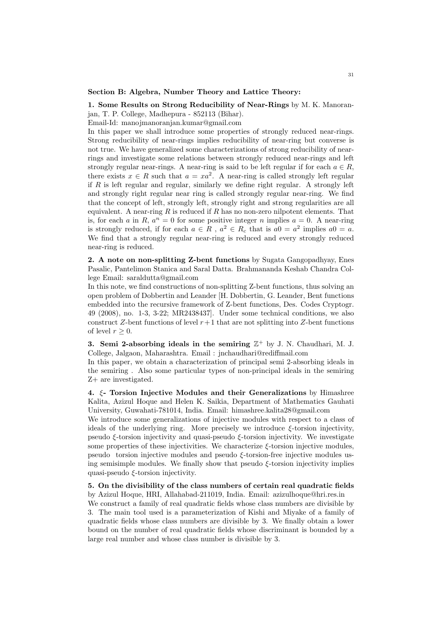#### Section B: Algebra, Number Theory and Lattice Theory:

## 1. Some Results on Strong Reducibility of Near-Rings by M. K. Manoranjan, T. P. College, Madhepura - 852113 (Bihar).

Email-Id: manojmanoranjan.kumar@gmail.com

In this paper we shall introduce some properties of strongly reduced near-rings. Strong reducibility of near-rings implies reducibility of near-ring but converse is not true. We have generalized some characterizations of strong reducibility of nearrings and investigate some relations between strongly reduced near-rings and left strongly regular near-rings. A near-ring is said to be left regular if for each  $a \in R$ , there exists  $x \in R$  such that  $a = xa^2$ . A near-ring is called strongly left regular if  $R$  is left regular and regular, similarly we define right regular. A strongly left and strongly right regular near ring is called strongly regular near-ring. We find that the concept of left, strongly left, strongly right and strong regularities are all equivalent. A near-ring  $R$  is reduced if  $R$  has no non-zero nilpotent elements. That is, for each a in R,  $a^n = 0$  for some positive integer n implies  $a = 0$ . A near-ring is strongly reduced, if for each  $a \in R$ ,  $a^2 \in R_c$  that is  $a0 = a^2$  implies  $a0 = a$ . We find that a strongly regular near-ring is reduced and every strongly reduced near-ring is reduced.

2. A note on non-splitting Z-bent functions by Sugata Gangopadhyay, Enes Pasalic, Pantelimon Stanica and Saral Datta. Brahmananda Keshab Chandra College Email: saraldutta@gmail.com

In this note, we find constructions of non-splitting Z-bent functions, thus solving an open problem of Dobbertin and Leander [H. Dobbertin, G. Leander, Bent functions embedded into the recursive framework of Z-bent functions, Des. Codes Cryptogr. 49 (2008), no. 1-3, 3-22; MR2438437]. Under some technical conditions, we also construct Z-bent functions of level  $r+1$  that are not splitting into Z-bent functions of level  $r > 0$ .

3. Semi 2-absorbing ideals in the semiring  $\mathbb{Z}^+$  by J. N. Chaudhari, M. J. College, Jalgaon, Maharashtra. Email : jnchaudhari@rediffmail.com

In this paper, we obtain a characterization of principal semi 2-absorbing ideals in the semiring . Also some particular types of non-principal ideals in the semiring Z+ are investigated.

4. ξ- Torsion Injective Modules and their Generalizations by Himashree Kalita, Azizul Hoque and Helen K. Saikia, Department of Mathematics Gauhati University, Guwahati-781014, India. Email: himashree.kalita28@gmail.com

We introduce some generalizations of injective modules with respect to a class of ideals of the underlying ring. More precisely we introduce  $\xi$ -torsion injectivity, pseudo ξ-torsion injectivity and quasi-pseudo ξ-torsion injectivity. We investigate some properties of these injectivities. We characterize ξ-torsion injective modules, pseudo torsion injective modules and pseudo ξ-torsion-free injective modules using semisimple modules. We finally show that pseudo  $\xi$ -torsion injectivity implies quasi-pseudo  $\xi$ -torsion injectivity.

5. On the divisibility of the class numbers of certain real quadratic fields by Azizul Hoque, HRI, Allahabad-211019, India. Email: azizulhoque@hri.res.in We construct a family of real quadratic fields whose class numbers are divisible by 3. The main tool used is a parameterization of Kishi and Miyake of a family of quadratic fields whose class numbers are divisible by 3. We finally obtain a lower bound on the number of real quadratic fields whose discriminant is bounded by a large real number and whose class number is divisible by 3.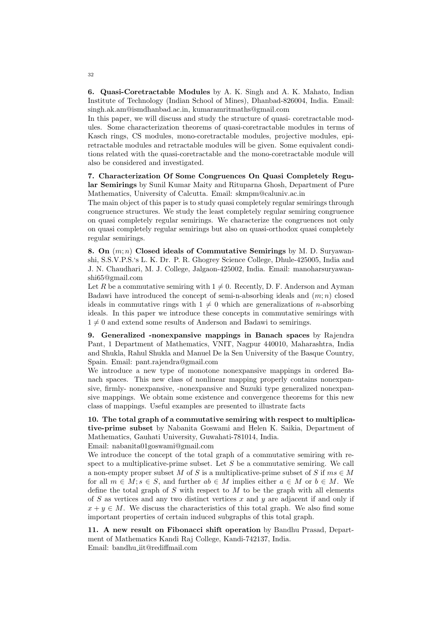6. Quasi-Coretractable Modules by A. K. Singh and A. K. Mahato, Indian Institute of Technology (Indian School of Mines), Dhanbad-826004, India. Email: singh.ak.am@ismdhanbad.ac.in, kumaramritmaths@gmail.com

In this paper, we will discuss and study the structure of quasi- coretractable modules. Some characterization theorems of quasi-coretractable modules in terms of Kasch rings, CS modules, mono-coretractable modules, projective modules, epiretractable modules and retractable modules will be given. Some equivalent conditions related with the quasi-coretractable and the mono-coretractable module will also be considered and investigated.

7. Characterization Of Some Congruences On Quasi Completely Regular Semirings by Sunil Kumar Maity and Rituparna Ghosh, Department of Pure Mathematics, University of Calcutta. Email: skmpm@caluniv.ac.in

The main object of this paper is to study quasi completely regular semirings through congruence structures. We study the least completely regular semiring congruence on quasi completely regular semirings. We characterize the congruences not only on quasi completely regular semirings but also on quasi-orthodox quasi completely regular semirings.

8. On  $(m; n)$  Closed ideals of Commutative Semirings by M. D. Suryawanshi, S.S.V.P.S.'s L. K. Dr. P. R. Ghogrey Science College, Dhule-425005, India and J. N. Chaudhari, M. J. College, Jalgaon-425002, India. Email: manoharsuryawanshi65@gmail.com

Let R be a commutative semiring with  $1 \neq 0$ . Recently, D. F. Anderson and Ayman Badawi have introduced the concept of semi-n-absorbing ideals and  $(m; n)$  closed ideals in commutative rings with  $1 \neq 0$  which are generalizations of *n*-absorbing ideals. In this paper we introduce these concepts in commutative semirings with  $1 \neq 0$  and extend some results of Anderson and Badawi to semirings.

9. Generalized -nonexpansive mappings in Banach spaces by Rajendra Pant, 1 Department of Mathematics, VNIT, Nagpur 440010, Maharashtra, India and Shukla, Rahul Shukla and Manuel De la Sen University of the Basque Country, Spain. Email: pant.rajendra@gmail.com

We introduce a new type of monotone nonexpansive mappings in ordered Banach spaces. This new class of nonlinear mapping properly contains nonexpansive, firmly- nonexpansive, -nonexpansive and Suzuki type generalized nonexpansive mappings. We obtain some existence and convergence theorems for this new class of mappings. Useful examples are presented to illustrate facts

10. The total graph of a commutative semiring with respect to multiplicative-prime subset by Nabanita Goswami and Helen K. Saikia, Department of Mathematics, Gauhati University, Guwahati-781014, India.

Email: nabanita01goswami@gmail.com

We introduce the concept of the total graph of a commutative semiring with respect to a multiplicative-prime subset. Let  $S$  be a commutative semiring. We call a non-empty proper subset M of S is a multiplicative-prime subset of S if  $ms \in M$ for all  $m \in M$ ;  $s \in S$ , and further  $ab \in M$  implies either  $a \in M$  or  $b \in M$ . We define the total graph of  $S$  with respect to  $M$  to be the graph with all elements of S as vertices and any two distinct vertices x and  $y$  are adjacent if and only if  $x + y \in M$ . We discuss the characteristics of this total graph. We also find some important properties of certain induced subgraphs of this total graph.

11. A new result on Fibonacci shift operation by Bandhu Prasad, Department of Mathematics Kandi Raj College, Kandi-742137, India. Email: bandhu iit@rediffmail.com

32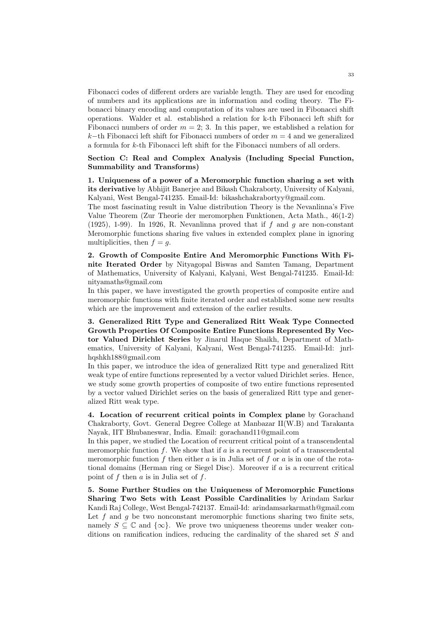Fibonacci codes of different orders are variable length. They are used for encoding of numbers and its applications are in information and coding theory. The Fibonacci binary encoding and computation of its values are used in Fibonacci shift operations. Walder et al. established a relation for k-th Fibonacci left shift for Fibonacci numbers of order  $m = 2$ ; 3. In this paper, we established a relation for k−th Fibonacci left shift for Fibonacci numbers of order  $m = 4$  and we generalized a formula for k-th Fibonacci left shift for the Fibonacci numbers of all orders.

Section C: Real and Complex Analysis (Including Special Function, Summability and Transforms)

1. Uniqueness of a power of a Meromorphic function sharing a set with its derivative by Abhijit Banerjee and Bikash Chakraborty, University of Kalyani, Kalyani, West Bengal-741235. Email-Id: bikashchakrabortyy@gmail.com.

The most fascinating result in Value distribution Theory is the Nevanlinna's Five Value Theorem (Zur Theorie der meromorphen Funktionen, Acta Math., 46(1-2) (1925), 1-99). In 1926, R. Nevanlinna proved that if f and q are non-constant Meromorphic functions sharing five values in extended complex plane in ignoring multiplicities, then  $f = q$ .

2. Growth of Composite Entire And Meromorphic Functions With Finite Iterated Order by Nityagopal Biswas and Samten Tamang, Department of Mathematics, University of Kalyani, Kalyani, West Bengal-741235. Email-Id: nityamaths@gmail.com

In this paper, we have investigated the growth properties of composite entire and meromorphic functions with finite iterated order and established some new results which are the improvement and extension of the earlier results.

3. Generalized Ritt Type and Generalized Ritt Weak Type Connected Growth Properties Of Composite Entire Functions Represented By Vector Valued Dirichlet Series by Jinarul Haque Shaikh, Department of Mathematics, University of Kalyani, Kalyani, West Bengal-741235. Email-Id: jnrlhqshkh188@gmail.com

In this paper, we introduce the idea of generalized Ritt type and generalized Ritt weak type of entire functions represented by a vector valued Dirichlet series. Hence, we study some growth properties of composite of two entire functions represented by a vector valued Dirichlet series on the basis of generalized Ritt type and generalized Ritt weak type.

4. Location of recurrent critical points in Complex plane by Gorachand Chakraborty, Govt. General Degree College at Manbazar II(W.B) and Tarakanta Nayak, IIT Bhubaneswar, India. Email: gorachand11@gmail.com

In this paper, we studied the Location of recurrent critical point of a transcendental meromorphic function  $f$ . We show that if  $a$  is a recurrent point of a transcendental meromorphic function  $f$  then either  $a$  is in Julia set of  $f$  or  $a$  is in one of the rotational domains (Herman ring or Siegel Disc). Moreover if a is a recurrent critical point of  $f$  then  $a$  is in Julia set of  $f$ .

5. Some Further Studies on the Uniqueness of Meromorphic Functions Sharing Two Sets with Least Possible Cardinalities by Arindam Sarkar Kandi Raj College, West Bengal-742137. Email-Id: arindamsarkarmath@gmail.com Let f and  $q$  be two nonconstant meromorphic functions sharing two finite sets, namely  $S \subseteq \mathbb{C}$  and  $\{\infty\}$ . We prove two uniqueness theorems under weaker conditions on ramification indices, reducing the cardinality of the shared set S and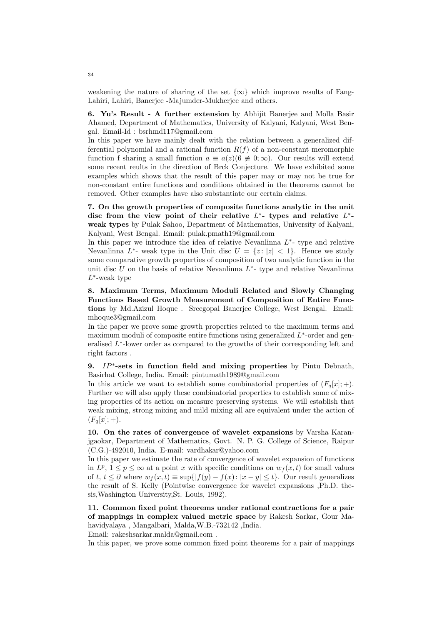weakening the nature of sharing of the set  $\{\infty\}$  which improve results of Fang-Lahiri, Lahiri, Banerjee -Majumder-Mukherjee and others.

6. Yu's Result - A further extension by Abhijit Banerjee and Molla Basir Ahamed, Department of Mathematics, University of Kalyani, Kalyani, West Bengal. Email-Id : bsrhmd117@gmail.com

In this paper we have mainly dealt with the relation between a generalized differential polynomial and a rational function  $R(f)$  of a non-constant meromorphic function f sharing a small function  $a \equiv a(z)$   $(6 \not\equiv 0; \infty)$ . Our results will extend some recent reults in the direction of Brck Conjecture. We have exhibited some examples which shows that the result of this paper may or may not be true for non-constant entire functions and conditions obtained in the theorems cannot be removed. Other examples have also substantiate our certain claims.

7. On the growth properties of composite functions analytic in the unit disc from the view point of their relative  $L^*$ - types and relative  $L^*$ weak types by Pulak Sahoo, Department of Mathematics, University of Kalyani, Kalyani, West Bengal. Email: pulak.pmath19@gmail.com

In this paper we introduce the idea of relative Nevanlinna  $L^*$ - type and relative Nevanlinna  $L^*$ - weak type in the Unit disc  $U = \{z : |z| < 1\}$ . Hence we study some comparative growth properties of composition of two analytic function in the unit disc  $U$  on the basis of relative Nevanlinna  $L^*$ - type and relative Nevanlinna  $L^*$ -weak type

8. Maximum Terms, Maximum Moduli Related and Slowly Changing Functions Based Growth Measurement of Composition of Entire Functions by Md.Azizul Hoque . Sreegopal Banerjee College, West Bengal. Email: mhoque3@gmail.com

In the paper we prove some growth properties related to the maximum terms and maximum moduli of composite entire functions using generalized  $L^*$ -order and generalised  $L^*$ -lower order as compared to the growths of their corresponding left and right factors .

9. *IP*<sup>\*</sup>-sets in function field and mixing properties by Pintu Debnath, Basirhat College, India. Email: pintumath1989@gmail.com

In this article we want to establish some combinatorial properties of  $(F_q[x]; +)$ . Further we will also apply these combinatorial properties to establish some of mixing properties of its action on measure preserving systems. We will establish that weak mixing, strong mixing and mild mixing all are equivalent under the action of  $(F_q[x]; +).$ 

10. On the rates of convergence of wavelet expansions by Varsha Karanjgaokar, Department of Mathematics, Govt. N. P. G. College of Science, Raipur (C.G.)-492010, India. E-mail: vardhakar@yahoo.com

In this paper we estimate the rate of convergence of wavelet expansion of functions in  $L^p$ ,  $1 \leq p \leq \infty$  at a point x with specific conditions on  $w_f(x, t)$  for small values of t,  $t \leq \partial$  where  $w_f(x,t) \equiv \sup\{|f(y)-f(x): |x-y| \leq t\}$ . Our result generalizes the result of S. Kelly (Pointwise convergence for wavelet expansions ,Ph.D. thesis,Washington University,St. Louis, 1992).

11. Common fixed point theorems under rational contractions for a pair of mappings in complex valued metric space by Rakesh Sarkar, Gour Mahavidyalaya , Mangalbari, Malda,W.B.-732142 ,India.

Email: rakeshsarkar.malda@gmail.com .

In this paper, we prove some common fixed point theorems for a pair of mappings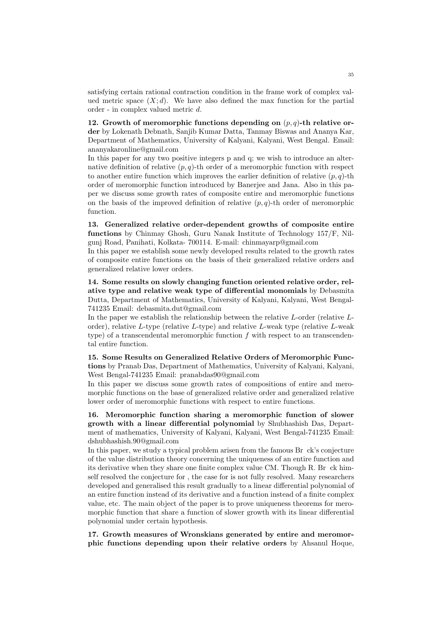satisfying certain rational contraction condition in the frame work of complex valued metric space  $(X; d)$ . We have also defined the max function for the partial order - in complex valued metric d.

12. Growth of meromorphic functions depending on  $(p, q)$ -th relative order by Lokenath Debnath, Sanjib Kumar Datta, Tanmay Biswas and Ananya Kar, Department of Mathematics, University of Kalyani, Kalyani, West Bengal. Email: ananyakaronline@gmail.com

In this paper for any two positive integers p and q; we wish to introduce an alternative definition of relative  $(p, q)$ -th order of a meromorphic function with respect to another entire function which improves the earlier definition of relative  $(p, q)$ -th order of meromorphic function introduced by Banerjee and Jana. Also in this paper we discuss some growth rates of composite entire and meromorphic functions on the basis of the improved definition of relative  $(p, q)$ -th order of meromorphic function.

13. Generalized relative order-dependent growths of composite entire functions by Chinmay Ghosh, Guru Nanak Institute of Technology 157/F, Nilgunj Road, Panihati, Kolkata- 700114. E-mail: chinmayarp@gmail.com

In this paper we establish some newly developed results related to the growth rates of composite entire functions on the basis of their generalized relative orders and generalized relative lower orders.

14. Some results on slowly changing function oriented relative order, relative type and relative weak type of differential monomials by Debasmita Dutta, Department of Mathematics, University of Kalyani, Kalyani, West Bengal-741235 Email: debasmita.dut@gmail.com

In the paper we establish the relationship between the relative L-order (relative Lorder), relative  $L$ -type (relative  $L$ -type) and relative  $L$ -weak type (relative  $L$ -weak type) of a transcendental meromorphic function  $f$  with respect to an transcendental entire function.

15. Some Results on Generalized Relative Orders of Meromorphic Functions by Pranab Das, Department of Mathematics, University of Kalyani, Kalyani, West Bengal-741235 Email: pranabdas90@gmail.com

In this paper we discuss some growth rates of compositions of entire and meromorphic functions on the base of generalized relative order and generalized relative lower order of meromorphic functions with respect to entire functions.

16. Meromorphic function sharing a meromorphic function of slower growth with a linear differential polynomial by Shubhashish Das, Department of mathematics, University of Kalyani, Kalyani, West Bengal-741235 Email: dshubhashish.90@gmail.com

In this paper, we study a typical problem arisen from the famous Br ck's conjecture of the value distribution theory concerning the uniqueness of an entire function and its derivative when they share one finite complex value CM. Though R. Br ck himself resolved the conjecture for , the case for is not fully resolved. Many researchers developed and generalised this result gradually to a linear differential polynomial of an entire function instead of its derivative and a function instead of a finite complex value, etc. The main object of the paper is to prove uniqueness theorems for meromorphic function that share a function of slower growth with its linear differential polynomial under certain hypothesis.

17. Growth measures of Wronskians generated by entire and meromorphic functions depending upon their relative orders by Ahsanul Hoque,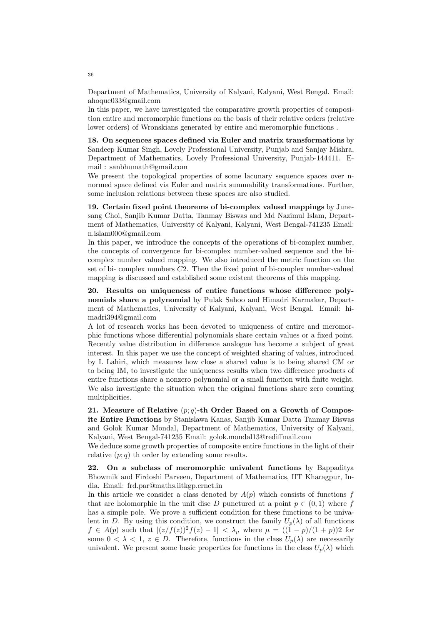Department of Mathematics, University of Kalyani, Kalyani, West Bengal. Email: ahoque033@gmail.com

In this paper, we have investigated the comparative growth properties of composition entire and meromorphic functions on the basis of their relative orders (relative lower orders) of Wronskians generated by entire and meromorphic functions .

18. On sequences spaces defined via Euler and matrix transformations by Sandeep Kumar Singh, Lovely Professional University, Punjab and Sanjay Mishra, Department of Mathematics, Lovely Professional University, Punjab-144411. Email : sanbhumath@gmail.com

We present the topological properties of some lacunary sequence spaces over nnormed space defined via Euler and matrix summability transformations. Further, some inclusion relations between these spaces are also studied.

19. Certain fixed point theorems of bi-complex valued mappings by Junesang Choi, Sanjib Kumar Datta, Tanmay Biswas and Md Nazimul Islam, Department of Mathematics, University of Kalyani, Kalyani, West Bengal-741235 Email: n.islam000@gmail.com

In this paper, we introduce the concepts of the operations of bi-complex number, the concepts of convergence for bi-complex number-valued sequence and the bicomplex number valued mapping. We also introduced the metric function on the set of bi- complex numbers C2. Then the fixed point of bi-complex number-valued mapping is discussed and established some existent theorems of this mapping.

20. Results on uniqueness of entire functions whose difference polynomials share a polynomial by Pulak Sahoo and Himadri Karmakar, Department of Mathematics, University of Kalyani, Kalyani, West Bengal. Email: himadri394@gmail.com

A lot of research works has been devoted to uniqueness of entire and meromorphic functions whose differential polynomials share certain values or a fixed point. Recently value distribution in difference analogue has become a subject of great interest. In this paper we use the concept of weighted sharing of values, introduced by I. Lahiri, which measures how close a shared value is to being shared CM or to being IM, to investigate the uniqueness results when two difference products of entire functions share a nonzero polynomial or a small function with finite weight. We also investigate the situation when the original functions share zero counting multiplicities.

21. Measure of Relative  $(p;q)$ -th Order Based on a Growth of Composite Entire Functions by Stanislawa Kanas, Sanjib Kumar Datta Tanmay Biswas and Golok Kumar Mondal, Department of Mathematics, University of Kalyani, Kalyani, West Bengal-741235 Email: golok.mondal13@rediffmail.com

We deduce some growth properties of composite entire functions in the light of their relative  $(p; q)$  th order by extending some results.

22. On a subclass of meromorphic univalent functions by Bappaditya Bhowmik and Firdoshi Parveen, Department of Mathematics, IIT Kharagpur, India. Email: frd.par@maths.iitkgp.ernet.in

In this article we consider a class denoted by  $A(p)$  which consists of functions f that are holomorphic in the unit disc D punctured at a point  $p \in (0,1)$  where f has a simple pole. We prove a sufficient condition for these functions to be univalent in D. By using this condition, we construct the family  $U_p(\lambda)$  of all functions  $f \in A(p)$  such that  $|(z/f(z))^2f(z) - 1| < \lambda_{\mu}$  where  $\mu = ((1-p)/(1+p))2$  for some  $0 < \lambda < 1$ ,  $z \in D$ . Therefore, functions in the class  $U_p(\lambda)$  are necessarily univalent. We present some basic properties for functions in the class  $U_p(\lambda)$  which

36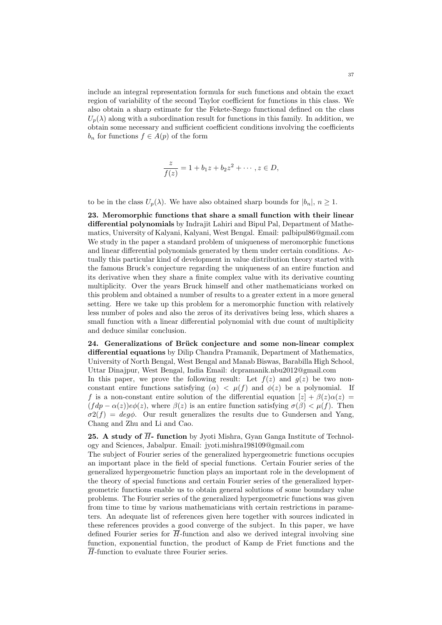include an integral representation formula for such functions and obtain the exact region of variability of the second Taylor coefficient for functions in this class. We also obtain a sharp estimate for the Fekete-Szego functional defined on the class  $U_n(\lambda)$  along with a subordination result for functions in this family. In addition, we obtain some necessary and sufficient coefficient conditions involving the coefficients  $b_n$  for functions  $f \in A(p)$  of the form

$$
\frac{z}{f(z)} = 1 + b_1 z + b_2 z^2 + \cdots, z \in D,
$$

to be in the class  $U_p(\lambda)$ . We have also obtained sharp bounds for  $|b_n|, n \geq 1$ .

23. Meromorphic functions that share a small function with their linear differential polynomials by Indrajit Lahiri and Bipul Pal, Department of Mathematics, University of Kalyani, Kalyani, West Bengal. Email: palbipul86@gmail.com We study in the paper a standard problem of uniqueness of meromorphic functions and linear differential polynomials generated by them under certain conditions. Actually this particular kind of development in value distribution theory started with the famous Bruck's conjecture regarding the uniqueness of an entire function and its derivative when they share a finite complex value with its derivative counting multiplicity. Over the years Bruck himself and other mathematicians worked on this problem and obtained a number of results to a greater extent in a more general setting. Here we take up this problem for a meromorphic function with relatively less number of poles and also the zeros of its derivatives being less, which shares a small function with a linear differential polynomial with due count of multiplicity and deduce similar conclusion.

24. Generalizations of Brück conjecture and some non-linear complex differential equations by Dilip Chandra Pramanik, Department of Mathematics, University of North Bengal, West Bengal and Manab Biswas, Barabilla High School, Uttar Dinajpur, West Bengal, India Email: dcpramanik.nbu2012@gmail.com

In this paper, we prove the following result: Let  $f(z)$  and  $g(z)$  be two nonconstant entire functions satisfying  $(\alpha) < \mu(f)$  and  $\phi(z)$  be a polynomial. If f is a non-constant entire solution of the differential equation  $[z] + \beta(z)\alpha(z) =$  $(f dp - \alpha(z))e\phi(z)$ , where  $\beta(z)$  is an entire function satisfying  $\sigma(\beta) < \mu(f)$ . Then  $\sigma^2(f) = deg\phi$ . Our result generalizes the results due to Gundersen and Yang, Chang and Zhu and Li and Cao.

25. A study of  $\overline{H}$ - function by Jyoti Mishra, Gyan Ganga Institute of Technology and Sciences, Jabalpur. Email: jyoti.mishra198109@gmail.com

The subject of Fourier series of the generalized hypergeometric functions occupies an important place in the field of special functions. Certain Fourier series of the generalized hypergeometric function plays an important role in the development of the theory of special functions and certain Fourier series of the generalized hypergeometric functions enable us to obtain general solutions of some boundary value problems. The Fourier series of the generalized hypergeometric functions was given from time to time by various mathematicians with certain restrictions in parameters. An adequate list of references given here together with sources indicated in these references provides a good converge of the subject. In this paper, we have defined Fourier series for  $\overline{H}$ -function and also we derived integral involving sine function, exponential function, the product of Kamp de Friet functions and the  $\overline{H}$ -function to evaluate three Fourier series.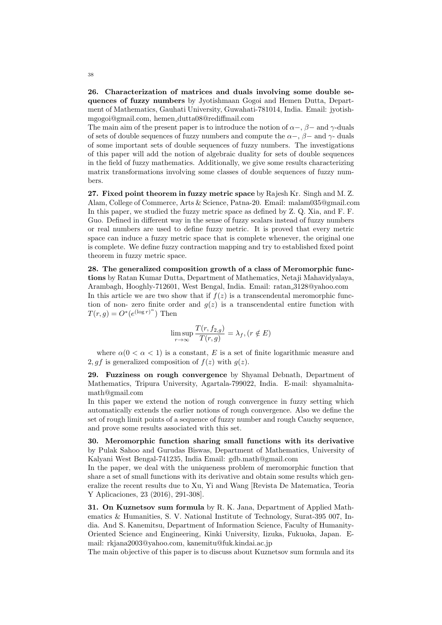26. Characterization of matrices and duals involving some double sequences of fuzzy numbers by Jyotishmaan Gogoi and Hemen Dutta, Department of Mathematics, Gauhati University, Guwahati-781014, India. Email: jyotishmgogoi@gmail.com, hemen dutta08@rediffmail.com

The main aim of the present paper is to introduce the notion of  $\alpha$ –,  $\beta$ – and γ-duals of sets of double sequences of fuzzy numbers and compute the  $\alpha$ -,  $\beta$ - and  $\gamma$ - duals of some important sets of double sequences of fuzzy numbers. The investigations of this paper will add the notion of algebraic duality for sets of double sequences in the field of fuzzy mathematics. Additionally, we give some results characterizing matrix transformations involving some classes of double sequences of fuzzy numbers.

27. Fixed point theorem in fuzzy metric space by Rajesh Kr. Singh and M. Z. Alam, College of Commerce, Arts & Science, Patna-20. Email: malam035@gmail.com In this paper, we studied the fuzzy metric space as defined by Z. Q. Xia, and F. F. Guo. Defined in different way in the sense of fuzzy scalars instead of fuzzy numbers or real numbers are used to define fuzzy metric. It is proved that every metric space can induce a fuzzy metric space that is complete whenever, the original one is complete. We define fuzzy contraction mapping and try to established fixed point theorem in fuzzy metric space.

28. The generalized composition growth of a class of Meromorphic functions by Ratan Kumar Dutta, Department of Mathematics, Netaji Mahavidyalaya, Arambagh, Hooghly-712601, West Bengal, India. Email: ratan 3128@yahoo.com In this article we are two show that if  $f(z)$  is a transcendental meromorphic function of non- zero finite order and  $g(z)$  is a transcendental entire function with  $T(r, g) = O^*(e^{(\log r)^{\alpha}})$  Then

$$
\limsup_{r \to \infty} \frac{T(r, f_{2,g})}{T(r, g)} = \lambda_f, (r \notin E)
$$

where  $\alpha(0 < \alpha < 1)$  is a constant, E is a set of finite logarithmic measure and 2, q f is generalized composition of  $f(z)$  with  $q(z)$ .

29. Fuzziness on rough convergence by Shyamal Debnath, Department of Mathematics, Tripura University, Agartala-799022, India. E-mail: shyamalnitamath@gmail.com

In this paper we extend the notion of rough convergence in fuzzy setting which automatically extends the earlier notions of rough convergence. Also we define the set of rough limit points of a sequence of fuzzy number and rough Cauchy sequence, and prove some results associated with this set.

30. Meromorphic function sharing small functions with its derivative by Pulak Sahoo and Gurudas Biswas, Department of Mathematics, University of Kalyani West Bengal-741235, India Email: gdb.math@gmail.com

In the paper, we deal with the uniqueness problem of meromorphic function that share a set of small functions with its derivative and obtain some results which generalize the recent results due to Xu, Yi and Wang [Revista De Matematica, Teoria Y Aplicaciones, 23 (2016), 291-308].

31. On Kuznetsov sum formula by R. K. Jana, Department of Applied Mathematics & Humanities, S. V. National Institute of Technology, Surat-395 007, India. And S. Kanemitsu, Department of Information Science, Faculty of Humanity-Oriented Science and Engineering, Kinki University, Iizuka, Fukuoka, Japan. Email: rkjana2003@yahoo.com, kanemitu@fuk.kindai.ac.jp

The main objective of this paper is to discuss about Kuznetsov sum formula and its

38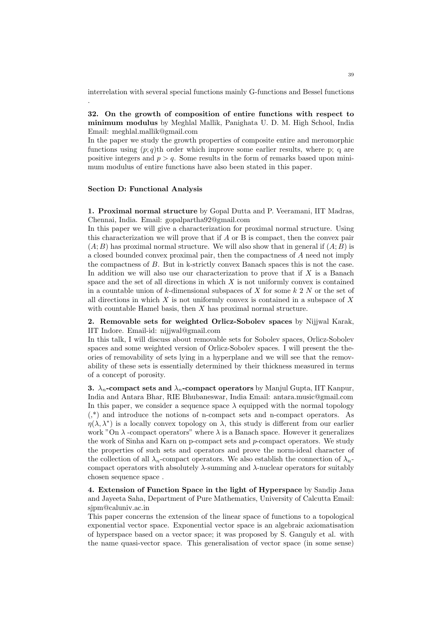interrelation with several special functions mainly G-functions and Bessel functions

32. On the growth of composition of entire functions with respect to minimum modulus by Meghlal Mallik, Panighata U. D. M. High School, India Email: meghlal.mallik@gmail.com

In the paper we study the growth properties of composite entire and meromorphic functions using  $(p; q)$ th order which improve some earlier results, where p; q are positive integers and  $p > q$ . Some results in the form of remarks based upon minimum modulus of entire functions have also been stated in this paper.

#### Section D: Functional Analysis

.

1. Proximal normal structure by Gopal Dutta and P. Veeramani, IIT Madras, Chennai, India. Email: gopalpartha92@gmail.com

In this paper we will give a characterization for proximal normal structure. Using this characterization we will prove that if A or B is compact, then the convex pair  $(A; B)$  has proximal normal structure. We will also show that in general if  $(A; B)$  is a closed bounded convex proximal pair, then the compactness of A need not imply the compactness of B. But in k-strictly convex Banach spaces this is not the case. In addition we will also use our characterization to prove that if  $X$  is a Banach space and the set of all directions in which  $X$  is not uniformly convex is contained in a countable union of k-dimensional subspaces of X for some  $k\,2\,N$  or the set of all directions in which  $X$  is not uniformly convex is contained in a subspace of  $X$ with countable Hamel basis, then  $X$  has proximal normal structure.

## 2. Removable sets for weighted Orlicz-Sobolev spaces by Nijjwal Karak, IIT Indore. Email-id: nijjwal@gmail.com

In this talk, I will discuss about removable sets for Sobolev spaces, Orlicz-Sobolev spaces and some weighted version of Orlicz-Sobolev spaces. I will present the theories of removability of sets lying in a hyperplane and we will see that the removability of these sets is essentially determined by their thickness measured in terms of a concept of porosity.

3.  $\lambda_n$ -compact sets and  $\lambda_n$ -compact operators by Manjul Gupta, IIT Kanpur, India and Antara Bhar, RIE Bhubaneswar, India Email: antara.music@gmail.com In this paper, we consider a sequence space  $\lambda$  equipped with the normal topology (,\*) and introduce the notions of n-compact sets and n-compact operators. As  $\eta(\lambda, \lambda^*)$  is a locally convex topology on  $\lambda$ , this study is different from our earlier work "On  $\lambda$  -compact operators" where  $\lambda$  is a Banach space. However it generalizes the work of Sinha and Karn on p-compact sets and  $p$ -compact operators. We study the properties of such sets and operators and prove the norm-ideal character of the collection of all  $\lambda_n$ -compact operators. We also establish the connection of  $\lambda_n$ compact operators with absolutely  $\lambda$ -summing and  $\lambda$ -nuclear operators for suitably chosen sequence space .

4. Extension of Function Space in the light of Hyperspace by Sandip Jana and Jayeeta Saha, Department of Pure Mathematics, University of Calcutta Email: sjpm@caluniv.ac.in

This paper concerns the extension of the linear space of functions to a topological exponential vector space. Exponential vector space is an algebraic axiomatisation of hyperspace based on a vector space; it was proposed by S. Ganguly et al. with the name quasi-vector space. This generalisation of vector space (in some sense)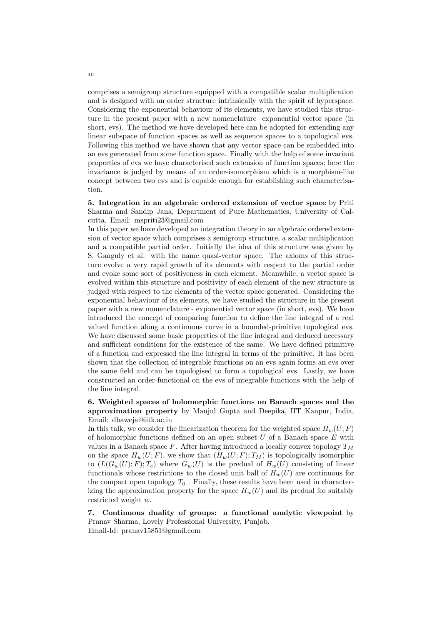comprises a semigroup structure equipped with a compatible scalar multiplication and is designed with an order structure intrinsically with the spirit of hyperspace. Considering the exponential behaviour of its elements, we have studied this structure in the present paper with a new nomenclature exponential vector space (in short, evs). The method we have developed here can be adopted for extending any linear subspace of function spaces as well as sequence spaces to a topological evs. Following this method we have shown that any vector space can be embedded into an evs generated from some function space. Finally with the help of some invariant properties of evs we have characterised such extension of function spaces; here the invariance is judged by means of an order-isomorphism which is a morphism-like concept between two evs and is capable enough for establishing such characterisation.

5. Integration in an algebraic ordered extension of vector space by Priti Sharma and Sandip Jana, Department of Pure Mathematics, University of Calcutta. Email: mspriti23@gmail.com

In this paper we have developed an integration theory in an algebraic ordered extension of vector space which comprises a semigroup structure, a scalar multiplication and a compatible partial order. Initially the idea of this structure was given by S. Ganguly et al. with the name quasi-vector space. The axioms of this structure evolve a very rapid growth of its elements with respect to the partial order and evoke some sort of positiveness in each element. Meanwhile, a vector space is evolved within this structure and positivity of each element of the new structure is judged with respect to the elements of the vector space generated. Considering the exponential behaviour of its elements, we have studied the structure in the present paper with a new nomenclature - exponential vector space (in short, evs). We have introduced the concept of comparing function to define the line integral of a real valued function along a continuous curve in a bounded-primitive topological evs. We have discussed some basic properties of the line integral and deduced necessary and sufficient conditions for the existence of the same. We have defined primitive of a function and expressed the line integral in terms of the primitive. It has been shown that the collection of integrable functions on an evs again forms an evs over the same field and can be topologised to form a topological evs. Lastly, we have constructed an order-functional on the evs of integrable functions with the help of the line integral.

6. Weighted spaces of holomorphic functions on Banach spaces and the approximation property by Manjul Gupta and Deepika, IIT Kanpur, India, Email: dbaweja@iitk.ac.in

In this talk, we consider the linearization theorem for the weighted space  $H_w(U; F)$ of holomorphic functions defined on an open subset  $U$  of a Banach space  $E$  with values in a Banach space  $F$ . After having introduced a locally convex topology  $T_M$ on the space  $H_w(U; F)$ , we show that  $(H_w(U; F); T_M)$  is topologically isomorphic to  $(L(G_w(U); F); T_c)$  where  $G_w(U)$  is the predual of  $H_w(U)$  consisting of linear functionals whose restrictions to the closed unit ball of  $H_w(U)$  are continuous for the compact open topology  $T_0$ . Finally, these results have been used in characterizing the approximation property for the space  $H_w(U)$  and its predual for suitably restricted weight w.

7. Continuous duality of groups: a functional analytic viewpoint by Pranav Sharma, Lovely Professional University, Punjab. Email-Id: pranav15851@gmail.com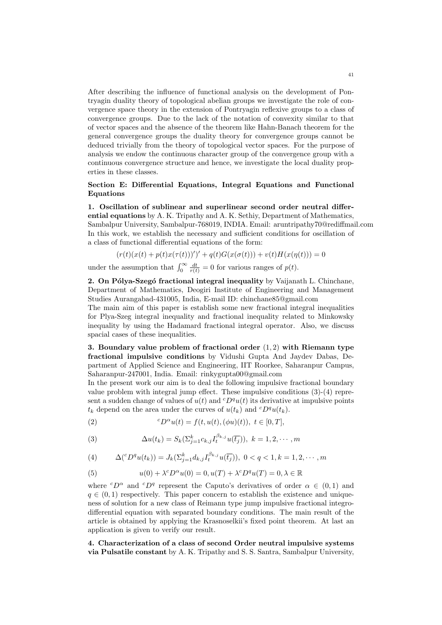After describing the influence of functional analysis on the development of Pontryagin duality theory of topological abelian groups we investigate the role of convergence space theory in the extension of Pontryagin reflexive groups to a class of convergence groups. Due to the lack of the notation of convexity similar to that of vector spaces and the absence of the theorem like Hahn-Banach theorem for the general convergence groups the duality theory for convergence groups cannot be deduced trivially from the theory of topological vector spaces. For the purpose of analysis we endow the continuous character group of the convergence group with a continuous convergence structure and hence, we investigate the local duality properties in these classes.

## Section E: Differential Equations, Integral Equations and Functional **Equations**

1. Oscillation of sublinear and superlinear second order neutral differential equations by A. K. Tripathy and A. K. Sethiy, Department of Mathematics, Sambalpur University, Sambalpur-768019, INDIA. Email: aruntripathy70@rediffmail.com In this work, we establish the necessary and sufficient conditions for oscillation of a class of functional differential equations of the form:

$$
(r(t)(x(t) + p(t)x(\tau(t))))')' + q(t)G(x(\sigma(t))) + v(t)H(x(\eta(t))) = 0
$$

under the assumption that  $\int_0^\infty \frac{dt}{r(t)} = 0$  for various ranges of  $p(t)$ .

2. On Pólya-Szegó fractional integral inequality by Vaijanath L. Chinchane, Department of Mathematics, Deogiri Institute of Engineering and Management Studies Aurangabad-431005, India, E-mail ID: chinchane85@gmail.com

The main aim of this paper is establish some new fractional integral inequalities for Plya-Szeg integral inequality and fractional inequality related to Minkowsky inequality by using the Hadamard fractional integral operator. Also, we discuss spacial cases of these inequalities.

3. Boundary value problem of fractional order  $(1, 2)$  with Riemann type fractional impulsive conditions by Vidushi Gupta And Jaydev Dabas, Department of Applied Science and Engineering, IIT Roorkee, Saharanpur Campus, Saharanpur-247001, India. Email: rinkygupta00@gmail.com

In the present work our aim is to deal the following impulsive fractional boundary value problem with integral jump effect. These impulsive conditions (3)-(4) represent a sudden change of values of  $u(t)$  and  ${}^cD^qu(t)$  its derivative at impulsive points  $t_k$  depend on the area under the curves of  $u(t_k)$  and  ${}^cD^qu(t_k)$ .

(2) 
$$
{}^{c}D^{\alpha}u(t) = f(t, u(t), (\phi u)(t)), \ t \in [0, T],
$$

(3) 
$$
\Delta u(t_k) = S_k(\Sigma_{j=1}^k c_{k,j} I_t^{\beta_{k,j}} u(\overline{t_j})), \ k = 1, 2, \cdots, m
$$

(4) 
$$
\Delta({}^c D^q u(t_k)) = J_k(\Sigma_{j=1}^k d_{k,j} I_t^{\beta_{k,j}} u(\overline{t_j})), \ 0 < q < 1, k = 1, 2, \cdots, m
$$

(5) 
$$
u(0) + \lambda^c D^{\alpha} u(0) = 0, u(T) + \lambda^c D^q u(T) = 0, \lambda \in \mathbb{R}
$$

where  ${}^cD^{\alpha}$  and  ${}^cD^q$  represent the Caputo's derivatives of order  $\alpha \in (0,1)$  and  $q \in (0, 1)$  respectively. This paper concern to establish the existence and uniqueness of solution for a new class of Reimann type jump impulsive fractional integrodifferential equation with separated boundary conditions. The main result of the article is obtained by applying the Krasnoselkii's fixed point theorem. At last an application is given to verify our result.

4. Characterization of a class of second Order neutral impulsive systems via Pulsatile constant by A. K. Tripathy and S. S. Santra, Sambalpur University,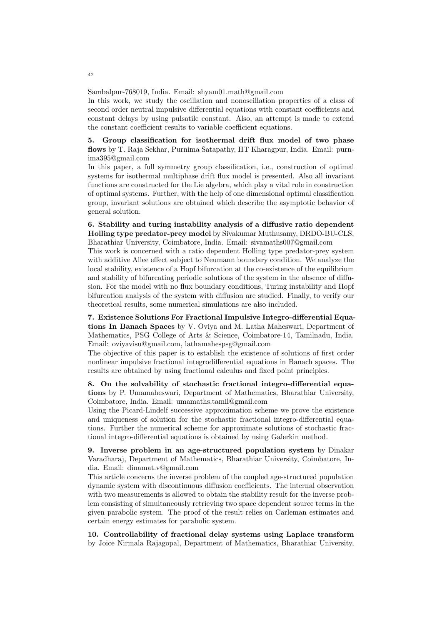Sambalpur-768019, India. Email: shyam01.math@gmail.com

In this work, we study the oscillation and nonoscillation properties of a class of second order neutral impulsive differential equations with constant coefficients and constant delays by using pulsatile constant. Also, an attempt is made to extend the constant coefficient results to variable coefficient equations.

5. Group classification for isothermal drift flux model of two phase flows by T. Raja Sekhar, Purnima Satapathy, IIT Kharagpur, India. Email: purnima395@gmail.com

In this paper, a full symmetry group classification, i.e., construction of optimal systems for isothermal multiphase drift flux model is presented. Also all invariant functions are constructed for the Lie algebra, which play a vital role in construction of optimal systems. Further, with the help of one dimensional optimal classification group, invariant solutions are obtained which describe the asymptotic behavior of general solution.

6. Stability and turing instability analysis of a diffusive ratio dependent Holling type predator-prey model by Sivakumar Muthusamy, DRDO-BU-CLS, Bharathiar University, Coimbatore, India. Email: sivamaths007@gmail.com

This work is concerned with a ratio dependent Holling type predator-prey system with additive Allee effect subject to Neumann boundary condition. We analyze the local stability, existence of a Hopf bifurcation at the co-existence of the equilibrium and stability of bifurcating periodic solutions of the system in the absence of diffusion. For the model with no flux boundary conditions, Turing instability and Hopf bifurcation analysis of the system with diffusion are studied. Finally, to verify our theoretical results, some numerical simulations are also included.

7. Existence Solutions For Fractional Impulsive Integro-differential Equations In Banach Spaces by V. Oviya and M. Latha Maheswari, Department of Mathematics, PSG College of Arts & Science, Coimbatore-14, Tamilnadu, India. Email: oviyavisu@gmail.com, lathamahespsg@gmail.com

The objective of this paper is to establish the existence of solutions of first order nonlinear impulsive fractional integrodifferential equations in Banach spaces. The results are obtained by using fractional calculus and fixed point principles.

8. On the solvability of stochastic fractional integro-differential equations by P. Umamaheswari, Department of Mathematics, Bharathiar University, Coimbatore, India. Email: umamaths.tamil@gmail.com

Using the Picard-Lindelf successive approximation scheme we prove the existence and uniqueness of solution for the stochastic fractional integro-differential equations. Further the numerical scheme for approximate solutions of stochastic fractional integro-differential equations is obtained by using Galerkin method.

9. Inverse problem in an age-structured population system by Dinakar Varadharaj, Department of Mathematics, Bharathiar University, Coimbatore, India. Email: dinamat.v@gmail.com

This article concerns the inverse problem of the coupled age-structured population dynamic system with discontinuous diffusion coefficients. The internal observation with two measurements is allowed to obtain the stability result for the inverse problem consisting of simultaneously retrieving two space dependent source terms in the given parabolic system. The proof of the result relies on Carleman estimates and certain energy estimates for parabolic system.

10. Controllability of fractional delay systems using Laplace transform by Joice Nirmala Rajagopal, Department of Mathematics, Bharathiar University,

42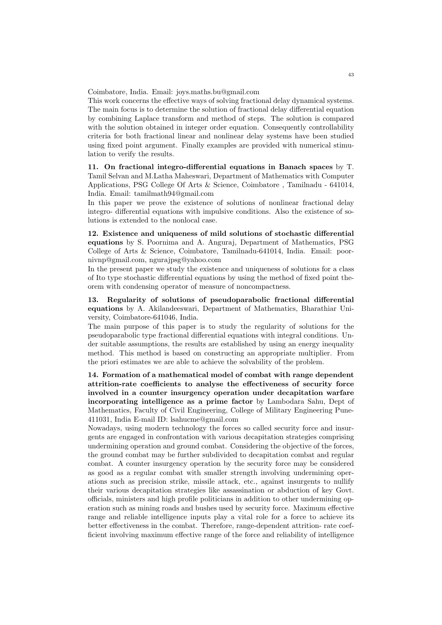Coimbatore, India. Email: joys.maths.bu@gmail.com

This work concerns the effective ways of solving fractional delay dynamical systems. The main focus is to determine the solution of fractional delay differential equation by combining Laplace transform and method of steps. The solution is compared with the solution obtained in integer order equation. Consequently controllability criteria for both fractional linear and nonlinear delay systems have been studied using fixed point argument. Finally examples are provided with numerical stimulation to verify the results.

11. On fractional integro-differential equations in Banach spaces by T. Tamil Selvan and M.Latha Maheswari, Department of Mathematics with Computer Applications, PSG College Of Arts & Science, Coimbatore , Tamilnadu - 641014, India. Email: tamilmath94@gmail.com

In this paper we prove the existence of solutions of nonlinear fractional delay integro- differential equations with impulsive conditions. Also the existence of solutions is extended to the nonlocal case.

12. Existence and uniqueness of mild solutions of stochastic differential equations by S. Poornima and A. Anguraj, Department of Mathematics, PSG College of Arts & Science, Coimbatore, Tamilnadu-641014, India. Email: poornivnp@gmail.com, ngurajpsg@yahoo.com

In the present paper we study the existence and uniqueness of solutions for a class of Ito type stochastic differential equations by using the method of fixed point theorem with condensing operator of measure of noncompactness.

13. Regularity of solutions of pseudoparabolic fractional differential equations by A. Akilandeeswari, Department of Mathematics, Bharathiar University, Coimbatore-641046, India.

The main purpose of this paper is to study the regularity of solutions for the pseudoparabolic type fractional differential equations with integral conditions. Under suitable assumptions, the results are established by using an energy inequality method. This method is based on constructing an appropriate multiplier. From the priori estimates we are able to achieve the solvability of the problem.

14. Formation of a mathematical model of combat with range dependent attrition-rate coefficients to analyse the effectiveness of security force involved in a counter insurgency operation under decapitation warfare incorporating intelligence as a prime factor by Lambodara Sahu, Dept of Mathematics, Faculty of Civil Engineering, College of Military Engineering Pune-411031, India E-mail ID: lsahucme@gmail.com

Nowadays, using modern technology the forces so called security force and insurgents are engaged in confrontation with various decapitation strategies comprising undermining operation and ground combat. Considering the objective of the forces, the ground combat may be further subdivided to decapitation combat and regular combat. A counter insurgency operation by the security force may be considered as good as a regular combat with smaller strength involving undermining operations such as precision strike, missile attack, etc., against insurgents to nullify their various decapitation strategies like assassination or abduction of key Govt. officials, ministers and high profile politicians in addition to other undermining operation such as mining roads and bushes used by security force. Maximum effective range and reliable intelligence inputs play a vital role for a force to achieve its better effectiveness in the combat. Therefore, range-dependent attrition- rate coefficient involving maximum effective range of the force and reliability of intelligence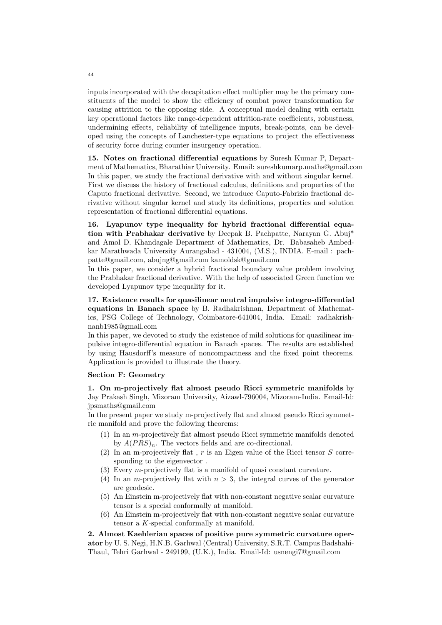inputs incorporated with the decapitation effect multiplier may be the primary constituents of the model to show the efficiency of combat power transformation for causing attrition to the opposing side. A conceptual model dealing with certain key operational factors like range-dependent attrition-rate coefficients, robustness, undermining effects, reliability of intelligence inputs, break-points, can be developed using the concepts of Lanchester-type equations to project the effectiveness of security force during counter insurgency operation.

15. Notes on fractional differential equations by Suresh Kumar P, Department of Mathematics, Bharathiar University. Email: sureshkumarp.maths@gmail.com In this paper, we study the fractional derivative with and without singular kernel. First we discuss the history of fractional calculus, definitions and properties of the Caputo fractional derivative. Second, we introduce Caputo-Fabrizio fractional derivative without singular kernel and study its definitions, properties and solution representation of fractional differential equations.

16. Lyapunov type inequality for hybrid fractional differential equation with Prabhakar derivative by Deepak B. Pachpatte, Narayan G. Abuj\* and Amol D. Khandagale Department of Mathematics, Dr. Babasaheb Ambedkar Marathwada University Aurangabad - 431004, (M.S.), INDIA. E-mail : pachpatte@gmail.com, abujng@gmail.com kamoldsk@gmail.com

In this paper, we consider a hybrid fractional boundary value problem involving the Prabhakar fractional derivative. With the help of associated Green function we developed Lyapunov type inequality for it.

17. Existence results for quasilinear neutral impulsive integro-differential equations in Banach space by B. Radhakrishnan, Department of Mathematics, PSG College of Technology, Coimbatore-641004, India. Email: radhakrishnanb1985@gmail.com

In this paper, we devoted to study the existence of mild solutions for quasilinear impulsive integro-differential equation in Banach spaces. The results are established by using Hausdorff's measure of noncompactness and the fixed point theorems. Application is provided to illustrate the theory.

### Section F: Geometry

1. On m-projectively flat almost pseudo Ricci symmetric manifolds by Jay Prakash Singh, Mizoram University, Aizawl-796004, Mizoram-India. Email-Id: jpsmaths@gmail.com

In the present paper we study m-projectively flat and almost pseudo Ricci symmetric manifold and prove the following theorems:

- (1) In an m-projectively flat almost pseudo Ricci symmetric manifolds denoted by  $A(PRS)_n$ . The vectors fields and are co-directional.
- (2) In an m-projectively flat,  $r$  is an Eigen value of the Ricci tensor  $S$  corresponding to the eigenvector .
- (3) Every m-projectively flat is a manifold of quasi constant curvature.
- (4) In an *m*-projectively flat with  $n > 3$ , the integral curves of the generator are geodesic.
- (5) An Einstein m-projectively flat with non-constant negative scalar curvature tensor is a special conformally at manifold.
- (6) An Einstein m-projectively flat with non-constant negative scalar curvature tensor a K-special conformally at manifold.

2. Almost Kaehlerian spaces of positive pure symmetric curvature operator by U. S. Negi, H.N.B. Garhwal (Central) University, S.R.T. Campus Badshahi-Thaul, Tehri Garhwal - 249199, (U.K.), India. Email-Id: usnengi7@gmail.com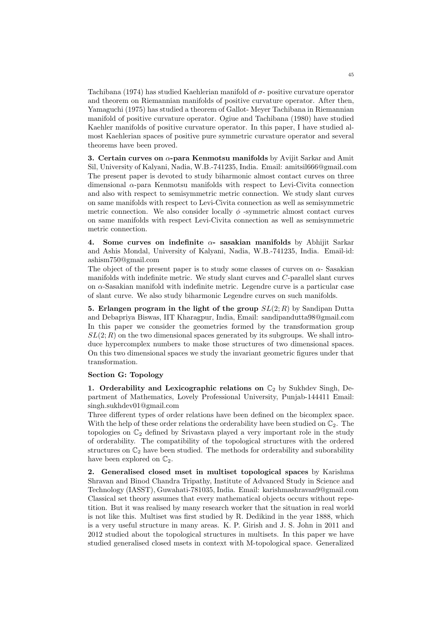Tachibana (1974) has studied Kaehlerian manifold of  $\sigma$ - positive curvature operator and theorem on Riemannian manifolds of positive curvature operator. After then, Yamaguchi (1975) has studied a theorem of Gallot- Meyer Tachibana in Riemannian manifold of positive curvature operator. Ogiue and Tachibana (1980) have studied Kaehler manifolds of positive curvature operator. In this paper, I have studied almost Kaehlerian spaces of positive pure symmetric curvature operator and several theorems have been proved.

3. Certain curves on  $\alpha$ -para Kenmotsu manifolds by Avijit Sarkar and Amit Sil, University of Kalyani, Nadia, W.B.-741235, India. Email: amitsil666@gmail.com The present paper is devoted to study biharmonic almost contact curves on three dimensional  $\alpha$ -para Kenmotsu manifolds with respect to Levi-Civita connection and also with respect to semisymmetric metric connection. We study slant curves on same manifolds with respect to Levi-Civita connection as well as semisymmetric metric connection. We also consider locally  $\phi$  -symmetric almost contact curves on same manifolds with respect Levi-Civita connection as well as semisymmetric metric connection.

4. Some curves on indefinite  $\alpha$ - sasakian manifolds by Abhijit Sarkar and Ashis Mondal, University of Kalyani, Nadia, W.B.-741235, India. Email-id: ashism750@gmail.com

The object of the present paper is to study some classes of curves on  $\alpha$ -Sasakian manifolds with indefinite metric. We study slant curves and C-parallel slant curves on  $\alpha$ -Sasakian manifold with indefinite metric. Legendre curve is a particular case of slant curve. We also study biharmonic Legendre curves on such manifolds.

5. Erlangen program in the light of the group  $SL(2;R)$  by Sandipan Dutta and Debapriya Biswas, IIT Kharagpur, India, Email: sandipandutta98@gmail.com In this paper we consider the geometries formed by the transformation group  $SL(2; R)$  on the two dimensional spaces generated by its subgroups. We shall introduce hypercomplex numbers to make those structures of two dimensional spaces. On this two dimensional spaces we study the invariant geometric figures under that transformation.

#### Section G: Topology

1. Orderability and Lexicographic relations on  $\mathbb{C}_2$  by Sukhdev Singh, Department of Mathematics, Lovely Professional University, Punjab-144411 Email: singh.sukhdev01@gmail.com

Three different types of order relations have been defined on the bicomplex space. With the help of these order relations the orderability have been studied on  $\mathbb{C}_2$ . The topologies on  $\mathbb{C}_2$  defined by Srivastava played a very important role in the study of orderability. The compatibility of the topological structures with the ordered structures on  $\mathbb{C}_2$  have been studied. The methods for orderability and suborability have been explored on  $\mathbb{C}_2$ .

2. Generalised closed mset in multiset topological spaces by Karishma Shravan and Binod Chandra Tripathy, Institute of Advanced Study in Science and Technology (IASST), Guwahati-781035, India. Email: karishmashravan9@gmail.com Classical set theory assumes that every mathematical objects occurs without repetition. But it was realised by many research worker that the situation in real world is not like this. Multiset was first studied by R. Dedikind in the year 1888, which is a very useful structure in many areas. K. P. Girish and J. S. John in 2011 and 2012 studied about the topological structures in multisets. In this paper we have studied generalised closed msets in context with M-topological space. Generalized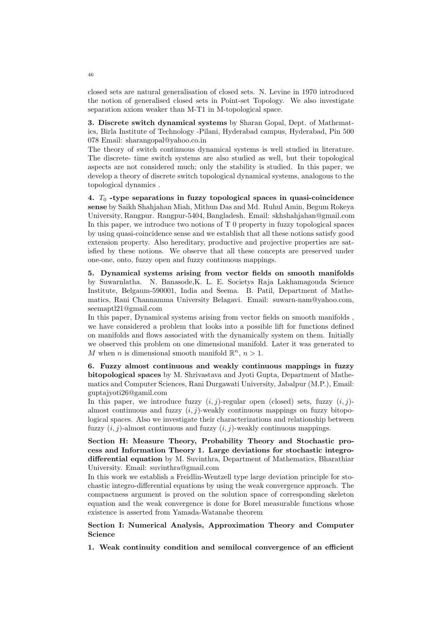closed sets are natural generalisation of closed sets. N. Levine in 1970 introduced the notion of generalised closed sets in Point-set Topology. We also investigate separation axiom weaker than M-T1 in M-topological space.

3. Discrete switch dynamical systems by Sharan Gopal, Dept. of Mathematics, Birla Institute of Technology -Pilani, Hyderabad campus, Hyderabad, Pin 500 078 Email: sharangopal@yahoo.co.in

The theory of switch continuous dynamical systems is well studied in literature. The discrete- time switch systems are also studied as well, but their topological aspects are not considered much; only the stability is studied. In this paper, we develop a theory of discrete switch topological dynamical systems, analogous to the topological dynamics .

4.  $T_0$  -type separations in fuzzy topological spaces in quasi-coincidence sense by Saikh Shahjahan Miah, Mithun Das and Md. Ruhul Amin, Begum Rokeya University, Rangpur. Rangpur-5404, Bangladesh. Email: skhshahjahan@gmail.com In this paper, we introduce two notions of T 0 property in fuzzy topological spaces by using quasi-coincidence sense and we establish that all these notions satisfy good extension property. Also hereditary, productive and projective properties are satisfied by these notions. We observe that all these concepts are preserved under one-one, onto, fuzzy open and fuzzy continuous mappings.

5. Dynamical systems arising from vector fields on smooth manifolds by Suwarnlatha. N. Banasode,K. L. E. Societys Raja Lakhamagouda Science Institute, Belgaum-590001, India and Seema. B. Patil, Department of Mathematics, Rani Channamma University Belagavi. Email: suwarn-nam@yahoo.com, seemaptl21@gmail.com

In this paper, Dynamical systems arising from vector fields on smooth manifolds , we have considered a problem that looks into a possible lift for functions defined on manifolds and flows associated with the dynamically system on them. Initially we observed this problem on one dimensional manifold. Later it was generated to M when n is dimensional smooth manifold  $\mathbb{R}^n$ ,  $n > 1$ .

6. Fuzzy almost continuous and weakly continuous mappings in fuzzy bitopological spaces by M. Shrivastava and Jyoti Gupta, Department of Mathematics and Computer Sciences, Rani Durgawati University, Jabalpur (M.P.), Email: guptajyoti26@gamil.com

In this paper, we introduce fuzzy  $(i, j)$ -regular open (closed) sets, fuzzy  $(i, j)$ almost continuous and fuzzy  $(i, j)$ -weakly continuous mappings on fuzzy bitopological spaces. Also we investigate their characterizations and relationship between fuzzy  $(i, j)$ -almost continuous and fuzzy  $(i, j)$ -weakly continuous mappings.

Section H: Measure Theory, Probability Theory and Stochastic process and Information Theory 1. Large deviations for stochastic integrodifferential equation by M. Suvinthra, Department of Mathematics, Bharathiar University. Email: suvinthra@gmail.com

In this work we establish a Freidlin-Wentzell type large deviation principle for stochastic integro-differential equations by using the weak convergence approach. The compactness argument is proved on the solution space of corresponding skeleton equation and the weak convergence is done for Borel measurable functions whose existence is asserted from Yamada-Watanabe theorem

## Section I: Numerical Analysis, Approximation Theory and Computer Science

1. Weak continuity condition and semilocal convergence of an efficient

46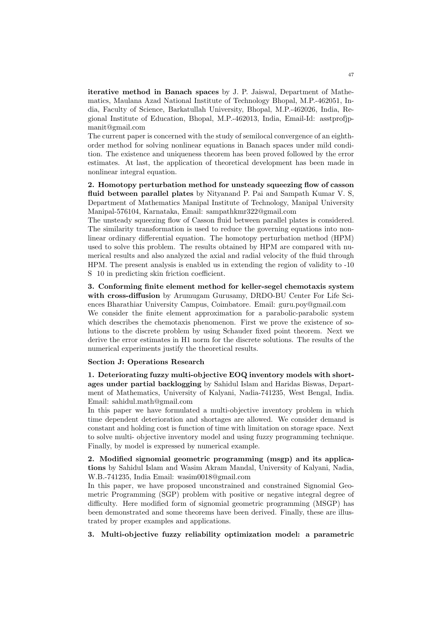iterative method in Banach spaces by J. P. Jaiswal, Department of Mathematics, Maulana Azad National Institute of Technology Bhopal, M.P.-462051, India, Faculty of Science, Barkatullah University, Bhopal, M.P.-462026, India, Regional Institute of Education, Bhopal, M.P.-462013, India, Email-Id: asstprofjpmanit@gmail.com

The current paper is concerned with the study of semilocal convergence of an eighthorder method for solving nonlinear equations in Banach spaces under mild condition. The existence and uniqueness theorem has been proved followed by the error estimates. At last, the application of theoretical development has been made in nonlinear integral equation.

2. Homotopy perturbation method for unsteady squeezing flow of casson fluid between parallel plates by Nityanand P. Pai and Sampath Kumar V. S, Department of Mathematics Manipal Institute of Technology, Manipal University Manipal-576104, Karnataka, Email: sampathkmr322@gmail.com

The unsteady squeezing flow of Casson fluid between parallel plates is considered. The similarity transformation is used to reduce the governing equations into nonlinear ordinary differential equation. The homotopy perturbation method (HPM) used to solve this problem. The results obtained by HPM are compared with numerical results and also analyzed the axial and radial velocity of the fluid through HPM. The present analysis is enabled us in extending the region of validity to -10 S 10 in predicting skin friction coefficient.

3. Conforming finite element method for keller-segel chemotaxis system with cross-diffusion by Arumugam Gurusamy, DRDO-BU Center For Life Sciences Bharathiar University Campus, Coimbatore. Email: guru.poy@gmail.com We consider the finite element approximation for a parabolic-parabolic system which describes the chemotaxis phenomenon. First we prove the existence of solutions to the discrete problem by using Schauder fixed point theorem. Next we derive the error estimates in H1 norm for the discrete solutions. The results of the numerical experiments justify the theoretical results.

### Section J: Operations Research

1. Deteriorating fuzzy multi-objective EOQ inventory models with shortages under partial backlogging by Sahidul Islam and Haridas Biswas, Department of Mathematics, University of Kalyani, Nadia-741235, West Bengal, India. Email: sahidul.math@gmail.com

In this paper we have formulated a multi-objective inventory problem in which time dependent deterioration and shortages are allowed. We consider demand is constant and holding cost is function of time with limitation on storage space. Next to solve multi- objective inventory model and using fuzzy programming technique. Finally, by model is expressed by numerical example.

2. Modified signomial geometric programming (msgp) and its applications by Sahidul Islam and Wasim Akram Mandal, University of Kalyani, Nadia, W.B.-741235, India Email: wasim0018@gmail.com

In this paper, we have proposed unconstrained and constrained Signomial Geometric Programming (SGP) problem with positive or negative integral degree of difficulty. Here modified form of signomial geometric programming (MSGP) has been demonstrated and some theorems have been derived. Finally, these are illustrated by proper examples and applications.

3. Multi-objective fuzzy reliability optimization model: a parametric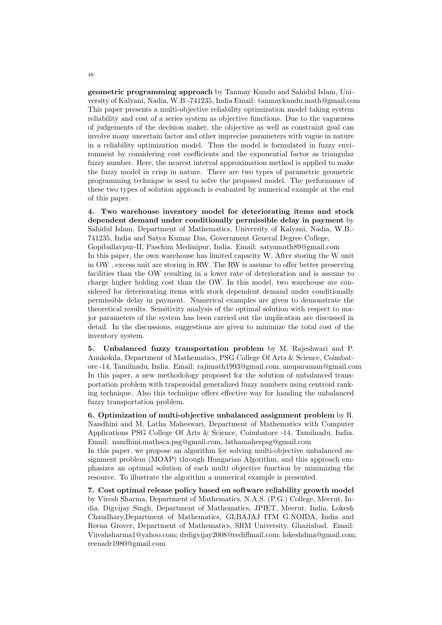geometric programming approach by Tanmay Kundu and Sahidul Islam, University of Kalyani, Nadia, W.B.-741235, India Email: tanmaykundu.math@gmail.com This paper presents a multi-objective reliability optimization model taking system reliability and cost of a series system as objective functions. Due to the vagueness of judgements of the decision maker, the objective as well as constraint goal can involve many uncertain factor and other imprecise parameters with vague in nature in a reliability optimization model. Thus the model is formulated in fuzzy environment by considering cost coefficients and the exponential factor as triangular fuzzy number. Here, the nearest interval approximation method is applied to make the fuzzy model in crisp in nature. There are two types of parametric geometric programming technique is used to solve the proposed model. The performance of these two types of solution approach is evaluated by numerical example at the end of this paper.

4. Two warehouse inventory model for deteriorating items and stock dependent demand under conditionally permissible delay in payment by Sahidul Islam, Department of Mathematics, University of Kalyani, Nadia, W.B.- 741235, India and Satya Kumar Das, Government General Degree College, Gopiballavpur-II, Paschim Medinipur, India. Email: satyamath89@gmail.com

In this paper, the own warehouse has limited capacity W. After storing the W unit in OW , excess unit are storing in RW. The RW is assume to offer better preserving facilities than the OW resulting in a lower rate of deterioration and is assume to charge higher holding cost than the OW. In this model, two warehouse are considered for deteriorating items with stock dependent demand under conditionally permissible delay in payment. Numerical examples are given to demonstrate the theoretical results. Sensitivity analysis of the optimal solution with respect to major parameters of the system has been carried out the implication are discussed in detail. In the discussions, suggestions are given to minimize the total cost of the inventory system.

5. Unbalanced fuzzy transportation problem by M. Rajeshwari and P. Anukokila, Department of Mathematics, PSG College Of Arts & Science, Coimbatore -14, Tamilnadu, India. Email: rajimath1993@gmail.com, anuparaman@gmail.com In this paper, a new methodology proposed for the solution of unbalanced transportation problem with trapezoidal generalized fuzzy numbers using centroid ranking technique. Also this technique offers effective way for handing the unbalanced fuzzy transportation problem.

6. Optimization of multi-objective unbalanced assignment problem by R. Nandhini and M. Latha Maheswari, Department of Mathematics with Computer Applications PSG College Of Arts & Science, Coimbatore -14, Tamilnadu, India. Email: nandhini.mathsca.psg@gmail.com, lathamahespsg@gmail.com

In this paper, we propose an algorithm for solving multi-objective unbalanced assignment problem (MOAP) through Hungarian Algorithm, and this approach emphasizes an optimal solution of each multi objective function by minimizing the resource. To illustrate the algorithm a numerical example is presented.

7. Cost optimal release policy based on software reliability growth model by Viresh Sharma, Department of Mathematics, N.A.S. (P.G.) College, Meerut, India, Digvijay Singh, Department of Mathematics, JPIET, Meerut, India, Lokesh Chaudhary,Department of Mathematics, GLBAJAJ ITM G.NOIDA, India and Reena Grover, Department of Mathematics, SRM University, Ghaziabad. Email: Vireshsharma1@yahoo.com; drdigvijay2008@rediffmail.com; lokeshdma@gmail.com; reenadr1980@gmail.com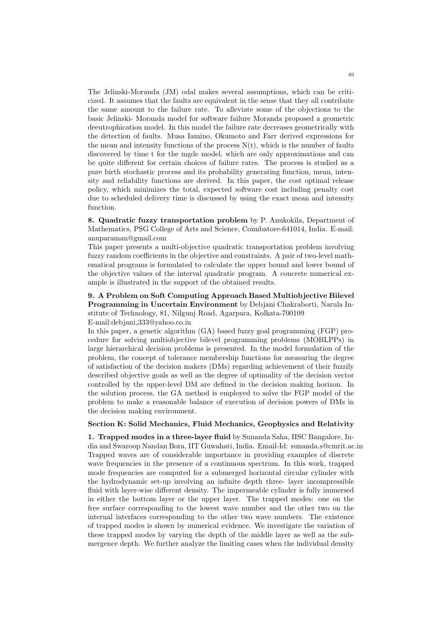The Jelinski-Moranda (JM) odal makes several assumptions, which can be criticized. It assumes that the faults are equivalent in the sense that they all contribute the same amount to the failure rate. To alleviate some of the objections to the basic Jelinski- Moranda model for software failure Moranda proposed a geometric deeutrophication model. In this model the failure rate decreases geometrically with the detection of faults. Musa Iamino, Okumoto and Farr derived expressions for the mean and intensity functions of the process  $N(t)$ , which is the number of faults discovered by time t for the mgde model, which are only approximations and can be quite different for certain choices of failure rates. The process is studied as a pure birth stochastic process and its probability generating function, mean, intensity and reliability functions are derived. In this paper, the cost optimal release policy, which minimizes the total, expected software cost including penalty cost due to scheduled delivery time is discussed by using the exact mean and intensity function.

8. Quadratic fuzzy transportation problem by P. Anukokila, Department of Mathematics, PSG College of Arts and Science, Coimbatore-641014, India. E-mail: anuparaman@gmail.com

This paper presents a multi-objective quadratic transportation problem involving fuzzy random coefficients in the objective and constraints. A pair of two-level mathematical programs is formulated to calculate the upper bound and lower bound of the objective values of the interval quadratic program. A concrete numerical example is illustrated in the support of the obtained results.

9. A Problem on Soft Computing Approach Based Multiobjective Bilevel Programming in Uncertain Environment by Debjani Chakraborti, Narula Institute of Technology, 81, Nilgunj Road, Agarpara, Kolkata-700109 E-mail:debjani 333@yahoo.co.in

In this paper, a genetic algorithm (GA) based fuzzy goal programming (FGP) procedure for solving multiobjective bilevel programming problems (MOBLPPs) in large hierarchical decision problems is presented. In the model formulation of the problem, the concept of tolerance membership functions for measuring the degree of satisfaction of the decision makers (DMs) regarding achievement of their fuzzily described objective goals as well as the degree of optimality of the decision vector controlled by the upper-level DM are defined in the decision making horizon. In the solution process, the GA method is employed to solve the FGP model of the problem to make a reasonable balance of execution of decision powers of DMs in the decision making environment.

### Section K: Solid Mechanics, Fluid Mechanics, Geophysics and Relativity

1. Trapped modes in a three-layer fluid by Sunanda Saha, IISC Bangalore, India and Swaroop Nandan Bora, IIT Guwahati, India. Email-Id: sunanda.s@cmrit.ac.in Trapped waves are of considerable importance in providing examples of discrete wave frequencies in the presence of a continuous spectrum. In this work, trapped mode frequencies are computed for a submerged horizontal circular cylinder with the hydrodynamic set-up involving an infinite depth three- layer incompressible fluid with layer-wise different density. The impermeable cylinder is fully immersed in either the bottom layer or the upper layer. The trapped modes: one on the free surface corresponding to the lowest wave number and the other two on the internal interfaces corresponding to the other two wave numbers. The existence of trapped modes is shown by numerical evidence. We investigate the variation of these trapped modes by varying the depth of the middle layer as well as the submergence depth. We further analyze the limiting cases when the individual density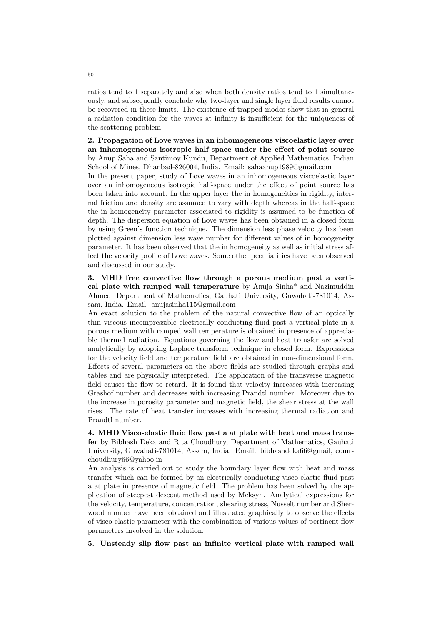ratios tend to 1 separately and also when both density ratios tend to 1 simultaneously, and subsequently conclude why two-layer and single layer fluid results cannot be recovered in these limits. The existence of trapped modes show that in general a radiation condition for the waves at infinity is insufficient for the uniqueness of the scattering problem.

2. Propagation of Love waves in an inhomogeneous viscoelastic layer over an inhomogeneous isotropic half-space under the effect of point source by Anup Saha and Santimoy Kundu, Department of Applied Mathematics, Indian School of Mines, Dhanbad-826004, India. Email: sahaanup1989@gmail.com

In the present paper, study of Love waves in an inhomogeneous viscoelastic layer over an inhomogeneous isotropic half-space under the effect of point source has been taken into account. In the upper layer the in homogeneities in rigidity, internal friction and density are assumed to vary with depth whereas in the half-space the in homogeneity parameter associated to rigidity is assumed to be function of depth. The dispersion equation of Love waves has been obtained in a closed form by using Green's function technique. The dimension less phase velocity has been plotted against dimension less wave number for different values of in homogeneity parameter. It has been observed that the in homogeneity as well as initial stress affect the velocity profile of Love waves. Some other peculiarities have been observed and discussed in our study.

3. MHD free convective flow through a porous medium past a vertical plate with ramped wall temperature by Anuja Sinha\* and Nazimuddin Ahmed, Department of Mathematics, Gauhati University, Guwahati-781014, Assam, India. Email: anujasinha115@gmail.com

An exact solution to the problem of the natural convective flow of an optically thin viscous incompressible electrically conducting fluid past a vertical plate in a porous medium with ramped wall temperature is obtained in presence of appreciable thermal radiation. Equations governing the flow and heat transfer are solved analytically by adopting Laplace transform technique in closed form. Expressions for the velocity field and temperature field are obtained in non-dimensional form. Effects of several parameters on the above fields are studied through graphs and tables and are physically interpreted. The application of the transverse magnetic field causes the flow to retard. It is found that velocity increases with increasing Grashof number and decreases with increasing Prandtl number. Moreover due to the increase in porosity parameter and magnetic field, the shear stress at the wall rises. The rate of heat transfer increases with increasing thermal radiation and Prandtl number.

4. MHD Visco-elastic fluid flow past a at plate with heat and mass transfer by Bibhash Deka and Rita Choudhury, Department of Mathematics, Gauhati University, Guwahati-781014, Assam, India. Email: bibhashdeka66@gmail, comrchoudhury66@yahoo.in

An analysis is carried out to study the boundary layer flow with heat and mass transfer which can be formed by an electrically conducting visco-elastic fluid past a at plate in presence of magnetic field. The problem has been solved by the application of steepest descent method used by Meksyn. Analytical expressions for the velocity, temperature, concentration, shearing stress, Nusselt number and Sherwood number have been obtained and illustrated graphically to observe the effects of visco-elastic parameter with the combination of various values of pertinent flow parameters involved in the solution.

5. Unsteady slip flow past an infinite vertical plate with ramped wall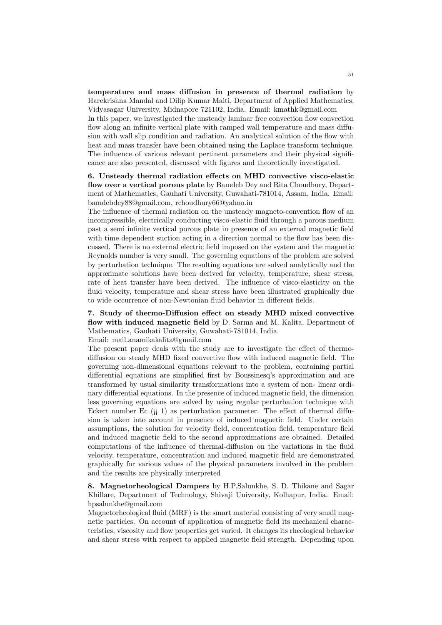temperature and mass diffusion in presence of thermal radiation by Harekrishna Mandal and Dilip Kumar Maiti, Department of Applied Mathematics, Vidyasagar University, Midnapore 721102, India. Email: kmathk@gmail.com

In this paper, we investigated the unsteady laminar free convection flow convection flow along an infinite vertical plate with ramped wall temperature and mass diffusion with wall slip condition and radiation. An analytical solution of the flow with heat and mass transfer have been obtained using the Laplace transform technique. The influence of various relevant pertinent parameters and their physical significance are also presented, discussed with figures and theoretically investigated.

6. Unsteady thermal radiation effects on MHD convective visco-elastic flow over a vertical porous plate by Bamdeb Dey and Rita Choudhury, Department of Mathematics, Gauhati University, Guwahati-781014, Assam, India. Email: bamdebdey88@gmail.com, rchoudhury66@yahoo.in

The influence of thermal radiation on the unsteady magneto-convention flow of an incompressible, electrically conducting visco-elastic fluid through a porous medium past a semi infinite vertical porous plate in presence of an external magnetic field with time dependent suction acting in a direction normal to the flow has been discussed. There is no external electric field imposed on the system and the magnetic Reynolds number is very small. The governing equations of the problem are solved by perturbation technique. The resulting equations are solved analytically and the approximate solutions have been derived for velocity, temperature, shear stress, rate of heat transfer have been derived. The influence of visco-elasticity on the fluid velocity, temperature and shear stress have been illustrated graphically due to wide occurrence of non-Newtonian fluid behavior in different fields.

7. Study of thermo-Diffusion effect on steady MHD mixed convective flow with induced magnetic field by D. Sarma and M. Kalita, Department of Mathematics, Gauhati University, Guwahati-781014, India.

Email: mail.anamikakalita@gmail.com

The present paper deals with the study are to investigate the effect of thermodiffusion on steady MHD fixed convective flow with induced magnetic field. The governing non-dimensional equations relevant to the problem, containing partial differential equations are simplified first by Boussinesq's approximation and are transformed by usual similarity transformations into a system of non- linear ordinary differential equations. In the presence of induced magnetic field, the dimension less governing equations are solved by using regular perturbation technique with Eckert number Ec  $(i; 1)$  as perturbation parameter. The effect of thermal diffusion is taken into account in presence of induced magnetic field. Under certain assumptions, the solution for velocity field, concentration field, temperature field and induced magnetic field to the second approximations are obtained. Detailed computations of the influence of thermal-diffusion on the variations in the fluid velocity, temperature, concentration and induced magnetic field are demonstrated graphically for various values of the physical parameters involved in the problem and the results are physically interpreted

8. Magnetorheological Dampers by H.P.Salunkhe, S. D. Thikane and Sagar Khillare, Department of Technology, Shivaji University, Kolhapur, India. Email: hpsalunkhe@gmail.com

Magnetorheological fluid (MRF) is the smart material consisting of very small magnetic particles. On account of application of magnetic field its mechanical characteristics, viscosity and flow properties get varied. It changes its rheological behavior and shear stress with respect to applied magnetic field strength. Depending upon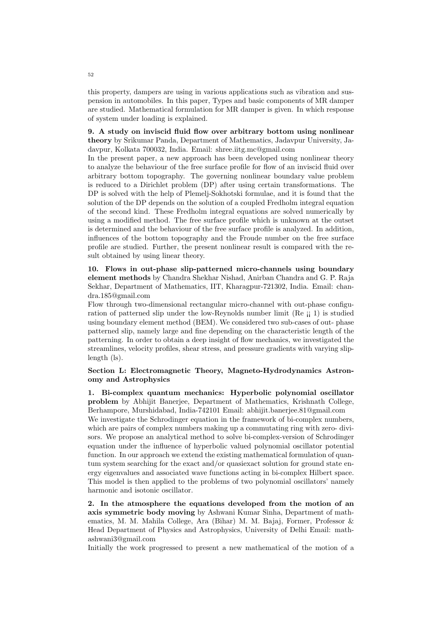this property, dampers are using in various applications such as vibration and suspension in automobiles. In this paper, Types and basic components of MR damper are studied. Mathematical formulation for MR damper is given. In which response of system under loading is explained.

## 9. A study on inviscid fluid flow over arbitrary bottom using nonlinear theory by Srikumar Panda, Department of Mathematics, Jadavpur University, Ja-

davpur, Kolkata 700032, India. Email: shree.iitg.mc@gmail.com In the present paper, a new approach has been developed using nonlinear theory to analyze the behaviour of the free surface profile for flow of an inviscid fluid over arbitrary bottom topography. The governing nonlinear boundary value problem is reduced to a Dirichlet problem (DP) after using certain transformations. The DP is solved with the help of Plemelj-Sokhotski formulae, and it is found that the solution of the DP depends on the solution of a coupled Fredholm integral equation of the second kind. These Fredholm integral equations are solved numerically by using a modified method. The free surface profile which is unknown at the outset is determined and the behaviour of the free surface profile is analyzed. In addition, influences of the bottom topography and the Froude number on the free surface profile are studied. Further, the present nonlinear result is compared with the result obtained by using linear theory.

10. Flows in out-phase slip-patterned micro-channels using boundary element methods by Chandra Shekhar Nishad, Anirban Chandra and G. P. Raja Sekhar, Department of Mathematics, IIT, Kharagpur-721302, India. Email: chandra.185@gmail.com

Flow through two-dimensional rectangular micro-channel with out-phase configuration of patterned slip under the low-Reynolds number limit (Re  $\ddot{\text{}}$ <sub>i</sub> 1) is studied using boundary element method (BEM). We considered two sub-cases of out- phase patterned slip, namely large and fine depending on the characteristic length of the patterning. In order to obtain a deep insight of flow mechanics, we investigated the streamlines, velocity profiles, shear stress, and pressure gradients with varying sliplength (ls).

## Section L: Electromagnetic Theory, Magneto-Hydrodynamics Astronomy and Astrophysics

1. Bi-complex quantum mechanics: Hyperbolic polynomial oscillator problem by Abhijit Banerjee, Department of Mathematics, Krishnath College, Berhampore, Murshidabad, India-742101 Email: abhijit.banerjee.81@gmail.com We investigate the Schrodinger equation in the framework of bi-complex numbers, which are pairs of complex numbers making up a commutating ring with zero- divisors. We propose an analytical method to solve bi-complex-version of Schrodinger equation under the influence of hyperbolic valued polynomial oscillator potential function. In our approach we extend the existing mathematical formulation of quantum system searching for the exact and/or quasiexact solution for ground state energy eigenvalues and associated wave functions acting in bi-complex Hilbert space. This model is then applied to the problems of two polynomial oscillators' namely harmonic and isotonic oscillator.

2. In the atmosphere the equations developed from the motion of an axis symmetric body moving by Ashwani Kumar Sinha, Department of mathematics, M. M. Mahila College, Ara (Bihar) M. M. Bajaj, Former, Professor & Head Department of Physics and Astrophysics, University of Delhi Email: mathashwani3@gmail.com

Initially the work progressed to present a new mathematical of the motion of a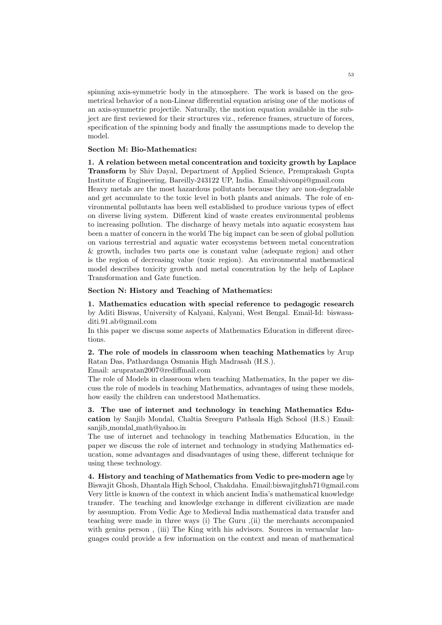spinning axis-symmetric body in the atmosphere. The work is based on the geometrical behavior of a non-Linear differential equation arising one of the motions of an axis-symmetric projectile. Naturally, the motion equation available in the subject are first reviewed for their structures viz., reference frames, structure of forces, specification of the spinning body and finally the assumptions made to develop the model.

### Section M: Bio-Mathematics:

1. A relation between metal concentration and toxicity growth by Laplace Transform by Shiv Dayal, Department of Applied Science, Premprakash Gupta Institute of Engineering, Bareilly-243122 UP, India. Email:shivonpi@gmail.com Heavy metals are the most hazardous pollutants because they are non-degradable and get accumulate to the toxic level in both plants and animals. The role of environmental pollutants has been well established to produce various types of effect on diverse living system. Different kind of waste creates environmental problems to increasing pollution. The discharge of heavy metals into aquatic ecosystem has been a matter of concern in the world The big impact can be seen of global pollution on various terrestrial and aquatic water ecosystems between metal concentration & growth, includes two parts one is constant value (adequate region) and other is the region of decreasing value (toxic region). An environmental mathematical model describes toxicity growth and metal concentration by the help of Laplace Transformation and Gate function.

#### Section N: History and Teaching of Mathematics:

1. Mathematics education with special reference to pedagogic research by Aditi Biswas, University of Kalyani, Kalyani, West Bengal. Email-Id: biswasaditi.91.ab@gmail.com

In this paper we discuss some aspects of Mathematics Education in different directions.

2. The role of models in classroom when teaching Mathematics by Arup Ratan Das, Pathardanga Osmania High Madrasah (H.S.).

Email: arupratan2007@rediffmail.com

The role of Models in classroom when teaching Mathematics, In the paper we discuss the role of models in teaching Mathematics, advantages of using these models, how easily the children can understood Mathematics.

3. The use of internet and technology in teaching Mathematics Education by Sanjib Mondal, Chaltia Sreeguru Pathsala High School (H.S.) Email: sanjib mondal math@yahoo.in

The use of internet and technology in teaching Mathematics Education, in the paper we discuss the role of internet and technology in studying Mathematics education, some advantages and disadvantages of using these, different technique for using these technology.

4. History and teaching of Mathematics from Vedic to pre-modern age by Biswajit Ghosh, Dhantala High School, Chakdaha. Email:biswajitghsh71@gmail.com Very little is known of the context in which ancient India's mathematical knowledge transfer. The teaching and knowledge exchange in different civilization are made by assumption. From Vedic Age to Medieval India mathematical data transfer and teaching were made in three ways (i) The Guru ,(ii) the merchants accompanied with genius person , (iii) The King with his advisors. Sources in vernacular languages could provide a few information on the context and mean of mathematical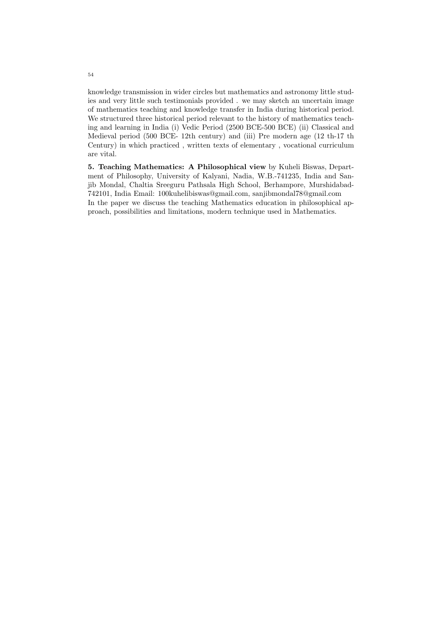knowledge transmission in wider circles but mathematics and astronomy little studies and very little such testimonials provided . we may sketch an uncertain image of mathematics teaching and knowledge transfer in India during historical period. We structured three historical period relevant to the history of mathematics teaching and learning in India (i) Vedic Period (2500 BCE-500 BCE) (ii) Classical and Medieval period (500 BCE- 12th century) and (iii) Pre modern age (12 th-17 th Century) in which practiced , written texts of elementary , vocational curriculum are vital.

5. Teaching Mathematics: A Philosophical view by Kuheli Biswas, Department of Philosophy, University of Kalyani, Nadia, W.B.-741235, India and Sanjib Mondal, Chaltia Sreeguru Pathsala High School, Berhampore, Murshidabad-742101, India Email: 100kuhelibiswas@gmail.com, sanjibmondal78@gmail.com In the paper we discuss the teaching Mathematics education in philosophical approach, possibilities and limitations, modern technique used in Mathematics.

54